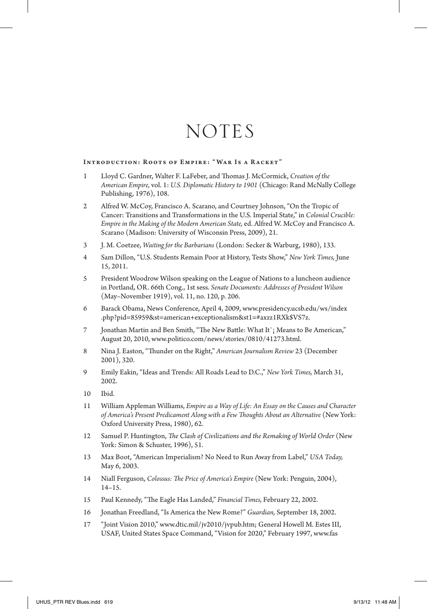# **NOTES**

## Introduction: Roots of Empire: " War Is a Racket"

- 1 Lloyd C. Gardner, Walter F. LaFeber, and Thomas J. McCormick, *Creation of the American Empire,* vol. 1: *U.S. Diplomatic History to 1901* (Chicago: Rand McNally College Publishing, 1976), 108.
- 2 Alfred W. McCoy, Francisco A. Scarano, and Courtney Johnson, "On the Tropic of Cancer: Transitions and Transformations in the U.S. Imperial State," in *Colonial Crucible: Empire in the Making of the Modern American State,* ed. Alfred W. McCoy and Francisco A. Scarano (Madison: University of Wisconsin Press, 2009), 21.
- 3 J. M. Coetzee, *Waiting for the Barbarians* (London: Secker & Warburg, 1980), 133.
- 4 Sam Dillon, "U.S. Students Remain Poor at History, Tests Show," *New York Times,* June 15, 2011.
- 5 President Woodrow Wilson speaking on the League of Nations to a luncheon audience in Portland, OR. 66th Cong., 1st sess. *Senate Documents: Addresses of President Wilson* (May–November 1919), vol. 11, no. 120, p. 206.
- 6 Barack Obama, News Conference, April 4, 2009, www.presidency.ucsb.edu/ws/index .php?pid=85959&st=american+exceptionalism&st1=#axzz1RXk\$VS7z.
- 7 Jonathan Martin and Ben Smith, "The New Battle: What It`¡ Means to Be American," August 20, 2010, www.politico.com/news/stories/0810/41273.html.
- 8 Nina J. Easton, "Thunder on the Right," *American Journalism Review* 23 (December 2001), 320.
- 9 Emily Eakin, "Ideas and Trends: All Roads Lead to D.C.," *New York Times,* March 31, 2002.
- 10 Ibid.
- 11 William Appleman Williams, *Empire as a Way of Life: An Essay on the Causes and Character of America's Present Predicament Along with a Few Thoughts About an Alternative* (New York: Oxford University Press, 1980), 62.
- 12 Samuel P. Huntington, *The Clash of Civilizations and the Remaking of World Order* (New York: Simon & Schuster, 1996), 51.
- 13 Max Boot, "American Imperialism? No Need to Run Away from Label," *USA Today,* May 6, 2003.
- 14 Niall Ferguson, *Colossus: The Price of America's Empire* (New York: Penguin, 2004), 14–15.
- 15 Paul Kennedy, "The Eagle Has Landed," *Financial Times,* February 22, 2002.
- 16 Jonathan Freedland, "Is America the New Rome?" *Guardian,* September 18, 2002.
- 17 "Joint Vision 2010," www.dtic.mil/jv2010/jvpub.htm; General Howell M. Estes III, USAF, United States Space Command, "Vision for 2020," February 1997, www.fas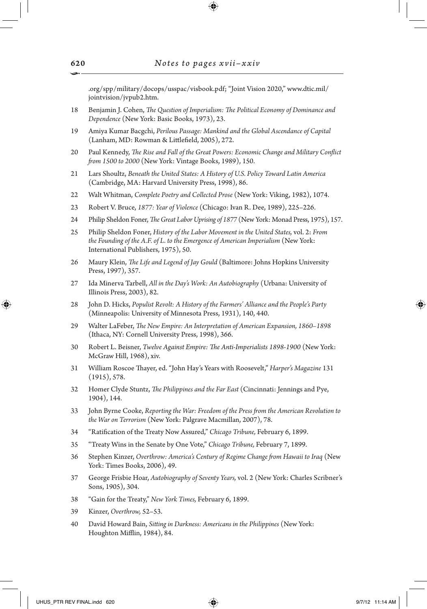.org/spp/military/docops/usspac/visbook.pdf; "Joint Vision 2020," www.dtic.mil/ jointvision/jvpub2.htm.

- 18 Benjamin J. Cohen, *The Question of Imperialism: The Political Economy of Dominance and Dependence* (New York: Basic Books, 1973), 23.
- 19 Amiya Kumar Bacgchi, *Perilous Passage: Mankind and the Global Ascendance of Capital* (Lanham, MD: Rowman & Littlefield, 2005), 272.
- 20 Paul Kennedy, *The Rise and Fall of the Great Powers: Economic Change and Military Conflict from 1500 to 2000* (New York: Vintage Books, 1989), 150.
- 21 Lars Shoultz, *Beneath the United States: A History of U.S. Policy Toward Latin America* (Cambridge, MA: Harvard University Press, 1998), 86.
- 22 Walt Whitman, *Complete Poetry and Collected Prose* (New York: Viking, 1982), 1074.
- 23 Robert V. Bruce, *1877: Year of Violence* (Chicago: Ivan R. Dee, 1989), 225–226.
- 24 Philip Sheldon Foner, *The Great Labor Uprising of 1877* (New York: Monad Press, 1975), 157.
- 25 Philip Sheldon Foner, *History of the Labor Movement in the United States,* vol. 2: *From the Founding of the A.F. of L. to the Emergence of American Imperialism* (New York: International Publishers, 1975), 50.
- 26 Maury Klein, *The Life and Legend of Jay Gould* (Baltimore: Johns Hopkins University Press, 1997), 357.
- 27 Ida Minerva Tarbell, *All in the Day's Work: An Autobiography* (Urbana: University of Illinois Press, 2003), 82.
- 28 John D. Hicks, *Populist Revolt: A History of the Farmers' Alliance and the People's Party* (Minneapolis: University of Minnesota Press, 1931), 140, 440.
- 29 Walter LaFeber, *The New Empire: An Interpretation of American Expansion, 1860–1898* (Ithaca, NY: Cornell University Press, 1998), 366.
- 30 Robert L. Beisner, *Twelve Against Empire: The Anti-Imperialists 1898-1900* (New York: McGraw Hill, 1968), xiv.
- 31 William Roscoe Thayer, ed. "John Hay's Years with Roosevelt," *Harper's Magazine* 131 (1915), 578.
- 32 Homer Clyde Stuntz, *The Philippines and the Far East* (Cincinnati: Jennings and Pye, 1904), 144.
- 33 John Byrne Cooke, *Reporting the War: Freedom of the Press from the American Revolution to the War on Terrorism* (New York: Palgrave Macmillan, 2007), 78.
- 34 "Ratification of the Treaty Now Assured," *Chicago Tribune,* February 6, 1899.
- 35 "Treaty Wins in the Senate by One Vote," *Chicago Tribune,* February 7, 1899.
- 36 Stephen Kinzer, *Overthrow: America's Century of Regime Change from Hawaii to Iraq* (New York: Times Books, 2006), 49.
- 37 George Frisbie Hoar, *Autobiography of Seventy Years,* vol. 2 (New York: Charles Scribner's Sons, 1905), 304.
- 38 "Gain for the Treaty," *New York Times,* February 6, 1899.
- 39 Kinzer, *Overthrow,* 52–53.
- 40 David Howard Bain, *Sitting in Darkness: Americans in the Philippines* (New York: Houghton Mifflin, 1984), 84.

⊕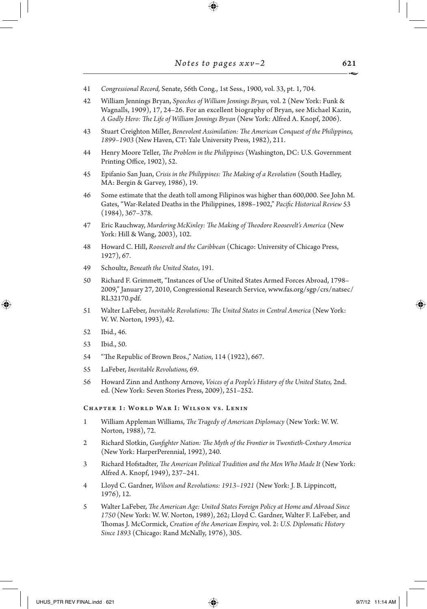$\bigoplus$ 

| 41                                       | Congressional Record, Senate, 56th Cong., 1st Sess., 1900, vol. 33, pt. 1, 704.                                                                                                                                                                                        |  |  |  |
|------------------------------------------|------------------------------------------------------------------------------------------------------------------------------------------------------------------------------------------------------------------------------------------------------------------------|--|--|--|
| 42                                       | William Jennings Bryan, Speeches of William Jennings Bryan, vol. 2 (New York: Funk &<br>Wagnalls, 1909), 17, 24-26. For an excellent biography of Bryan, see Michael Kazin,<br>A Godly Hero: The Life of William Jennings Bryan (New York: Alfred A. Knopf, 2006).     |  |  |  |
| 43                                       | Stuart Creighton Miller, Benevolent Assimilation: The American Conquest of the Philippines,<br>1899-1903 (New Haven, CT: Yale University Press, 1982), 211.                                                                                                            |  |  |  |
| 44                                       | Henry Moore Teller, The Problem in the Philippines (Washington, DC: U.S. Government<br>Printing Office, 1902), 52.                                                                                                                                                     |  |  |  |
| 45                                       | Epifanio San Juan, Crisis in the Philippines: The Making of a Revolution (South Hadley,<br>MA: Bergin & Garvey, 1986), 19.                                                                                                                                             |  |  |  |
| 46                                       | Some estimate that the death toll among Filipinos was higher than 600,000. See John M.<br>Gates, "War-Related Deaths in the Philippines, 1898-1902," Pacific Historical Review 53<br>$(1984)$ , 367–378.                                                               |  |  |  |
| 47                                       | Eric Rauchway, Murdering McKinley: The Making of Theodore Roosevelt's America (New<br>York: Hill & Wang, 2003), 102.                                                                                                                                                   |  |  |  |
| 48                                       | Howard C. Hill, Roosevelt and the Caribbean (Chicago: University of Chicago Press,<br>1927), 67.                                                                                                                                                                       |  |  |  |
| 49                                       | Schoultz, Beneath the United States, 191.                                                                                                                                                                                                                              |  |  |  |
| 50                                       | Richard F. Grimmett, "Instances of Use of United States Armed Forces Abroad, 1798-<br>2009," January 27, 2010, Congressional Research Service, www.fas.org/sgp/crs/natsec/<br>RL32170.pdf.                                                                             |  |  |  |
| 51                                       | Walter LaFeber, Inevitable Revolutions: The United States in Central America (New York:<br>W. W. Norton, 1993), 42.                                                                                                                                                    |  |  |  |
| 52                                       | Ibid., 46.                                                                                                                                                                                                                                                             |  |  |  |
| 53                                       | Ibid., 50.                                                                                                                                                                                                                                                             |  |  |  |
| 54                                       | "The Republic of Brown Bros.," Nation, 114 (1922), 667.                                                                                                                                                                                                                |  |  |  |
| 55                                       | LaFeber, Inevitable Revolutions, 69.                                                                                                                                                                                                                                   |  |  |  |
| 56                                       | Howard Zinn and Anthony Arnove, Voices of a People's History of the United States, 2nd.<br>ed. (New York: Seven Stories Press, 2009), 251-252.                                                                                                                         |  |  |  |
| CHAPTER 1: WORLD WAR I: WILSON VS. LENIN |                                                                                                                                                                                                                                                                        |  |  |  |
| 1                                        | William Appleman Williams, The Tragedy of American Diplomacy (New York: W.W.<br>Norton, 1988), 72.                                                                                                                                                                     |  |  |  |
| 2                                        | Richard Slotkin, Gunfighter Nation: The Myth of the Frontier in Twentieth-Century America<br>(New York: HarperPerennial, 1992), 240.                                                                                                                                   |  |  |  |
| 3                                        | Richard Hofstadter, The American Political Tradition and the Men Who Made It (New York:<br>Alfred A. Knopf, 1949), 237-241.                                                                                                                                            |  |  |  |
| $\overline{4}$                           | Lloyd C. Gardner, Wilson and Revolutions: 1913-1921 (New York: J. B. Lippincott,<br>1976), 12.                                                                                                                                                                         |  |  |  |
| 5                                        | Walter LaFeber, The American Age: United States Foreign Policy at Home and Abroad Since<br>1750 (New York: W. W. Norton, 1989), 262; Lloyd C. Gardner, Walter F. LaFeber, and<br>Thomas J. McCormick, Creation of the American Empire, vol. 2: U.S. Diplomatic History |  |  |  |

*Since 1893* (Chicago: Rand McNally, 1976), 305.

 $\overline{\phantom{a}}$ 

 $\bigoplus$ 

 $\overline{\phantom{a}}$ 

 $\mathbf{I}$ 

 $\bigoplus$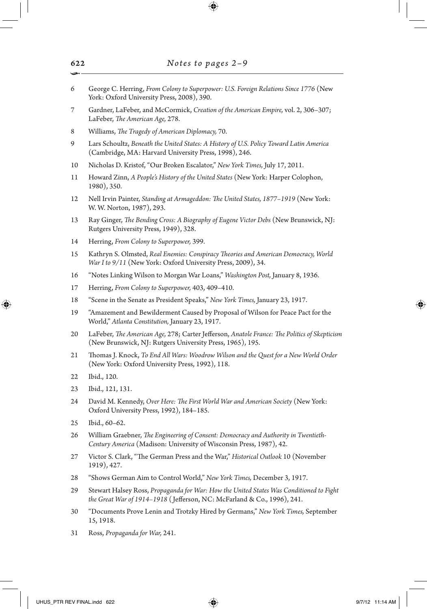- 6 George C. Herring, *From Colony to Superpower: U.S. Foreign Relations Since 1776* (New York: Oxford University Press, 2008), 390.
- 7 Gardner, LaFeber, and McCormick, *Creation of the American Empire,* vol. 2, 306–307; LaFeber, *The American Age,* 278.
- 8 Williams, *The Tragedy of American Diplomacy,* 70.
- 9 Lars Schoultz, *Beneath the United States: A History of U.S. Policy Toward Latin America* (Cambridge, MA: Harvard University Press, 1998), 246.
- 10 Nicholas D. Kristof, "Our Broken Escalator," *New York Times,* July 17, 2011.
- 11 Howard Zinn, *A People's History of the United States* (New York: Harper Colophon, 1980), 350.
- 12 Nell Irvin Painter, *Standing at Armageddon: The United States, 1877–1919* (New York: W. W. Norton, 1987), 293.
- 13 Ray Ginger, *The Bending Cross: A Biography of Eugene Victor Debs* (New Brunswick, NJ: Rutgers University Press, 1949), 328.
- 14 Herring, *From Colony to Superpower,* 399.
- 15 Kathryn S. Olmsted, *Real Enemies: Conspiracy Theories and American Democracy, World War I to 9/11* (New York: Oxford University Press, 2009), 34.
- 16 "Notes Linking Wilson to Morgan War Loans," *Washington Post,* January 8, 1936.
- 17 Herring, *From Colony to Superpower,* 403, 409–410.
- 18 "Scene in the Senate as President Speaks," *New York Times,* January 23, 1917.
- 19 "Amazement and Bewilderment Caused by Proposal of Wilson for Peace Pact for the World," *Atlanta Constitution,* January 23, 1917.
- 20 LaFeber, *The American Age,* 278; Carter Jefferson, *Anatole France: The Politics of Skepticism* (New Brunswick, NJ: Rutgers University Press, 1965), 195.
- 21 Thomas J. Knock, *To End All Wars: Woodrow Wilson and the Quest for a New World Order* (New York: Oxford University Press, 1992), 118.
- 22 Ibid., 120.

↔

- 23 Ibid., 121, 131.
- 24 David M. Kennedy, *Over Here: The First World War and American Society* (New York: Oxford University Press, 1992), 184–185.
- 25 Ibid., 60–62.
- 26 William Graebner, *The Engineering of Consent: Democracy and Authority in Twentieth-Century America* (Madison: University of Wisconsin Press, 1987), 42.
- 27 Victor S. Clark, "The German Press and the War," *Historical Outlook* 10 (November 1919), 427.
- 28 "Shows German Aim to Control World," *New York Times,* December 3, 1917.
- 29 Stewart Halsey Ross, *Propaganda for War: How the United States Was Conditioned to Fight the Great War of 1914–1918* ( Jefferson, NC: McFarland & Co., 1996), 241.
- 30 "Documents Prove Lenin and Trotzky Hired by Germans," *New York Times,* September 15, 1918.
- 31 Ross, *Propaganda for War,* 241.

UHUS\_PTR REV FINAL.indd 622  $\bigoplus$  9/7/12 11:14 AM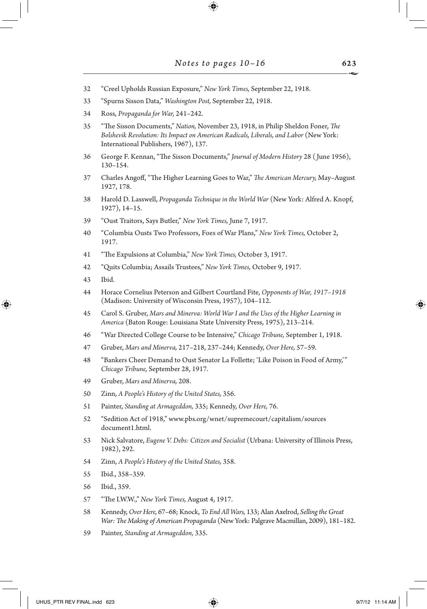- "Creel Upholds Russian Exposure," *New York Times,* September 22, 1918.
- "Spurns Sisson Data," *Washington Post,* September 22, 1918.
- Ross, *Propaganda for War,* 241–242.
- "The Sisson Documents," *Nation,* November 23, 1918, in Philip Sheldon Foner, *The Bolshevik Revolution: Its Impact on American Radicals, Liberals, and Labor* (New York: International Publishers, 1967), 137.
- George F. Kennan, "The Sisson Documents," *Journal of Modern History* 28 ( June 1956), 130–154.
- Charles Angoff, "The Higher Learning Goes to War," *The American Mercury,* May–August 1927, 178.
- Harold D. Lasswell, *Propaganda Technique in the World War* (New York: Alfred A. Knopf, 1927), 14–15.
- "Oust Traitors, Says Butler," *New York Times,* June 7, 1917.
- "Columbia Ousts Two Professors, Foes of War Plans," *New York Times,* October 2, 1917.
- "The Expulsions at Columbia," *New York Times,* October 3, 1917.
- "Quits Columbia; Assails Trustees," *New York Times,* October 9, 1917.
- Ibid.

↔

- Horace Cornelius Peterson and Gilbert Courtland Fite, *Opponents of War, 1917–1918* (Madison: University of Wisconsin Press, 1957), 104–112.
- Carol S. Gruber, *Mars and Minerva: World War I and the Uses of the Higher Learning in America* (Baton Rouge: Louisiana State University Press, 1975), 213–214.
- "War Directed College Course to be Intensive," *Chicago Tribune,* September 1, 1918.
- Gruber, *Mars and Minerva,* 217–218, 237–244; Kennedy, *Over Here,* 57–59.
- "Bankers Cheer Demand to Oust Senator La Follette; 'Like Poison in Food of Army,'" *Chicago Tribune,* September 28, 1917.
- Gruber, *Mars and Minerva,* 208.
- Zinn, *A People's History of the United States,* 356.
- Painter, *Standing at Armageddon,* 335; Kennedy, *Over Here,* 76.
- "Sedition Act of 1918," www.pbs.org/wnet/supremecourt/capitalism/sources document1.html.
- Nick Salvatore, *Eugene V. Debs: Citizen and Socialist* (Urbana: University of Illinois Press, 1982), 292.
- Zinn, *A People's History of the United States,* 358.
- Ibid., 358–359.
- Ibid., 359.
- "The I.W.W.," *New York Times,* August 4, 1917.
- Kennedy, *Over Here,* 67–68; Knock, *To End All Wars,* 133; Alan Axelrod, *Selling the Great War: The Making of American Propaganda* (New York: Palgrave Macmillan, 2009), 181–182.
- Painter, *Standing at Armageddon,* 335.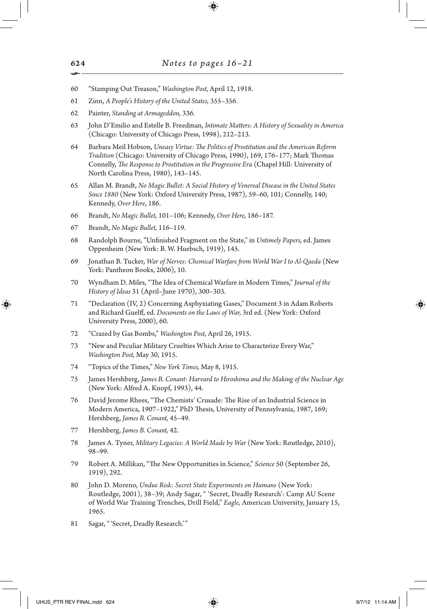- 60 "Stamping Out Treason," *Washington Post,* April 12, 1918.
- 61 Zinn, *A People's History of the United States,* 355–356.
- 62 Painter, *Standing at Armageddon,* 336.
- 63 John D'Emilio and Estelle B. Freedman, *Intimate Matters: A History of Sexuality in America* (Chicago: University of Chicago Press, 1998), 212–213.
- 64 Barbara Meil Hobson, *Uneasy Virtue: The Politics of Prostitution and the American Reform Tradition* (Chicago: University of Chicago Press, 1990), 169, 176–177; Mark Thomas Connelly, *The Response to Prostitution in the Progressive Era* (Chapel Hill: University of North Carolina Press, 1980), 143–145.
- 65 Allan M. Brandt, *No Magic Bullet: A Social History of Venereal Disease in the United States Since 1880* (New York: Oxford University Press, 1987), 59–60, 101; Connelly, 140; Kennedy, *Over Here*, 186.
- 66 Brandt, *No Magic Bullet,* 101–106; Kennedy, *Over Here,* 186–187.
- 67 Brandt, *No Magic Bullet,* 116–119.
- 68 Randolph Bourne, "Unfinished Fragment on the State," in *Untimely Papers,* ed. James Oppenheim (New York: B. W. Huebsch, 1919), 145.
- 69 Jonathan B. Tucker, *War of Nerves: Chemical Warfare from World War I to Al-Qaeda* (New York: Pantheon Books, 2006), 10.
- 70 Wyndham D. Miles, "The Idea of Chemical Warfare in Modern Times," *Journal of the History of Ideas* 31 (April–June 1970), 300–303.
- 71 "Declaration (IV, 2) Concerning Asphyxiating Gases," Document 3 in Adam Roberts and Richard Guelff, ed. *Documents on the Laws of War,* 3rd ed. (New York: Oxford University Press, 2000), 60.
- 72 "Crazed by Gas Bombs," *Washington Post,* April 26, 1915.
- 73 "New and Peculiar Military Cruelties Which Arise to Characterize Every War," *Washington Post,* May 30, 1915.
- 74 "Topics of the Times," *New York Times,* May 8, 1915.
- 75 James Hershberg, *James B. Conant: Harvard to Hiroshima and the Making of the Nuclear Age* (New York: Alfred A. Knopf, 1993), 44.
- 76 David Jerome Rhees, "The Chemists' Crusade: The Rise of an Industrial Science in Modern America, 1907–1922," PhD Thesis, University of Pennsylvania, 1987, 169; Hershberg, *James B. Conant,* 45–49.
- 77 Hershberg, *James B. Conant,* 42.
- 78 James A. Tyner, *Military Legacies: A World Made by War* (New York: Routledge, 2010), 98–99.
- 79 Robert A. Millikan, "The New Opportunities in Science," *Science* 50 (September 26, 1919), 292.
- 80 John D. Moreno, *Undue Risk: Secret State Experiments on Humans* (New York: Routledge, 2001), 38–39; Andy Sagar, " 'Secret, Deadly Research': Camp AU Scene of World War Training Trenches, Drill Field," *Eagle,* American University, January 15, 1965.
- 81 Sagar, "'Secret, Deadly Research.'"

UHUS\_PTR REV FINAL.indd 624 **97712 11:14 AM** 

⊕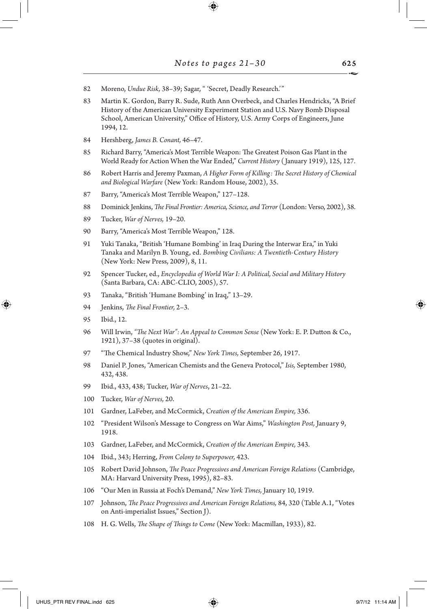- Moreno, *Undue Risk,* 38–39; Sagar, " 'Secret, Deadly Research.'"
- Martin K. Gordon, Barry R. Sude, Ruth Ann Overbeck, and Charles Hendricks, "A Brief History of the American University Experiment Station and U.S. Navy Bomb Disposal School, American University," Office of History, U.S. Army Corps of Engineers, June 1994, 12.
- Hershberg, *James B. Conant,* 46–47.
- Richard Barry, "America's Most Terrible Weapon: The Greatest Poison Gas Plant in the World Ready for Action When the War Ended," *Current History* ( January 1919), 125, 127.
- Robert Harris and Jeremy Paxman, *A Higher Form of Killing: The Secret History of Chemical and Biological Warfare* (New York: Random House, 2002), 35.
- Barry, "America's Most Terrible Weapon," 127–128.
- Dominick Jenkins, *The Final Frontier: America, Science, and Terror* (London: Verso, 2002), 38.
- Tucker, *War of Nerves,* 19–20.
- Barry, "America's Most Terrible Weapon," 128.
- Yuki Tanaka, "British 'Humane Bombing' in Iraq During the Interwar Era," in Yuki Tanaka and Marilyn B. Young, ed. *Bombing Civilians: A Twentieth-Century History* (New York: New Press, 2009), 8, 11.
- Spencer Tucker, ed., *Encyclopedia of World War I: A Political, Social and Military History* (Santa Barbara, CA: ABC-CLIO, 2005), 57.
- Tanaka, "British 'Humane Bombing' in Iraq," 13–29.
- Jenkins, *The Final Frontier,* 2–3.
- Ibid., 12.

↔

- Will Irwin, *"The Next War": An Appeal to Common Sense* (New York: E. P. Dutton & Co., 1921), 37–38 (quotes in original).
- "The Chemical Industry Show," *New York Times,* September 26, 1917.
- Daniel P. Jones, "American Chemists and the Geneva Protocol," *Isis,* September 1980, 432, 438.
- Ibid., 433, 438; Tucker, *War of Nerves*, 21–22.
- Tucker, *War of Nerves,* 20.
- Gardner, LaFeber, and McCormick, *Creation of the American Empire,* 336.
- "President Wilson's Message to Congress on War Aims," *Washington Post,* January 9, 1918.
- Gardner, LaFeber, and McCormick, *Creation of the American Empire,* 343.
- Ibid., 343; Herring, *From Colony to Superpower,* 423.
- Robert David Johnson, *The Peace Progressives and American Foreign Relations* (Cambridge, MA: Harvard University Press, 1995), 82–83.
- "Our Men in Russia at Foch's Demand," *New York Times,* January 10, 1919.
- Johnson, *The Peace Progressives and American Foreign Relations,* 84, 320 (Table A.1, "Votes on Anti-imperialist Issues," Section J).
- H. G. Wells, *The Shape of Things to Come* (New York: Macmillan, 1933), 82.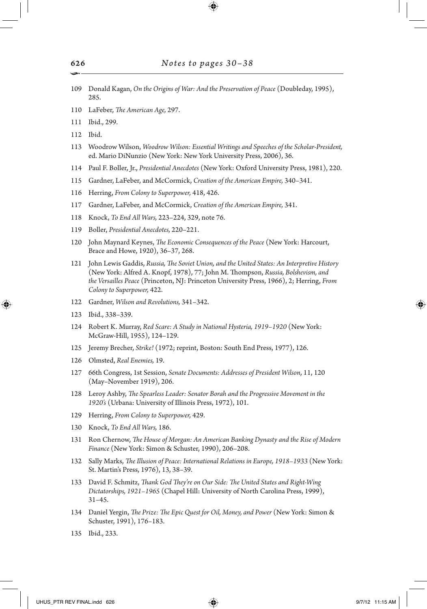- 109 Donald Kagan, *On the Origins of War: And the Preservation of Peace* (Doubleday, 1995), 285.
- 110 LaFeber, *The American Age,* 297.
- 111 Ibid., 299.
- 112 Ibid.
- 113 Woodrow Wilson, *Woodrow Wilson: Essential Writings and Speeches of the Scholar-President,* ed. Mario DiNunzio (New York: New York University Press, 2006), 36.
- 114 Paul F. Boller, Jr., *Presidential Anecdotes* (New York: Oxford University Press, 1981), 220.
- 115 Gardner, LaFeber, and McCormick, *Creation of the American Empire,* 340–341.
- 116 Herring, *From Colony to Superpower,* 418, 426.
- 117 Gardner, LaFeber, and McCormick, *Creation of the American Empire,* 341.
- 118 Knock, *To End All Wars,* 223–224, 329, note 76.
- 119 Boller, *Presidential Anecdotes,* 220–221.
- 120 John Maynard Keynes, *The Economic Consequences of the Peace* (New York: Harcourt, Brace and Howe, 1920), 36–37, 268.
- 121 John Lewis Gaddis, *Russia, The Soviet Union, and the United States: An Interpretive History* (New York: Alfred A. Knopf, 1978), 77; John M. Thompson, *Russia, Bolshevism, and the Versailles Peace* (Princeton, NJ: Princeton University Press, 1966), 2; Herring, *From Colony to Superpower,* 422.
- 122 Gardner, *Wilson and Revolutions,* 341–342.
- 123 Ibid., 338–339.

⊕

- 124 Robert K. Murray, *Red Scare: A Study in National Hysteria, 1919–1920* (New York: McGraw-Hill, 1955), 124–129.
- 125 Jeremy Brecher, *Strike!* (1972; reprint, Boston: South End Press, 1977), 126.
- 126 Olmsted, *Real Enemies,* 19.
- 127 66th Congress, 1st Session, *Senate Documents: Addresses of President Wilson*, 11, 120 (May–November 1919), 206.
- 128 Leroy Ashby, *The Spearless Leader: Senator Borah and the Progressive Movement in the 1920's* (Urbana: University of Illinois Press, 1972), 101.
- 129 Herring, *From Colony to Superpower,* 429.
- 130 Knock, *To End All Wars,* 186.
- 131 Ron Chernow, *The House of Morgan: An American Banking Dynasty and the Rise of Modern Finance* (New York: Simon & Schuster, 1990), 206–208.
- 132 Sally Marks, *The Illusion of Peace: International Relations in Europe, 1918–1933* (New York: St. Martin's Press, 1976), 13, 38–39.
- 133 David F. Schmitz, *Thank God They're on Our Side: The United States and Right-Wing Dictatorships, 1921–1965* (Chapel Hill: University of North Carolina Press, 1999), 31–45.
- 134 Daniel Yergin, *The Prize: The Epic Quest for Oil, Money, and Power* (New York: Simon & Schuster, 1991), 176–183.
- 135 Ibid., 233.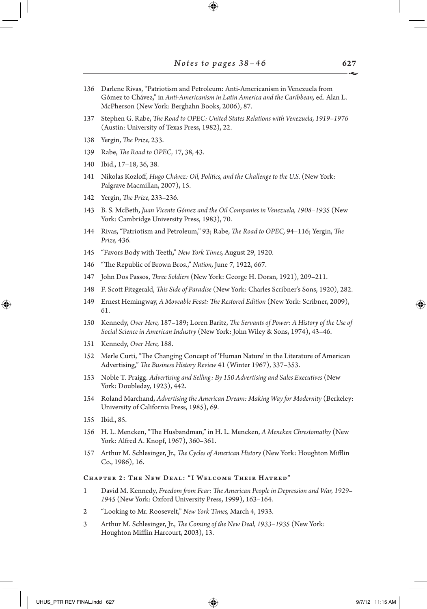$\bigoplus$ 

| 136 | Darlene Rivas, "Patriotism and Petroleum: Anti-Americanism in Venezuela from<br>Gómez to Chávez," in Anti-Americanism in Latin America and the Caribbean, ed. Alan L.<br>McPherson (New York: Berghahn Books, 2006), 87. |
|-----|--------------------------------------------------------------------------------------------------------------------------------------------------------------------------------------------------------------------------|
| 137 | Stephen G. Rabe, The Road to OPEC: United States Relations with Venezuela, 1919–1976<br>(Austin: University of Texas Press, 1982), 22.                                                                                   |
| 138 | Yergin, The Prize, 233.                                                                                                                                                                                                  |
| 139 | Rabe, <i>The Road to OPEC</i> , 17, 38, 43.                                                                                                                                                                              |
| 140 | Ibid., 17-18, 36, 38.                                                                                                                                                                                                    |
| 141 | Nikolas Kozloff, Hugo Chávez: Oil, Politics, and the Challenge to the U.S. (New York:<br>Palgrave Macmillan, 2007), 15.                                                                                                  |
| 142 | Yergin, The Prize, 233-236.                                                                                                                                                                                              |
| 143 | B. S. McBeth, Juan Vicente Gómez and the Oil Companies in Venezuela, 1908-1935 (New<br>York: Cambridge University Press, 1983), 70.                                                                                      |
| 144 | Rivas, "Patriotism and Petroleum," 93; Rabe, The Road to OPEC, 94-116; Yergin, The<br>Prize, 436.                                                                                                                        |
| 145 | "Favors Body with Teeth," New York Times, August 29, 1920.                                                                                                                                                               |
| 146 | "The Republic of Brown Bros.," Nation, June 7, 1922, 667.                                                                                                                                                                |
| 147 | John Dos Passos, Three Soldiers (New York: George H. Doran, 1921), 209-211.                                                                                                                                              |
| 148 | F. Scott Fitzgerald, This Side of Paradise (New York: Charles Scribner's Sons, 1920), 282.                                                                                                                               |
| 149 | Ernest Hemingway, A Moveable Feast: The Restored Edition (New York: Scribner, 2009),<br>61.                                                                                                                              |
| 150 | Kennedy, Over Here, 187–189; Loren Baritz, The Servants of Power: A History of the Use of<br>Social Science in American Industry (New York: John Wiley & Sons, 1974), 43-46.                                             |
| 151 | Kennedy, Over Here, 188.                                                                                                                                                                                                 |
| 152 | Merle Curti, "The Changing Concept of 'Human Nature' in the Literature of American<br>Advertising," The Business History Review 41 (Winter 1967), 337-353.                                                               |
| 153 | Noble T. Praigg. Advertising and Selling: By 150 Advertising and Sales Executives (New<br>York: Doubleday, 1923), 442.                                                                                                   |
| 154 | Roland Marchand, Advertising the American Dream: Making Way for Modernity (Berkeley:<br>University of California Press, 1985), 69.                                                                                       |
| 155 | Ibid., 85.                                                                                                                                                                                                               |
| 156 | H. L. Mencken, "The Husbandman," in H. L. Mencken, A Mencken Chrestomathy (New<br>York: Alfred A. Knopf, 1967), 360–361.                                                                                                 |
| 157 | Arthur M. Schlesinger, Jr., <i>The Cycles of American History</i> (New York: Houghton Mifflin<br>Co., 1986), 16.                                                                                                         |
|     | CHAPTER 2: THE NEW DEAL: "I WELCOME THEIR HATRED"                                                                                                                                                                        |
| 1   | David M. Kennedy, Freedom from Fear: The American People in Depression and War, 1929-<br>1945 (New York: Oxford University Press, 1999), 163-164.                                                                        |
| 2   | "Looking to Mr. Roosevelt," New York Times, March 4, 1933.                                                                                                                                                               |
|     |                                                                                                                                                                                                                          |

3 Arthur M. Schlesinger, Jr., *The Coming of the New Deal, 1933–1935* (New York: Houghton Mifflin Harcourt, 2003), 13.

627

 $\begin{array}{c} \hline \end{array}$ 

 $\bigoplus$ 

 $\overline{a}$ 1

 $\bigoplus$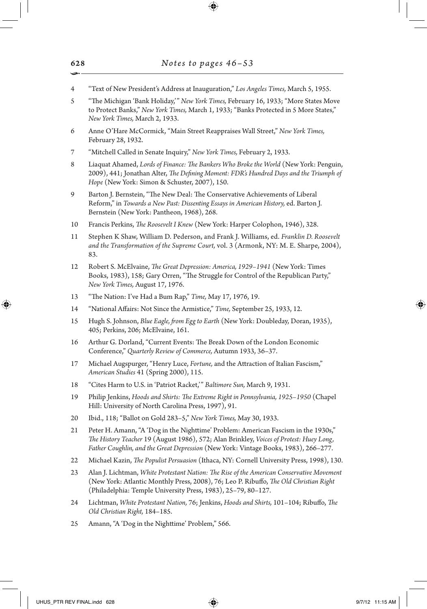- 4 "Text of New President's Address at Inauguration," *Los Angeles Times,* March 5, 1955.
- 5 "The Michigan 'Bank Holiday,'" *New York Times,* February 16, 1933; "More States Move to Protect Banks," *New York Times,* March 1, 1933; "Banks Protected in 5 More States," *New York Times,* March 2, 1933.
- 6 Anne O'Hare McCormick, "Main Street Reappraises Wall Street," *New York Times,* February 28, 1932.
- 7 "Mitchell Called in Senate Inquiry," *New York Times,* February 2, 1933.
- 8 Liaquat Ahamed, *Lords of Finance: The Bankers Who Broke the World* (New York: Penguin, 2009), 441; Jonathan Alter, *The Defining Moment: FDR's Hundred Days and the Triumph of Hope* (New York: Simon & Schuster, 2007), 150.
- 9 Barton J. Bernstein, "The New Deal: The Conservative Achievements of Liberal Reform," in *Towards a New Past: Dissenting Essays in American History,* ed. Barton J. Bernstein (New York: Pantheon, 1968), 268.
- 10 Francis Perkins, *The Roosevelt I Knew* (New York: Harper Colophon, 1946), 328.
- 11 Stephen K Shaw, William D. Pederson, and Frank J. Williams, ed. *Franklin D. Roosevelt and the Transformation of the Supreme Court,* vol. 3 (Armonk, NY: M. E. Sharpe, 2004), 83.
- 12 Robert S. McElvaine, *The Great Depression: America, 1929–1941* (New York: Times Books, 1983), 158; Gary Orren, "The Struggle for Control of the Republican Party," *New York Times,* August 17, 1976.
- 13 "The Nation: I've Had a Bum Rap," *Time,* May 17, 1976, 19.
- 14 "National Affairs: Not Since the Armistice," *Time,* September 25, 1933, 12.
- 15 Hugh S. Johnson, *Blue Eagle, from Egg to Earth* (New York: Doubleday, Doran, 1935), 405; Perkins, 206; McElvaine, 161.
- 16 Arthur G. Dorland, "Current Events: The Break Down of the London Economic Conference," *Quarterly Review of Commerce,* Autumn 1933, 36–37.
- 17 Michael Augspurger, "Henry Luce, *Fortune,* and the Attraction of Italian Fascism," *American Studies* 41 (Spring 2000), 115.
- 18 "Cites Harm to U.S. in 'Patriot Racket,'" *Baltimore Sun,* March 9, 1931.
- 19 Philip Jenkins, *Hoods and Shirts: The Extreme Right in Pennsylvania, 1925–1950* (Chapel Hill: University of North Carolina Press, 1997), 91.
- 20 Ibid., 118; "Ballot on Gold 283–5," *New York Times,* May 30, 1933.
- 21 Peter H. Amann, "A 'Dog in the Nighttime' Problem: American Fascism in the 1930s," *The History Teacher* 19 (August 1986), 572; Alan Brinkley, *Voices of Protest: Huey Long, Father Coughlin, and the Great Depression* (New York: Vintage Books, 1983), 266–277.
- 22 Michael Kazin, *The Populist Persuasion* (Ithaca, NY: Cornell University Press, 1998), 130.
- 23 Alan J. Lichtman, *White Protestant Nation: The Rise of the American Conservative Movement* (New York: Atlantic Monthly Press, 2008), 76; Leo P. Ribuffo, *The Old Christian Right* (Philadelphia: Temple University Press, 1983), 25–79, 80–127.
- 24 Lichtman, *White Protestant Nation,* 76; Jenkins, *Hoods and Shirts,* 101–104; Ribuffo, *The Old Christian Right,* 184–185.
- 25 Amann, "A 'Dog in the Nighttime' Problem," 566.

↔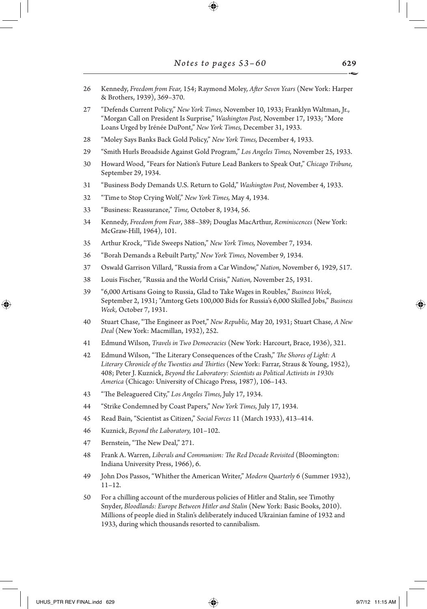- 26 Kennedy, *Freedom from Fear,* 154; Raymond Moley, *After Seven Years* (New York: Harper & Brothers, 1939), 369–370.
- 27 "Defends Current Policy," *New York Times,* November 10, 1933; Franklyn Waltman, Jr., "Morgan Call on President Is Surprise," *Washington Post,* November 17, 1933; "More Loans Urged by Irénée DuPont," *New York Times,* December 31, 1933.
- 28 "Moley Says Banks Back Gold Policy," *New York Times,* December 4, 1933.
- 29 "Smith Hurls Broadside Against Gold Program," *Los Angeles Times,* November 25, 1933.
- 30 Howard Wood, "Fears for Nation's Future Lead Bankers to Speak Out," *Chicago Tribune,* September 29, 1934.
- 31 "Business Body Demands U.S. Return to Gold," *Washington Post,* November 4, 1933.
- 32 "Time to Stop Crying Wolf," *New York Times,* May 4, 1934.
- 33 "Business: Reassurance," *Time,* October 8, 1934, 56.
- 34 Kennedy, *Freedom from Fear*, 388–389; Douglas MacArthur, *Reminiscences* (New York: McGraw-Hill, 1964), 101.
- 35 Arthur Krock, "Tide Sweeps Nation," *New York Times,* November 7, 1934.
- 36 "Borah Demands a Rebuilt Party," *New York Times,* November 9, 1934.
- 37 Oswald Garrison Villard, "Russia from a Car Window," *Nation,* November 6, 1929, 517.
- 38 Louis Fischer, "Russia and the World Crisis," *Nation,* November 25, 1931.
- 39 "6,000 Artisans Going to Russia, Glad to Take Wages in Roubles," *Business Week,* September 2, 1931; "Amtorg Gets 100,000 Bids for Russia's 6,000 Skilled Jobs," *Business Week,* October 7, 1931.
- 40 Stuart Chase, "The Engineer as Poet," *New Republic,* May 20, 1931; Stuart Chase, *A New Deal* (New York: Macmillan, 1932), 252.
- 41 Edmund Wilson, *Travels in Two Democracies* (New York: Harcourt, Brace, 1936), 321.
- 42 Edmund Wilson, "The Literary Consequences of the Crash," *The Shores of Light: A Literary Chronicle of the Twenties and Thirties* (New York: Farrar, Straus & Young, 1952), 408; Peter J. Kuznick, *Beyond the Laboratory: Scientists as Political Activists in 1930s America* (Chicago: University of Chicago Press, 1987), 106–143.
- 43 "The Beleaguered City," *Los Angeles Times,* July 17, 1934.
- 44 "Strike Condemned by Coast Papers," *New York Times,* July 17, 1934.
- 45 Read Bain, "Scientist as Citizen," *Social Forces* 11 (March 1933), 413–414.
- 46 Kuznick, *Beyond the Laboratory,* 101–102.
- 47 Bernstein, "The New Deal," 271.
- 48 Frank A. Warren, *Liberals and Communism: The Red Decade Revisited* (Bloomington: Indiana University Press, 1966), 6.
- 49 John Dos Passos, "Whither the American Writer," *Modern Quarterly* 6 (Summer 1932), 11–12.
- 50 For a chilling account of the murderous policies of Hitler and Stalin, see Timothy Snyder, *Bloodlands: Europe Between Hitler and Stalin* (New York: Basic Books, 2010). Millions of people died in Stalin's deliberately induced Ukrainian famine of 1932 and 1933, during which thousands resorted to cannibalism.

↔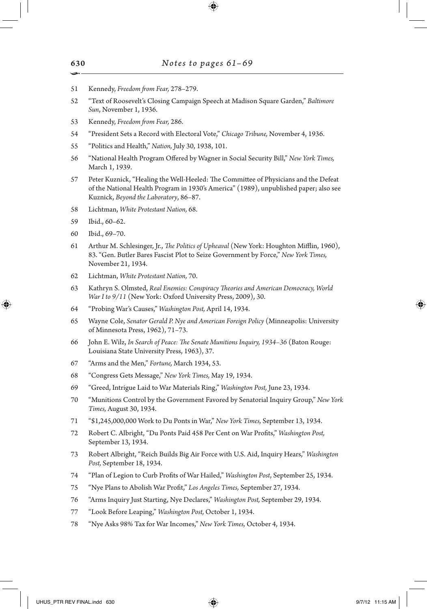- Kennedy, *Freedom from Fear,* 278–279.
- "Text of Roosevelt's Closing Campaign Speech at Madison Square Garden," *Baltimore Sun*, November 1, 1936.
- Kennedy, *Freedom from Fear,* 286.
- "President Sets a Record with Electoral Vote," *Chicago Tribune,* November 4, 1936.
- "Politics and Health," *Nation,* July 30, 1938, 101.
- "National Health Program Offered by Wagner in Social Security Bill," *New York Times,* March 1, 1939.
- Peter Kuznick, "Healing the Well-Heeled: The Committee of Physicians and the Defeat of the National Health Program in 1930's America" (1989), unpublished paper; also see Kuznick, *Beyond the Laboratory*, 86–87.
- Lichtman, *White Protestant Nation,* 68.
- Ibid., 60–62.
- Ibid., 69–70.

↔

- Arthur M. Schlesinger, Jr., *The Politics of Upheaval* (New York: Houghton Mifflin, 1960), 83. "Gen. Butler Bares Fascist Plot to Seize Government by Force," *New York Times,* November 21, 1934.
- Lichtman, *White Protestant Nation,* 70.
- Kathryn S. Olmsted, *Real Enemies: Conspiracy Theories and American Democracy, World War I to 9/11* (New York: Oxford University Press, 2009), 30.
- "Probing War's Causes," *Washington Post,* April 14, 1934.
- Wayne Cole, *Senator Gerald P. Nye and American Foreign Policy* (Minneapolis: University of Minnesota Press, 1962), 71–73.
- John E. Wilz, *In Search of Peace: The Senate Munitions Inquiry, 1934–36* (Baton Rouge: Louisiana State University Press, 1963), 37.
- "Arms and the Men," *Fortune,* March 1934, 53.
- "Congress Gets Message," *New York Times,* May 19, 1934.
- "Greed, Intrigue Laid to War Materials Ring," *Washington Post,* June 23, 1934.
- "Munitions Control by the Government Favored by Senatorial Inquiry Group," *New York Times,* August 30, 1934.
- "\$1,245,000,000 Work to Du Ponts in War," *New York Times,* September 13, 1934.
- Robert C. Albright, "Du Ponts Paid 458 Per Cent on War Profits," *Washington Post,* September 13, 1934.
- Robert Albright, "Reich Builds Big Air Force with U.S. Aid, Inquiry Hears," *Washington Post,* September 18, 1934.
- "Plan of Legion to Curb Profits of War Hailed," *Washington Post*, September 25, 1934.
- "Nye Plans to Abolish War Profit," *Los Angeles Times,* September 27, 1934.
- "Arms Inquiry Just Starting, Nye Declares," *Washington Post,* September 29, 1934.
- "Look Before Leaping," *Washington Post,* October 1, 1934.
- "Nye Asks 98% Tax for War Incomes," *New York Times,* October 4, 1934.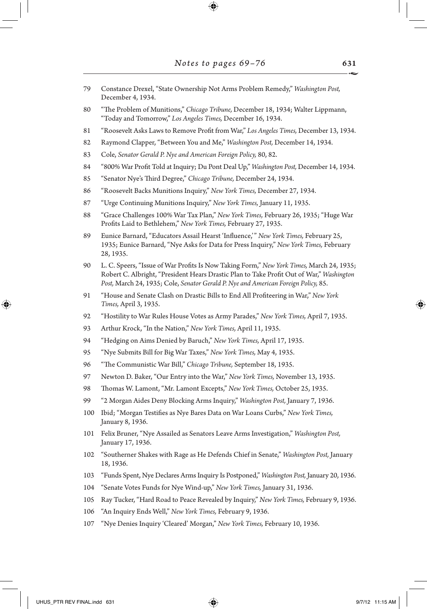$\bigoplus$ 

| 79  | Constance Drexel, "State Ownership Not Arms Problem Remedy," Washington Post,<br>December 4, 1934.                                                                                                                                                                         |
|-----|----------------------------------------------------------------------------------------------------------------------------------------------------------------------------------------------------------------------------------------------------------------------------|
| 80  | "The Problem of Munitions," Chicago Tribune, December 18, 1934; Walter Lippmann,<br>"Today and Tomorrow," Los Angeles Times, December 16, 1934.                                                                                                                            |
| 81  | "Roosevelt Asks Laws to Remove Profit from War," Los Angeles Times, December 13, 1934.                                                                                                                                                                                     |
| 82  | Raymond Clapper, "Between You and Me," Washington Post, December 14, 1934.                                                                                                                                                                                                 |
| 83  | Cole, Senator Gerald P. Nye and American Foreign Policy, 80, 82.                                                                                                                                                                                                           |
| 84  | "800% War Profit Told at Inquiry; Du Pont Deal Up," Washington Post, December 14, 1934.                                                                                                                                                                                    |
| 85  | "Senator Nye's Third Degree," Chicago Tribune, December 24, 1934.                                                                                                                                                                                                          |
| 86  | "Roosevelt Backs Munitions Inquiry," New York Times, December 27, 1934.                                                                                                                                                                                                    |
| 87  | "Urge Continuing Munitions Inquiry," New York Times, January 11, 1935.                                                                                                                                                                                                     |
| 88  | "Grace Challenges 100% War Tax Plan," New York Times, February 26, 1935; "Huge War<br>Profits Laid to Bethlehem," New York Times, February 27, 1935.                                                                                                                       |
| 89  | Eunice Barnard, "Educators Assail Hearst 'Influence,'" New York Times, February 25,<br>1935; Eunice Barnard, "Nye Asks for Data for Press Inquiry," New York Times, February<br>28, 1935.                                                                                  |
| 90  | L. C. Speers, "Issue of War Profits Is Now Taking Form," New York Times, March 24, 1935;<br>Robert C. Albright, "President Hears Drastic Plan to Take Profit Out of War," Washington<br>Post, March 24, 1935; Cole, Senator Gerald P. Nye and American Foreign Policy, 85. |
| 91  | "House and Senate Clash on Drastic Bills to End All Profiteering in War," New York<br>Times, April 3, 1935.                                                                                                                                                                |
| 92  | "Hostility to War Rules House Votes as Army Parades," New York Times, April 7, 1935.                                                                                                                                                                                       |
| 93  | Arthur Krock, "In the Nation," New York Times, April 11, 1935.                                                                                                                                                                                                             |
| 94  | "Hedging on Aims Denied by Baruch," New York Times, April 17, 1935.                                                                                                                                                                                                        |
| 95  | "Nye Submits Bill for Big War Taxes," New York Times, May 4, 1935.                                                                                                                                                                                                         |
| 96  | "The Communistic War Bill," Chicago Tribune, September 18, 1935.                                                                                                                                                                                                           |
| 97  | Newton D. Baker, "Our Entry into the War," New York Times, November 13, 1935.                                                                                                                                                                                              |
| 98  | Thomas W. Lamont, "Mr. Lamont Excepts," New York Times, October 25, 1935.                                                                                                                                                                                                  |
| 99  | "2 Morgan Aides Deny Blocking Arms Inquiry," Washington Post, January 7, 1936.                                                                                                                                                                                             |
| 100 | Ibid; "Morgan Testifies as Nye Bares Data on War Loans Curbs," New York Times,<br>January 8, 1936.                                                                                                                                                                         |
| 101 | Felix Bruner, "Nye Assailed as Senators Leave Arms Investigation," Washington Post,<br>January 17, 1936.                                                                                                                                                                   |
| 102 | "Southerner Shakes with Rage as He Defends Chief in Senate," Washington Post, January<br>18, 1936.                                                                                                                                                                         |
| 103 | "Funds Spent, Nye Declares Arms Inquiry Is Postponed," Washington Post, January 20, 1936.                                                                                                                                                                                  |
| 104 | "Senate Votes Funds for Nye Wind-up," New York Times, January 31, 1936.                                                                                                                                                                                                    |
| 105 | Ray Tucker, "Hard Road to Peace Revealed by Inquiry," New York Times, February 9, 1936.                                                                                                                                                                                    |
| 106 | "An Inquiry Ends Well," New York Times, February 9, 1936.                                                                                                                                                                                                                  |
| 107 | "Nye Denies Inquiry 'Cleared' Morgan," New York Times, February 10, 1936.                                                                                                                                                                                                  |
|     |                                                                                                                                                                                                                                                                            |

 $\mathbb{I}$ 

 $\bigoplus$ 

 $\Box$ 

 $\bigoplus$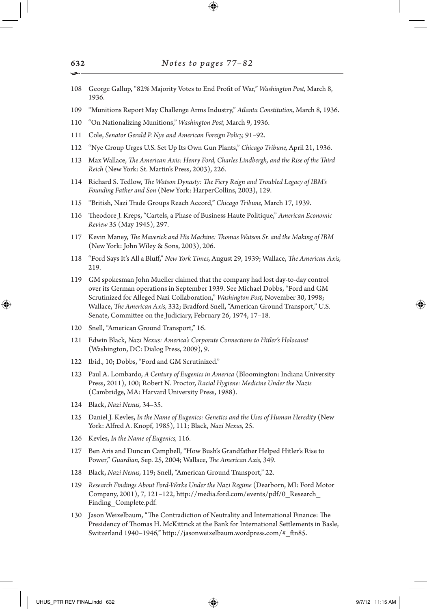- 108 George Gallup, "82% Majority Votes to End Profit of War," *Washington Post,* March 8, 1936.
- 109 "Munitions Report May Challenge Arms Industry," *Atlanta Constitution,* March 8, 1936.
- 110 "On Nationalizing Munitions," *Washington Post,* March 9, 1936.
- 111 Cole, *Senator Gerald P. Nye and American Foreign Policy,* 91–92.
- 112 "Nye Group Urges U.S. Set Up Its Own Gun Plants," *Chicago Tribune,* April 21, 1936.
- 113 Max Wallace, *The American Axis: Henry Ford, Charles Lindbergh, and the Rise of the Third Reich* (New York: St. Martin's Press, 2003), 226.
- 114 Richard S. Tedlow, *The Watson Dynasty: The Fiery Reign and Troubled Legacy of IBM's Founding Father and Son* (New York: HarperCollins, 2003), 129.
- 115 "British, Nazi Trade Groups Reach Accord," *Chicago Tribune,* March 17, 1939.
- 116 Theodore J. Kreps, "Cartels, a Phase of Business Haute Politique," *American Economic Review* 35 (May 1945), 297.
- 117 Kevin Maney, *The Maverick and His Machine: Thomas Watson Sr. and the Making of IBM* (New York: John Wiley & Sons, 2003), 206.
- 118 "Ford Says It's All a Bluff," *New York Times,* August 29, 1939; Wallace, *The American Axis,* 219.
- 119 GM spokesman John Mueller claimed that the company had lost day-to-day control over its German operations in September 1939. See Michael Dobbs, "Ford and GM Scrutinized for Alleged Nazi Collaboration," *Washington Post,* November 30, 1998; Wallace, *The American Axis,* 332; Bradford Snell, "American Ground Transport," U.S. Senate, Committee on the Judiciary, February 26, 1974, 17–18.
- 120 Snell, "American Ground Transport," 16.
- 121 Edwin Black, *Nazi Nexus: America's Corporate Connections to Hitler's Holocaust* (Washington, DC: Dialog Press, 2009), 9.
- 122 Ibid., 10; Dobbs, "Ford and GM Scrutinized."
- 123 Paul A. Lombardo, *A Century of Eugenics in America* (Bloomington: Indiana University Press, 2011), 100; Robert N. Proctor, *Racial Hygiene: Medicine Under the Nazis* (Cambridge, MA: Harvard University Press, 1988).
- 124 Black, *Nazi Nexus,* 34–35.
- 125 Daniel J. Kevles, *In the Name of Eugenics: Genetics and the Uses of Human Heredity* (New York: Alfred A. Knopf, 1985), 111; Black, *Nazi Nexus,* 25.
- 126 Kevles, *In the Name of Eugenics,* 116.
- 127 Ben Aris and Duncan Campbell, "How Bush's Grandfather Helped Hitler's Rise to Power," *Guardian,* Sep. 25, 2004; Wallace, *The American Axis,* 349.
- 128 Black, *Nazi Nexus,* 119; Snell, "American Ground Transport," 22.
- 129 *Research Findings About Ford-Werke Under the Nazi Regime* (Dearborn, MI: Ford Motor Company, 2001), 7, 121–122, http://media.ford.com/events/pdf/0\_Research\_ Finding\_Complete.pdf.
- 130 Jason Weixelbaum, "The Contradiction of Neutrality and International Finance: The Presidency of Thomas H. McKittrick at the Bank for International Settlements in Basle, Switzerland 1940–1946," http://jasonweixelbaum.wordpress.com/#\_ftn85.

⊕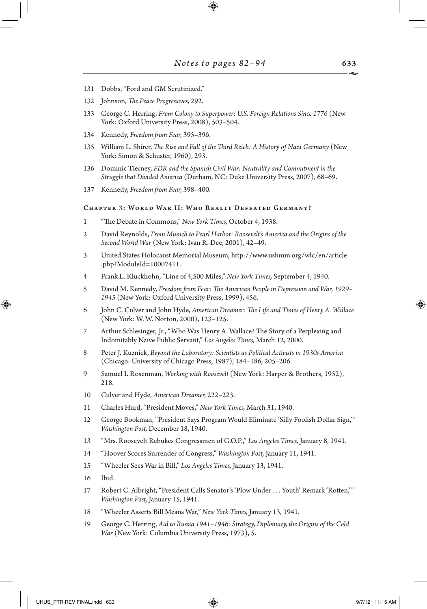- Dobbs, "Ford and GM Scrutinized."
- Johnson, *The Peace Progressives,* 292.
- George C. Herring, *From Colony to Superpower: U.S. Foreign Relations Since 1776* (New York: Oxford University Press, 2008), 503–504.
- Kennedy, *Freedom from Fear,* 395–396.
- William L. Shirer, *The Rise and Fall of the Third Reich: A History of Nazi Germany* (New York: Simon & Schuster, 1960), 293.
- Dominic Tierney, *FDR and the Spanish Civil War: Neutrality and Commitment in the Struggle that Divided America* (Durham, NC: Duke University Press, 2007), 68–69.
- Kennedy, *Freedom from Fear,* 398–400.

## Chapter 3: World War II: Who Really Defeated Germany?

- "The Debate in Commons," *New York Times,* October 4, 1938.
- David Reynolds, *From Munich to Pearl Harbor: Roosevelt's America and the Origins of the Second World War* (New York: Ivan R. Dee, 2001), 42–49.
- United States Holocaust Memorial Museum, http://www.ushmm.org/wlc/en/article .php?ModuleId=10007411.
- Frank L. Kluckhohn, "Line of 4,500 Miles," *New York Times,* September 4, 1940.
- David M. Kennedy, *Freedom from Fear: The American People in Depression and War, 1929–* (New York: Oxford University Press, 1999), 456.
- John C. Culver and John Hyde, *American Dreamer: The Life and Times of Henry A. Wallace* (New York: W. W. Norton, 2000), 123–125.
- Arthur Schlesinger, Jr., "Who Was Henry A. Wallace? The Story of a Perplexing and Indomitably Naïve Public Servant," *Los Angeles Times,* March 12, 2000.
- Peter J. Kuznick, *Beyond the Laboratory: Scientists as Political Activists in 1930s America* (Chicago: University of Chicago Press, 1987), 184–186, 205–206.
- Samuel I. Rosenman, *Working with Roosevelt* (New York: Harper & Brothers, 1952), 218.
- Culver and Hyde, *American Dreamer,* 222–223.
- Charles Hurd, "President Moves," *New York Times,* March 31, 1940.
- George Bookman, "President Says Program Would Eliminate 'Silly Foolish Dollar Sign,'" *Washington Post,* December 18, 1940.
- "Mrs. Roosevelt Rebukes Congressmen of G.O.P.," *Los Angeles Times,* January 8, 1941.
- "Hoover Scores Surrender of Congress," *Washington Post,* January 11, 1941.
- "Wheeler Sees War in Bill," *Los Angeles Times,* January 13, 1941.
- Ibid.

⊕

- Robert C. Albright, "President Calls Senator's 'Plow Under . . . Youth' Remark 'Rotten,'" *Washington Post,* January 15, 1941.
- "Wheeler Asserts Bill Means War," *New York Times,* January 13, 1941.
- George C. Herring, *Aid to Russia 1941–1946: Strategy, Diplomacy, the Origins of the Cold War* (New York: Columbia University Press, 1973), 5.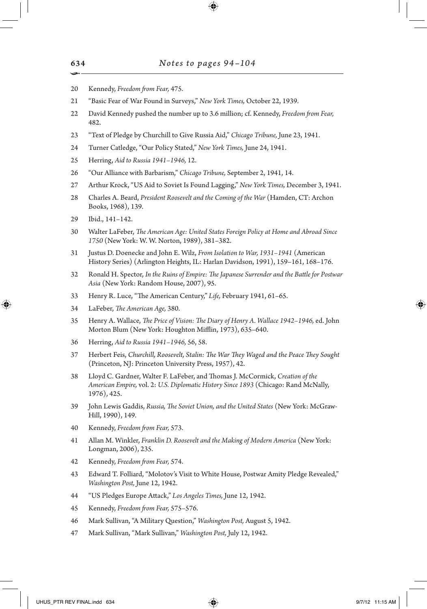- Kennedy, *Freedom from Fear,* 475.
- "Basic Fear of War Found in Surveys," *New York Times,* October 22, 1939.
- David Kennedy pushed the number up to 3.6 million; cf. Kennedy, *Freedom from Fear,* 482.
- "Text of Pledge by Churchill to Give Russia Aid," *Chicago Tribune,* June 23, 1941.
- Turner Catledge, "Our Policy Stated," *New York Times,* June 24, 1941.
- Herring, *Aid to Russia 1941–1946,* 12.
- "Our Alliance with Barbarism," *Chicago Tribune,* September 2, 1941, 14.
- Arthur Krock, "US Aid to Soviet Is Found Lagging," *New York Times,* December 3, 1941.
- Charles A. Beard, *President Roosevelt and the Coming of the War* (Hamden, CT: Archon Books, 1968), 139.
- Ibid., 141–142.

↔

- Walter LaFeber, *The American Age: United States Foreign Policy at Home and Abroad Since*  (New York: W. W. Norton, 1989), 381–382.
- Justus D. Doenecke and John E. Wilz, *From Isolation to War, 1931–1941* (American History Series) (Arlington Heights, IL: Harlan Davidson, 1991), 159–161, 168–176.
- Ronald H. Spector, *In the Ruins of Empire: The Japanese Surrender and the Battle for Postwar Asia* (New York: Random House, 2007), 95.
- Henry R. Luce, "The American Century," *Life,* February 1941, 61–65.
- LaFeber, *The American Age,* 380.
- Henry A. Wallace, *The Price of Vision: The Diary of Henry A. Wallace 1942–1946,* ed. John Morton Blum (New York: Houghton Mifflin, 1973), 635–640.
- Herring, *Aid to Russia 1941–1946,* 56, 58.
- Herbert Feis, *Churchill, Roosevelt, Stalin: The War They Waged and the Peace They Sought* (Princeton, NJ: Princeton University Press, 1957), 42.
- Lloyd C. Gardner, Walter F. LaFeber, and Thomas J. McCormick, *Creation of the American Empire,* vol. 2: *U.S. Diplomatic History Since 1893* (Chicago: Rand McNally, 1976), 425.
- John Lewis Gaddis, *Russia, The Soviet Union, and the United States* (New York: McGraw-Hill, 1990), 149.
- Kennedy, *Freedom from Fear,* 573.
- Allan M. Winkler, *Franklin D. Roosevelt and the Making of Modern America* (New York: Longman, 2006), 235.
- Kennedy, *Freedom from Fear,* 574.
- Edward T. Folliard, "Molotov's Visit to White House, Postwar Amity Pledge Revealed," *Washington Post,* June 12, 1942.
- "US Pledges Europe Attack," *Los Angeles Times,* June 12, 1942.
- Kennedy, *Freedom from Fear,* 575–576.
- Mark Sullivan, "A Military Question," *Washington Post,* August 5, 1942.
- Mark Sullivan, "Mark Sullivan," *Washington Post,* July 12, 1942.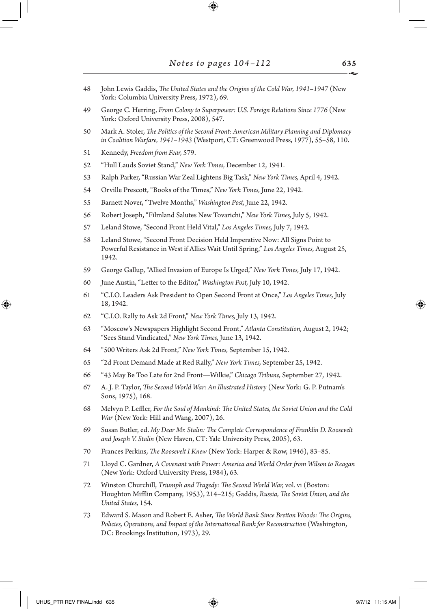48 John Lewis Gaddis, *The United States and the Origins of the Cold War, 1941–1947* (New York: Columbia University Press, 1972), 69.

⊕

- 49 George C. Herring, *From Colony to Superpower: U.S. Foreign Relations Since 1776* (New York: Oxford University Press, 2008), 547.
- 50 Mark A. Stoler, *The Politics of the Second Front: American Military Planning and Diplomacy in Coalition Warfare, 1941–1943* (Westport, CT: Greenwood Press, 1977), 55–58, 110.
- 51 Kennedy, *Freedom from Fear,* 579.
- 52 "Hull Lauds Soviet Stand," *New York Times,* December 12, 1941.
- 53 Ralph Parker, "Russian War Zeal Lightens Big Task," *New York Times,* April 4, 1942.
- 54 Orville Prescott, "Books of the Times," *New York Times,* June 22, 1942.
- 55 Barnett Nover, "Twelve Months," *Washington Post,* June 22, 1942.
- 56 Robert Joseph, "Filmland Salutes New Tovarichi," *New York Times,* July 5, 1942.
- 57 Leland Stowe, "Second Front Held Vital," *Los Angeles Times,* July 7, 1942.
- 58 Leland Stowe, "Second Front Decision Held Imperative Now: All Signs Point to Powerful Resistance in West if Allies Wait Until Spring," *Los Angeles Times,* August 25, 1942.
- 59 George Gallup, "Allied Invasion of Europe Is Urged," *New York Times,* July 17, 1942.
- 60 June Austin, "Letter to the Editor," *Washington Post,* July 10, 1942.
- 61 "C.I.O. Leaders Ask President to Open Second Front at Once," *Los Angeles Times,* July 18, 1942.
- 62 "C.I.O. Rally to Ask 2d Front," *New York Times,* July 13, 1942.
- 63 "Moscow's Newspapers Highlight Second Front," *Atlanta Constitution,* August 2, 1942; "Sees Stand Vindicated," *New York Times,* June 13, 1942.
- 64 "500 Writers Ask 2d Front," *New York Times,* September 15, 1942.
- 65 "2d Front Demand Made at Red Rally," *New York Times,* September 25, 1942.
- 66 "43 May Be Too Late for 2nd Front—Wilkie," *Chicago Tribune,* September 27, 1942.
- 67 A. J. P. Taylor, *The Second World War: An Illustrated History* (New York: G. P. Putnam's Sons, 1975), 168.
- 68 Melvyn P. Leffler, *For the Soul of Mankind: The United States, the Soviet Union and the Cold War* (New York: Hill and Wang, 2007), 26.
- 69 Susan Butler, ed. *My Dear Mr. Stalin: The Complete Correspondence of Franklin D. Roosevelt and Joseph V. Stalin* (New Haven, CT: Yale University Press, 2005), 63.
- 70 Frances Perkins, *The Roosevelt I Knew* (New York: Harper & Row, 1946), 83–85.
- 71 Lloyd C. Gardner, *A Covenant with Power: America and World Order from Wilson to Reagan* (New York: Oxford University Press, 1984), 63.
- 72 Winston Churchill, *Triumph and Tragedy: The Second World War,* vol. vi (Boston: Houghton Mifflin Company, 1953), 214–215; Gaddis, *Russia, The Soviet Union, and the United States,* 154.
- 73 Edward S. Mason and Robert E. Asher, *The World Bank Since Bretton Woods: The Origins, Policies, Operations, and Impact of the International Bank for Reconstruction* (Washington, DC: Brookings Institution, 1973), 29.

↔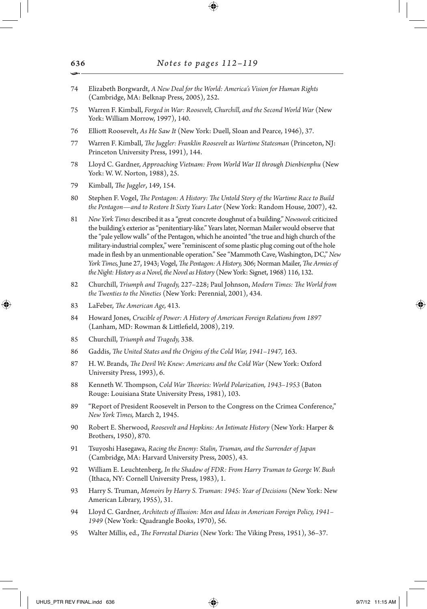- 74 Elizabeth Borgwardt, *A New Deal for the World: America's Vision for Human Rights* (Cambridge, MA: Belknap Press, 2005), 252.
- 75 Warren F. Kimball, *Forged in War: Roosevelt, Churchill, and the Second World War* (New York: William Morrow, 1997), 140.
- 76 Elliott Roosevelt, *As He Saw It* (New York: Duell, Sloan and Pearce, 1946), 37.
- 77 Warren F. Kimball, *The Juggler: Franklin Roosevelt as Wartime Statesman* (Princeton, NJ: Princeton University Press, 1991), 144.
- 78 Lloyd C. Gardner, *Approaching Vietnam: From World War II through Dienbienphu* (New York: W. W. Norton, 1988), 25.
- 79 Kimball, *The Juggler*, 149, 154.
- 80 Stephen F. Vogel, *The Pentagon: A History: The Untold Story of the Wartime Race to Build the Pentagon—and to Restore It Sixty Years Later* (New York: Random House, 2007), 42.
- 81 *New York Times* described it as a "great concrete doughnut of a building." *Newsweek* criticized the building's exterior as "penitentiary-like." Years later, Norman Mailer would observe that the "pale yellow walls" of the Pentagon, which he anointed "the true and high church of the military-industrial complex," were "reminiscent of some plastic plug coming out of the hole made in flesh by an unmentionable operation." See "Mammoth Cave, Washington, DC," *New York Times,* June 27, 1943; Vogel, *The Pentagon: A History,* 306; Norman Mailer, *The Armies of the Night: History as a Novel, the Novel as History* (New York: Signet, 1968) 116, 132.
- 82 Churchill, *Triumph and Tragedy,* 227–228; Paul Johnson, *Modern Times: The World from the Twenties to the Nineties* (New York: Perennial, 2001), 434.
- 83 LaFeber, *The American Age,* 413.

⊕

- 84 Howard Jones, *Crucible of Power: A History of American Foreign Relations from 1897* (Lanham, MD: Rowman & Littlefield, 2008), 219.
- 85 Churchill, *Triumph and Tragedy,* 338.
- 86 Gaddis, *The United States and the Origins of the Cold War, 1941–1947,* 163.
- 87 H. W. Brands, *The Devil We Knew: Americans and the Cold War* (New York: Oxford University Press, 1993), 6.
- 88 Kenneth W. Thompson, *Cold War Theories: World Polarization, 1943–1953* (Baton Rouge: Louisiana State University Press, 1981), 103.
- 89 "Report of President Roosevelt in Person to the Congress on the Crimea Conference," *New York Times,* March 2, 1945.
- 90 Robert E. Sherwood, *Roosevelt and Hopkins: An Intimate History* (New York: Harper & Brothers, 1950), 870.
- 91 Tsuyoshi Hasegawa, *Racing the Enemy: Stalin, Truman, and the Surrender of Japan* (Cambridge, MA: Harvard University Press, 2005), 43.
- 92 William E. Leuchtenberg, *In the Shadow of FDR: From Harry Truman to George W. Bush* (Ithaca, NY: Cornell University Press, 1983), 1.
- 93 Harry S. Truman, *Memoirs by Harry S. Truman: 1945: Year of Decisions* (New York: New American Library, 1955), 31.
- 94 Lloyd C. Gardner, *Architects of Illusion: Men and Ideas in American Foreign Policy, 1941– 1949* (New York: Quadrangle Books, 1970), 56.
- 95 Walter Millis, ed., *The Forrestal Diaries* (New York: The Viking Press, 1951), 36–37.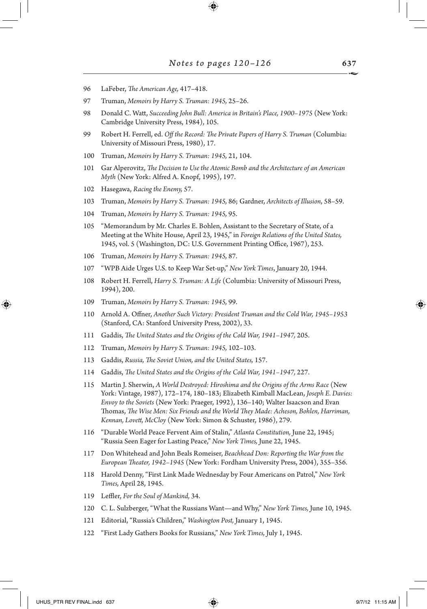- 96 LaFeber, *The American Age,* 417–418.
- 97 Truman, *Memoirs by Harry S. Truman: 1945,* 25–26.
- 98 Donald C. Watt, *Succeeding John Bull: America in Britain's Place, 1900–1975* (New York: Cambridge University Press, 1984), 105.
- 99 Robert H. Ferrell, ed. *Off the Record: The Private Papers of Harry S. Truman* (Columbia: University of Missouri Press, 1980), 17.
- 100 Truman, *Memoirs by Harry S. Truman: 1945,* 21, 104.
- 101 Gar Alperovitz, *The Decision to Use the Atomic Bomb and the Architecture of an American Myth* (New York: Alfred A. Knopf, 1995), 197.
- 102 Hasegawa, *Racing the Enemy,* 57.
- 103 Truman, *Memoirs by Harry S. Truman: 1945,* 86; Gardner, *Architects of Illusion*, 58–59.
- 104 Truman, *Memoirs by Harry S. Truman: 1945,* 95.
- 105 "Memorandum by Mr. Charles E. Bohlen, Assistant to the Secretary of State, of a Meeting at the White House, April 23, 1945," in *Foreign Relations of the United States,* 1945, vol. 5 (Washington, DC: U.S. Government Printing Office, 1967), 253.
- 106 Truman, *Memoirs by Harry S. Truman: 1945,* 87.
- 107 "WPB Aide Urges U.S. to Keep War Set-up," *New York Times*, January 20, 1944.
- 108 Robert H. Ferrell, *Harry S. Truman: A Life* (Columbia: University of Missouri Press, 1994), 200.
- 109 Truman, *Memoirs by Harry S. Truman: 1945,* 99.
- 110 Arnold A. Offner, *Another Such Victory: President Truman and the Cold War, 1945–1953* (Stanford, CA: Stanford University Press, 2002), 33.
- 111 Gaddis, *The United States and the Origins of the Cold War, 1941–1947,* 205.
- 112 Truman, *Memoirs by Harry S. Truman: 1945,* 102–103.
- 113 Gaddis, *Russia, The Soviet Union, and the United States,* 157.
- 114 Gaddis, *The United States and the Origins of the Cold War, 1941–1947,* 227.
- 115 Martin J. Sherwin, *A World Destroyed: Hiroshima and the Origins of the Arms Race* (New York: Vintage, 1987), 172–174, 180–183; Elizabeth Kimball MacLean, *Joseph E. Davies: Envoy to the Soviets* (New York: Praeger, 1992), 136–140; Walter Isaacson and Evan Thomas, *The Wise Men: Six Friends and the World They Made: Acheson, Bohlen, Harriman, Kennan, Lovett, McCloy* (New York: Simon & Schuster, 1986), 279.
- 116 "Durable World Peace Fervent Aim of Stalin," *Atlanta Constitution,* June 22, 1945; "Russia Seen Eager for Lasting Peace," *New York Times,* June 22, 1945.
- 117 Don Whitehead and John Beals Romeiser, *Beachhead Don: Reporting the War from the European Theater, 1942–1945* (New York: Fordham University Press, 2004), 355–356.
- 118 Harold Denny, "First Link Made Wednesday by Four Americans on Patrol," *New York Times,* April 28, 1945.
- 119 Leffler, *For the Soul of Mankind,* 34.
- 120 C. L. Sulzberger, "What the Russians Want—and Why," *New York Times,* June 10, 1945.
- 121 Editorial, "Russia's Children," *Washington Post,* January 1, 1945.
- 122 "First Lady Gathers Books for Russians," *New York Times,* July 1, 1945.

↔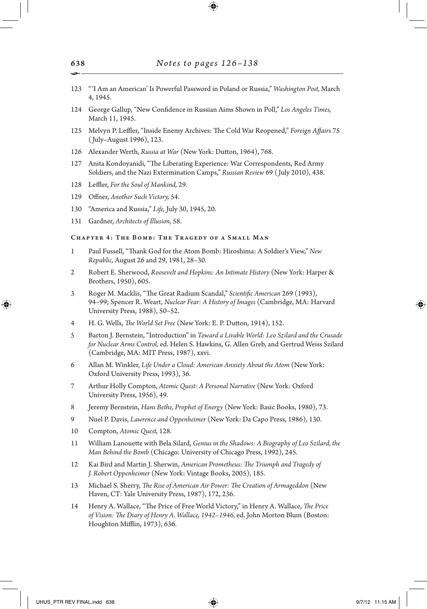- 123 "'I Am an American' Is Powerful Password in Poland or Russia," *Washington Post,* March 4, 1945.
- 124 George Gallup, "New Confidence in Russian Aims Shown in Poll," *Los Angeles Times,* March 11, 1945.
- 125 Melvyn P. Leffler, "Inside Enemy Archives: The Cold War Reopened," *Foreign Affairs* 75 ( July–August 1996), 123.
- 126 Alexander Werth, *Russia at War* (New York: Dutton, 1964), 768.
- 127 Anita Kondoyanidi, "The Liberating Experience: War Correspondents, Red Army Soldiers, and the Nazi Extermination Camps," *Russian Review* 69 ( July 2010), 438.
- 128 Leffler, *For the Soul of Mankind,* 29.
- 129 Offner, *Another Such Victory,* 54.
- 130 "America and Russia," *Life,* July 30, 1945, 20.
- 131 Gardner, *Architects of Illusion,* 58.

# Chapter 4: The Bomb: The Tragedy of a Small Man

- 1 Paul Fussell, "Thank God for the Atom Bomb: Hiroshima: A Soldier's View," *New Republic,* August 26 and 29, 1981, 28–30.
- 2 Robert E. Sherwood, *Roosevelt and Hopkins: An Intimate History* (New York: Harper & Brothers, 1950), 605.
- 3 Roger M. Macklis, "The Great Radium Scandal," *Scientific American* 269 (1993), 94–99; Spencer R. Weart, *Nuclear Fear: A History of Images* (Cambridge, MA: Harvard University Press, 1988), 50–52.
- 4 H. G. Wells, *The World Set Free* (New York: E. P. Dutton, 1914), 152.
- 5 Barton J. Bernstein, "Introduction" in *Toward a Livable World: Leo Szilard and the Crusade for Nuclear Arms Control,* ed. Helen S. Hawkins, G. Allen Greb, and Gertrud Weiss Szilard (Cambridge, MA: MIT Press, 1987), xxvi.
- 6 Allan M. Winkler, *Life Under a Cloud: American Anxiety About the Atom* (New York: Oxford University Press, 1993), 36.
- 7 Arthur Holly Compton, *Atomic Quest: A Personal Narrative* (New York: Oxford University Press, 1956), 49.
- 8 Jeremy Bernstein, *Hans Bethe, Prophet of Energy* (New York: Basic Books, 1980), 73.
- 9 Nuel P. Davis, *Lawrence and Oppenheimer* (New York: Da Capo Press, 1986), 130.
- 10 Compton, *Atomic Quest,* 128.
- 11 William Lanouette with Bela Silard, *Genius in the Shadows: A Biography of Leo Szilard, the Man Behind the Bomb* (Chicago: University of Chicago Press, 1992), 245.
- 12 Kai Bird and Martin J. Sherwin, *American Prometheus: The Triumph and Tragedy of J. Robert Oppenheimer* (New York: Vintage Books, 2005), 185.
- 13 Michael S. Sherry, *The Rise of American Air Power: The Creation of Armageddon* (New Haven, CT: Yale University Press, 1987), 172, 236.
- 14 Henry A. Wallace, "The Price of Free World Victory," in Henry A. Wallace, *The Price of Vision: The Diary of Henry A. Wallace, 1942–1946,* ed. John Morton Blum (Boston: Houghton Mifflin, 1973), 636.

↔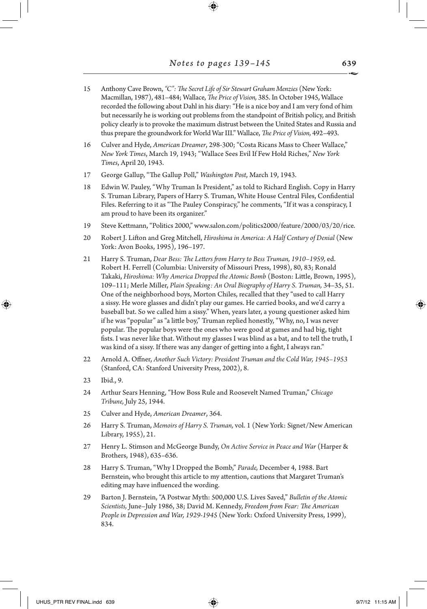- 15 Anthony Cave Brown, *"C": The Secret Life of Sir Stewart Graham Menzies* (New York: Macmillan, 1987), 481–484; Wallace, *The Price of Vision,* 385. In October 1945, Wallace recorded the following about Dahl in his diary: "He is a nice boy and I am very fond of him but necessarily he is working out problems from the standpoint of British policy, and British policy clearly is to provoke the maximum distrust between the United States and Russia and thus prepare the groundwork for World War III." Wallace, *The Price of Vision,* 492–493.
- 16 Culver and Hyde, *American Dreamer*, 298-300; "Costa Ricans Mass to Cheer Wallace," *New York Times*, March 19, 1943; "Wallace Sees Evil If Few Hold Riches," *New York Times*, April 20, 1943.
- 17 George Gallup, "The Gallup Poll," *Washington Post*, March 19, 1943.
- 18 Edwin W. Pauley, "Why Truman Is President," as told to Richard English. Copy in Harry S. Truman Library, Papers of Harry S. Truman, White House Central Files, Confidential Files. Referring to it as "The Pauley Conspiracy," he comments, "If it was a conspiracy, I am proud to have been its organizer."
- 19 Steve Kettmann, "Politics 2000," www.salon.com/politics2000/feature/2000/03/20/rice.
- 20 Robert J. Lifton and Greg Mitchell, *Hiroshima in America: A Half Century of Denial* (New York: Avon Books, 1995), 196–197.
- 21 Harry S. Truman, *Dear Bess: The Letters from Harry to Bess Truman, 1910–1959,* ed. Robert H. Ferrell (Columbia: University of Missouri Press, 1998), 80, 83; Ronald Takaki, *Hiroshima: Why America Dropped the Atomic Bomb* (Boston: Little, Brown, 1995), 109–111; Merle Miller, *Plain Speaking: An Oral Biography of Harry S. Truman,* 34–35, 51. One of the neighborhood boys, Morton Chiles, recalled that they "used to call Harry a sissy. He wore glasses and didn't play our games. He carried books, and we'd carry a baseball bat. So we called him a sissy." When, years later, a young questioner asked him if he was "popular" as "a little boy," Truman replied honestly, "Why, no, I was never popular. The popular boys were the ones who were good at games and had big, tight fists. I was never like that. Without my glasses I was blind as a bat, and to tell the truth, I was kind of a sissy. If there was any danger of getting into a fight, I always ran."
- 22 Arnold A. Offner, *Another Such Victory: President Truman and the Cold War, 1945–1953* (Stanford, CA: Stanford University Press, 2002), 8.
- 23 Ibid., 9.

↔

- 24 Arthur Sears Henning, "How Boss Rule and Roosevelt Named Truman," *Chicago Tribune,* July 25, 1944.
- 25 Culver and Hyde, *American Dreamer*, 364.
- 26 Harry S. Truman, *Memoirs of Harry S. Truman,* vol. 1 (New York: Signet/New American Library, 1955), 21.
- 27 Henry L. Stimson and McGeorge Bundy, *On Active Service in Peace and War* (Harper & Brothers, 1948), 635–636.
- 28 Harry S. Truman, "Why I Dropped the Bomb," *Parade,* December 4, 1988. Bart Bernstein, who brought this article to my attention, cautions that Margaret Truman's editing may have influenced the wording.
- 29 Barton J. Bernstein, "A Postwar Myth: 500,000 U.S. Lives Saved," *Bulletin of the Atomic Scientists,* June–July 1986, 38; David M. Kennedy, *Freedom from Fear: The American People in Depression and War, 1929-1945* (New York: Oxford University Press, 1999), 834.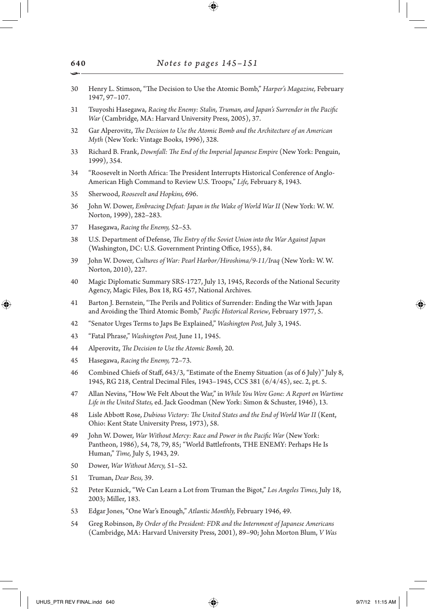- 30 Henry L. Stimson, "The Decision to Use the Atomic Bomb," *Harper's Magazine,* February 1947, 97–107.
- 31 Tsuyoshi Hasegawa, *Racing the Enemy: Stalin, Truman, and Japan's Surrender in the Pacific War* (Cambridge, MA: Harvard University Press, 2005), 37.
- 32 Gar Alperovitz, *The Decision to Use the Atomic Bomb and the Architecture of an American Myth* (New York: Vintage Books, 1996), 328.
- 33 Richard B. Frank, *Downfall: The End of the Imperial Japanese Empire* (New York: Penguin, 1999), 354.
- 34 "Roosevelt in North Africa: The President Interrupts Historical Conference of Anglo-American High Command to Review U.S. Troops," *Life,* February 8, 1943.
- 35 Sherwood, *Roosevelt and Hopkins,* 696.
- 36 John W. Dower, *Embracing Defeat: Japan in the Wake of World War II* (New York: W. W. Norton, 1999), 282–283.
- 37 Hasegawa, *Racing the Enemy,* 52–53.
- 38 U.S. Department of Defense, *The Entry of the Soviet Union into the War Against Japan* (Washington, DC: U.S. Government Printing Office, 1955), 84.
- 39 John W. Dower, *Cultures of War: Pearl Harbor/Hiroshima/9-11/Iraq* (New York: W. W. Norton, 2010), 227.
- 40 Magic Diplomatic Summary SRS-1727, July 13, 1945, Records of the National Security Agency, Magic Files, Box 18, RG 457, National Archives.
- 41 Barton J. Bernstein, "The Perils and Politics of Surrender: Ending the War with Japan and Avoiding the Third Atomic Bomb," *Pacific Historical Review*, February 1977, 5.
- 42 "Senator Urges Terms to Japs Be Explained," *Washington Post,* July 3, 1945.
- 43 "Fatal Phrase," *Washington Post,* June 11, 1945.
- 44 Alperovitz, *The Decision to Use the Atomic Bomb,* 20.
- 45 Hasegawa, *Racing the Enemy,* 72–73.
- 46 Combined Chiefs of Staff, 643/3, "Estimate of the Enemy Situation (as of 6 July)" July 8, 1945, RG 218, Central Decimal Files, 1943–1945, CCS 381 (6/4/45), sec. 2, pt. 5.
- 47 Allan Nevins, "How We Felt About the War," in *While You Were Gone: A Report on Wartime Life in the United States,* ed. Jack Goodman (New York: Simon & Schuster, 1946), 13.
- 48 Lisle Abbott Rose, *Dubious Victory: The United States and the End of World War II* (Kent, Ohio: Kent State University Press, 1973), 58.
- 49 John W. Dower, *War Without Mercy: Race and Power in the Pacific War* (New York: Pantheon, 1986), 54, 78, 79, 85; "World Battlefronts, THE ENEMY: Perhaps He Is Human," *Time,* July 5, 1943, 29.
- 50 Dower, *War Without Mercy,* 51–52.
- 51 Truman, *Dear Bess,* 39.
- 52 Peter Kuznick, "We Can Learn a Lot from Truman the Bigot," *Los Angeles Times,* July 18, 2003; Miller, 183.
- 53 Edgar Jones, "One War's Enough," *Atlantic Monthly,* February 1946, 49.
- 54 Greg Robinson, *By Order of the President: FDR and the Internment of Japanese Americans* (Cambridge, MA: Harvard University Press, 2001), 89–90; John Morton Blum, *V Was*

640 •

↔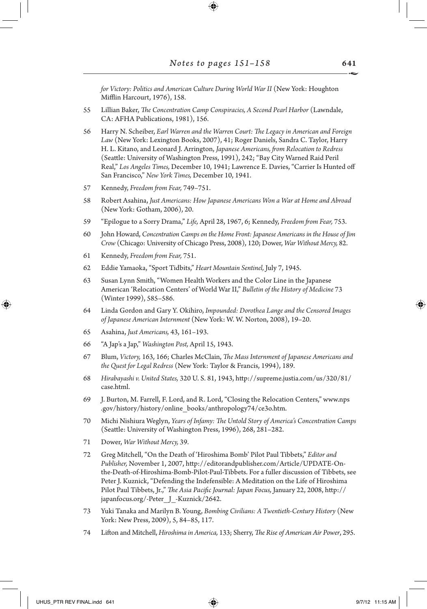*for Victory: Politics and American Culture During World War II* (New York: Houghton Mifflin Harcourt, 1976), 158.

- 55 Lillian Baker, *The Concentration Camp Conspiracies, A Second Pearl Harbor* (Lawndale, CA: AFHA Publications, 1981), 156.
- 56 Harry N. Scheiber, *Earl Warren and the Warren Court: The Legacy in American and Foreign Law* (New York: Lexington Books, 2007), 41; Roger Daniels, Sandra C. Taylor, Harry H. L. Kitano, and Leonard J. Arrington, *Japanese Americans, from Relocation to Redress* (Seattle: University of Washington Press, 1991), 242; "Bay City Warned Raid Peril Real," *Los Angeles Times,* December 10, 1941; Lawrence E. Davies, "Carrier Is Hunted off San Francisco," *New York Times,* December 10, 1941.
- 57 Kennedy, *Freedom from Fear,* 749–751.
- 58 Robert Asahina, *Just Americans: How Japanese Americans Won a War at Home and Abroad* (New York: Gotham, 2006), 20.
- 59 "Epilogue to a Sorry Drama," *Life,* April 28, 1967, 6; Kennedy, *Freedom from Fear,* 753.
- 60 John Howard, *Concentration Camps on the Home Front: Japanese Americans in the House of Jim Crow* (Chicago: University of Chicago Press, 2008), 120; Dower, *War Without Mercy,* 82.
- 61 Kennedy, *Freedom from Fear,* 751.
- 62 Eddie Yamaoka, "Sport Tidbits," *Heart Mountain Sentinel,* July 7, 1945.
- 63 Susan Lynn Smith, "Women Health Workers and the Color Line in the Japanese American 'Relocation Centers' of World War II," *Bulletin of the History of Medicine* 73 (Winter 1999), 585–586.
- 64 Linda Gordon and Gary Y. Okihiro, *Impounded: Dorothea Lange and the Censored Images of Japanese American Internment* (New York: W. W. Norton, 2008), 19–20.
- 65 Asahina, *Just Americans,* 43, 161–193.
- 66 "A Jap's a Jap," *Washington Post,* April 15, 1943.
- 67 Blum, *Victory,* 163, 166; Charles McClain, *The Mass Internment of Japanese Americans and the Quest for Legal Redress* (New York: Taylor & Francis, 1994), 189.
- 68 *Hirabayashi v. United States,* 320 U. S. 81, 1943, http://supreme.justia.com/us/320/81/ case.html.
- 69 J. Burton, M. Farrell, F. Lord, and R. Lord, "Closing the Relocation Centers," www.nps .gov/history/history/online\_books/anthropology74/ce3o.htm.
- 70 Michi Nishiura Weglyn, *Years of Infamy: The Untold Story of America's Concentration Camps* (Seattle: University of Washington Press, 1996), 268, 281–282.
- 71 Dower, *War Without Mercy,* 39.
- 72 Greg Mitchell, "On the Death of 'Hiroshima Bomb' Pilot Paul Tibbets," *Editor and Publisher,* November 1, 2007, http://editorandpublisher.com/Article/UPDATE-Onthe-Death-of-Hiroshima-Bomb-Pilot-Paul-Tibbets. For a fuller discussion of Tibbets, see Peter J. Kuznick, "Defending the Indefensible: A Meditation on the Life of Hiroshima Pilot Paul Tibbets, Jr.," *The Asia Pacific Journal: Japan Focus,* January 22, 2008, http:// japanfocus.org/-Peter\_J\_-Kuznick/2642.
- 73 Yuki Tanaka and Marilyn B. Young, *Bombing Civilians: A Twentieth-Century History* (New York: New Press, 2009), 5, 84–85, 117.
- 74 Lifton and Mitchell, *Hiroshima in America,* 133; Sherry, *The Rise of American Air Power*, 295.

↔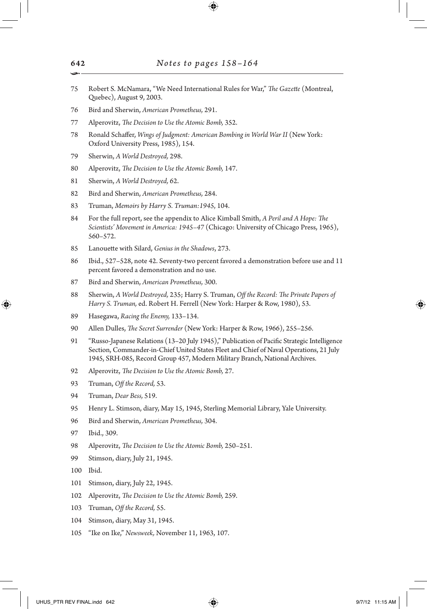- Robert S. McNamara, "We Need International Rules for War," *The Gazette* (Montreal, Quebec), August 9, 2003.
- Bird and Sherwin, *American Prometheus,* 291.
- Alperovitz, *The Decision to Use the Atomic Bomb,* 352.
- Ronald Schaffer, *Wings of Judgment: American Bombing in World War II* (New York: Oxford University Press, 1985), 154.
- Sherwin, *A World Destroyed,* 298.
- Alperovitz, *The Decision to Use the Atomic Bomb,* 147.
- Sherwin, *A World Destroyed,* 62.
- Bird and Sherwin, *American Prometheus,* 284.
- Truman, *Memoirs by Harry S. Truman:1945*, 104.
- For the full report, see the appendix to Alice Kimball Smith, *A Peril and A Hope: The Scientists' Movement in America: 1945–47* (Chicago: University of Chicago Press, 1965), 560–572.
- Lanouette with Silard, *Genius in the Shadows*, 273.
- Ibid., 527–528, note 42. Seventy-two percent favored a demonstration before use and 11 percent favored a demonstration and no use.
- Bird and Sherwin, *American Prometheus,* 300.
- Sherwin, *A World Destroyed,* 235; Harry S. Truman, *Off the Record: The Private Papers of Harry S. Truman,* ed. Robert H. Ferrell (New York: Harper & Row, 1980), 53.
- Hasegawa, *Racing the Enemy,* 133–134.
- Allen Dulles, *The Secret Surrender* (New York: Harper & Row, 1966), 255–256.
- "Russo-Japanese Relations (13–20 July 1945)," Publication of Pacific Strategic Intelligence Section, Commander-in-Chief United States Fleet and Chief of Naval Operations, 21 July 1945, SRH-085, Record Group 457, Modern Military Branch, National Archives.
- Alperovitz, *The Decision to Use the Atomic Bomb,* 27.
- Truman, *Off the Record,* 53.
- Truman, *Dear Bess,* 519.
- Henry L. Stimson, diary, May 15, 1945, Sterling Memorial Library, Yale University.
- Bird and Sherwin, *American Prometheus,* 304.
- Ibid., 309.
- Alperovitz, *The Decision to Use the Atomic Bomb,* 250–251.
- Stimson, diary, July 21, 1945.

Ibid.

↔

- Stimson, diary, July 22, 1945.
- Alperovitz, *The Decision to Use the Atomic Bomb,* 259.
- Truman, *Off the Record,* 55.
- Stimson, diary, May 31, 1945.
- "Ike on Ike," *Newsweek,* November 11, 1963, 107.

UHUS\_PTR REV FINAL.indd 642 **97/12 11:15 AM** 997/12 11:15 AM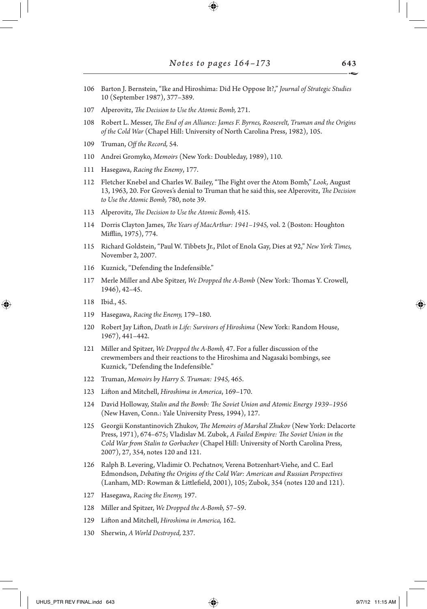- 106 Barton J. Bernstein, "Ike and Hiroshima: Did He Oppose It?," *Journal of Strategic Studies* 10 (September 1987), 377–389.
- 107 Alperovitz, *The Decision to Use the Atomic Bomb,* 271.
- 108 Robert L. Messer, *The End of an Alliance: James F. Byrnes, Roosevelt, Truman and the Origins of the Cold War* (Chapel Hill: University of North Carolina Press, 1982), 105.
- 109 Truman, *Off the Record,* 54.
- 110 Andrei Gromyko, *Memoirs* (New York: Doubleday, 1989), 110.
- 111 Hasegawa, *Racing the Enemy*, 177.
- 112 Fletcher Knebel and Charles W. Bailey, "The Fight over the Atom Bomb," *Look,* August 13, 1963, 20. For Groves's denial to Truman that he said this, see Alperovitz, *The Decision to Use the Atomic Bomb,* 780, note 39.
- 113 Alperovitz, *The Decision to Use the Atomic Bomb,* 415.
- 114 Dorris Clayton James, *The Years of MacArthur: 1941–1945,* vol. 2 (Boston: Houghton Mifflin, 1975), 774.
- 115 Richard Goldstein, "Paul W. Tibbets Jr., Pilot of Enola Gay, Dies at 92," *New York Times,* November 2, 2007.
- 116 Kuznick, "Defending the Indefensible."
- 117 Merle Miller and Abe Spitzer, *We Dropped the A-Bomb* (New York: Thomas Y. Crowell, 1946), 42–45.
- 118 Ibid., 45.

⊕

- 119 Hasegawa, *Racing the Enemy,* 179–180.
- 120 Robert Jay Lifton, *Death in Life: Survivors of Hiroshima* (New York: Random House, 1967), 441–442.
- 121 Miller and Spitzer, *We Dropped the A-Bomb,* 47. For a fuller discussion of the crewmembers and their reactions to the Hiroshima and Nagasaki bombings, see Kuznick, "Defending the Indefensible."
- 122 Truman, *Memoirs by Harry S. Truman: 1945,* 465.
- 123 Lifton and Mitchell, *Hiroshima in America*, 169–170.
- 124 David Holloway, *Stalin and the Bomb: The Soviet Union and Atomic Energy 1939–1956*  (New Haven, Conn.: Yale University Press, 1994), 127.
- 125 Georgii Konstantinovich Zhukov, *The Memoirs of Marshal Zhukov* (New York: Delacorte Press, 1971), 674–675; Vladislav M. Zubok, *A Failed Empire: The Soviet Union in the Cold War from Stalin to Gorbachev* (Chapel Hill: University of North Carolina Press, 2007), 27, 354, notes 120 and 121.
- 126 Ralph B. Levering, Vladimir O. Pechatnov, Verena Botzenhart-Viehe, and C. Earl Edmondson, *Debating the Origins of the Cold War: American and Russian Perspectives* (Lanham, MD: Rowman & Littlefield, 2001), 105; Zubok, 354 (notes 120 and 121).
- 127 Hasegawa, *Racing the Enemy,* 197.
- 128 Miller and Spitzer, *We Dropped the A-Bomb,* 57–59.
- 129 Lifton and Mitchell, *Hiroshima in America,* 162.
- 130 Sherwin, *A World Destroyed,* 237.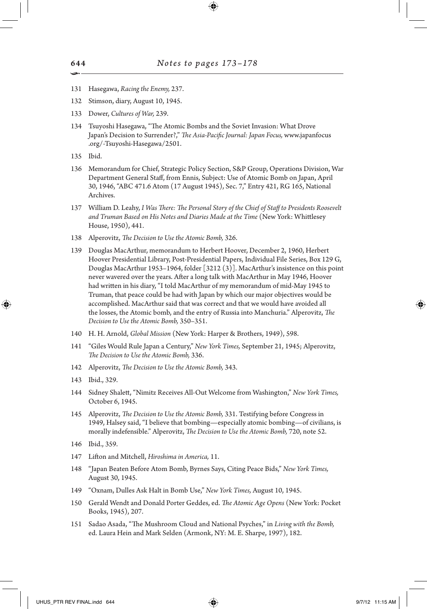- 131 Hasegawa, *Racing the Enemy,* 237.
- 132 Stimson, diary, August 10, 1945.
- 133 Dower, *Cultures of War,* 239.
- 134 Tsuyoshi Hasegawa, "The Atomic Bombs and the Soviet Invasion: What Drove Japan's Decision to Surrender?," *The Asia-Pacific Journal: Japan Focus,* www.japanfocus .org/-Tsuyoshi-Hasegawa/2501.
- 135 Ibid.
- 136 Memorandum for Chief, Strategic Policy Section, S&P Group, Operations Division, War Department General Staff, from Ennis, Subject: Use of Atomic Bomb on Japan, April 30, 1946, "ABC 471.6 Atom (17 August 1945), Sec. 7," Entry 421, RG 165, National Archives.
- 137 William D. Leahy, *I Was There: The Personal Story of the Chief of Staff to Presidents Roosevelt and Truman Based on His Notes and Diaries Made at the Time* (New York: Whittlesey House, 1950), 441.
- 138 Alperovitz, *The Decision to Use the Atomic Bomb,* 326.
- 139 Douglas MacArthur, memorandum to Herbert Hoover, December 2, 1960, Herbert Hoover Presidential Library, Post-Presidential Papers, Individual File Series, Box 129 G, Douglas MacArthur 1953–1964, folder [3212 (3)]. MacArthur's insistence on this point never wavered over the years. After a long talk with MacArthur in May 1946, Hoover had written in his diary, "I told MacArthur of my memorandum of mid-May 1945 to Truman, that peace could be had with Japan by which our major objectives would be accomplished. MacArthur said that was correct and that we would have avoided all the losses, the Atomic bomb, and the entry of Russia into Manchuria." Alperovitz, *The Decision to Use the Atomic Bomb,* 350–351.
- 140 H. H. Arnold, *Global Mission* (New York: Harper & Brothers, 1949), 598.
- 141 "Giles Would Rule Japan a Century," *New York Times,* September 21, 1945; Alperovitz, *The Decision to Use the Atomic Bomb,* 336.
- 142 Alperovitz, *The Decision to Use the Atomic Bomb,* 343.
- 143 Ibid., 329.

⊕

- 144 Sidney Shalett, "Nimitz Receives All-Out Welcome from Washington," *New York Times,* October 6, 1945.
- 145 Alperovitz, *The Decision to Use the Atomic Bomb,* 331. Testifying before Congress in 1949, Halsey said, "I believe that bombing—especially atomic bombing—of civilians, is morally indefensible." Alperovitz, *The Decision to Use the Atomic Bomb,* 720, note 52.
- 146 Ibid., 359.
- 147 Lifton and Mitchell, *Hiroshima in America,* 11.
- 148 "Japan Beaten Before Atom Bomb, Byrnes Says, Citing Peace Bids," *New York Times,* August 30, 1945.
- 149 "Oxnam, Dulles Ask Halt in Bomb Use," *New York Times,* August 10, 1945.
- 150 Gerald Wendt and Donald Porter Geddes, ed. *The Atomic Age Opens* (New York: Pocket Books, 1945), 207.
- 151 Sadao Asada, "The Mushroom Cloud and National Psyches," in *Living with the Bomb,* ed. Laura Hein and Mark Selden (Armonk, NY: M. E. Sharpe, 1997), 182.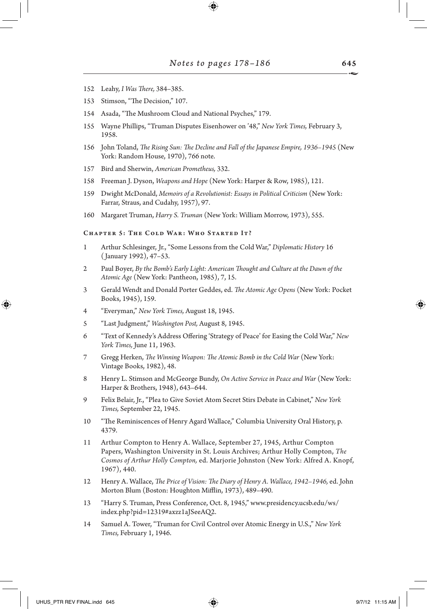- 152 Leahy, *I Was There,* 384–385.
- 153 Stimson, "The Decision," 107.
- 154 Asada, "The Mushroom Cloud and National Psyches," 179.
- 155 Wayne Phillips, "Truman Disputes Eisenhower on '48," *New York Times,* February 3, 1958.
- 156 John Toland, *The Rising Sun: The Decline and Fall of the Japanese Empire, 1936–1945* (New York: Random House, 1970), 766 note.
- 157 Bird and Sherwin, *American Prometheus,* 332.
- 158 Freeman J. Dyson, *Weapons and Hope* (New York: Harper & Row, 1985), 121.
- 159 Dwight McDonald, *Memoirs of a Revolutionist: Essays in Political Criticism* (New York: Farrar, Straus, and Cudahy, 1957), 97.
- 160 Margaret Truman, *Harry S. Truman* (New York: William Morrow, 1973), 555.

# CHAPTER 5: THE COLD WAR: WHO STARTED IT?

- 1 Arthur Schlesinger, Jr., "Some Lessons from the Cold War," *Diplomatic History* 16 ( January 1992), 47–53.
- 2 Paul Boyer, *By the Bomb's Early Light: American Thought and Culture at the Dawn of the Atomic Age* (New York: Pantheon, 1985), 7, 15.
- 3 Gerald Wendt and Donald Porter Geddes, ed. *The Atomic Age Opens* (New York: Pocket Books, 1945), 159.
- 4 "Everyman," *New York Times,* August 18, 1945.
- 5 "Last Judgment," *Washington Post,* August 8, 1945.
- 6 "Text of Kennedy's Address Offering 'Strategy of Peace' for Easing the Cold War," *New York Times,* June 11, 1963.
- 7 Gregg Herken, *The Winning Weapon: The Atomic Bomb in the Cold War* (New York: Vintage Books, 1982), 48.
- 8 Henry L. Stimson and McGeorge Bundy, *On Active Service in Peace and War* (New York: Harper & Brothers, 1948), 643–644.
- 9 Felix Belair, Jr., "Plea to Give Soviet Atom Secret Stirs Debate in Cabinet," *New York Times,* September 22, 1945.
- 10 "The Reminiscences of Henry Agard Wallace," Columbia University Oral History, p. 4379.
- 11 Arthur Compton to Henry A. Wallace, September 27, 1945, Arthur Compton Papers, Washington University in St. Louis Archives; Arthur Holly Compton, *The Cosmos of Arthur Holly Compton,* ed. Marjorie Johnston (New York: Alfred A. Knopf, 1967), 440.
- 12 Henry A. Wallace, *The Price of Vision: The Diary of Henry A. Wallace, 1942–1946,* ed. John Morton Blum (Boston: Houghton Mifflin, 1973), 489–490.
- 13 "Harry S. Truman, Press Conference, Oct. 8, 1945," www.presidency.ucsb.edu/ws/ index.php?pid=12319#axzz1aJSeeAQ2.
- 14 Samuel A. Tower, "Truman for Civil Control over Atomic Energy in U.S.," *New York Times,* February 1, 1946.

↔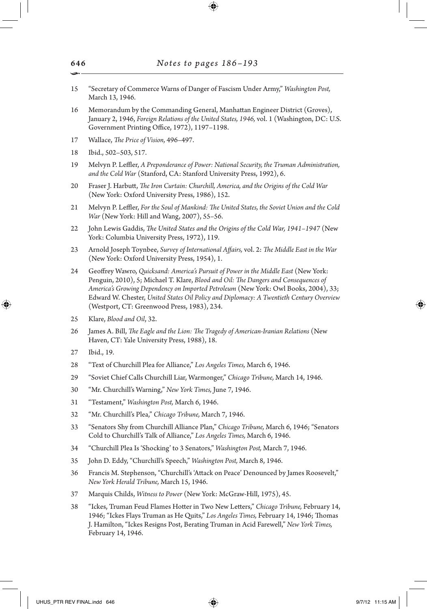- 15 "Secretary of Commerce Warns of Danger of Fascism Under Army," *Washington Post,* March 13, 1946.
- 16 Memorandum by the Commanding General, Manhattan Engineer District (Groves), January 2, 1946, *Foreign Relations of the United States, 1946,* vol. 1 (Washington, DC: U.S. Government Printing Office, 1972), 1197–1198.
- 17 Wallace, *The Price of Vision,* 496–497.
- 18 Ibid., 502–503, 517.
- 19 Melvyn P. Leffler, *A Preponderance of Power: National Security, the Truman Administration, and the Cold War* (Stanford, CA: Stanford University Press, 1992), 6.
- 20 Fraser J. Harbutt, *The Iron Curtain: Churchill, America, and the Origins of the Cold War* (New York: Oxford University Press, 1986), 152.
- 21 Melvyn P. Leffler, *For the Soul of Mankind: The United States, the Soviet Union and the Cold War* (New York: Hill and Wang, 2007), 55–56.
- 22 John Lewis Gaddis, *The United States and the Origins of the Cold War, 1941–1947* (New York: Columbia University Press, 1972), 119.
- 23 Arnold Joseph Toynbee, *Survey of International Affairs,* vol. 2: *The Middle East in the War* (New York: Oxford University Press, 1954), 1.
- 24 Geoffrey Wawro, *Quicksand: America's Pursuit of Power in the Middle East* (New York: Penguin, 2010), 5; Michael T. Klare, *Blood and Oil: The Dangers and Consequences of America's Growing Dependency on Imported Petroleum* (New York: Owl Books, 2004), 33; Edward W. Chester, *United States Oil Policy and Diplomacy: A Twentieth Century Overview* (Westport, CT: Greenwood Press, 1983), 234.
- 25 Klare, *Blood and Oil*, 32.
- 26 James A. Bill, *The Eagle and the Lion: The Tragedy of American-Iranian Relations* (New Haven, CT: Yale University Press, 1988), 18.
- 27 Ibid., 19.

⊕

- 28 "Text of Churchill Plea for Alliance," *Los Angeles Times,* March 6, 1946.
- 29 "Soviet Chief Calls Churchill Liar, Warmonger," *Chicago Tribune,* March 14, 1946.
- 30 "Mr. Churchill's Warning," *New York Times,* June 7, 1946.
- 31 "Testament," *Washington Post,* March 6, 1946.
- 32 "Mr. Churchill's Plea," *Chicago Tribune,* March 7, 1946.
- 33 "Senators Shy from Churchill Alliance Plan," *Chicago Tribune,* March 6, 1946; "Senators Cold to Churchill's Talk of Alliance," *Los Angeles Times,* March 6, 1946.
- 34 "Churchill Plea Is 'Shocking' to 3 Senators," *Washington Post,* March 7, 1946.
- 35 John D. Eddy, "Churchill's Speech," *Washington Post,* March 8, 1946.
- 36 Francis M. Stephenson, "Churchill's 'Attack on Peace' Denounced by James Roosevelt," *New York Herald Tribune,* March 15, 1946.
- 37 Marquis Childs, *Witness to Power* (New York: McGraw-Hill, 1975), 45.
- 38 "Ickes, Truman Feud Flames Hotter in Two New Letters," *Chicago Tribune,* February 14, 1946; "Ickes Flays Truman as He Quits," *Los Angeles Times,* February 14, 1946; Thomas J. Hamilton, "Ickes Resigns Post, Berating Truman in Acid Farewell," *New York Times,* February 14, 1946.

646 •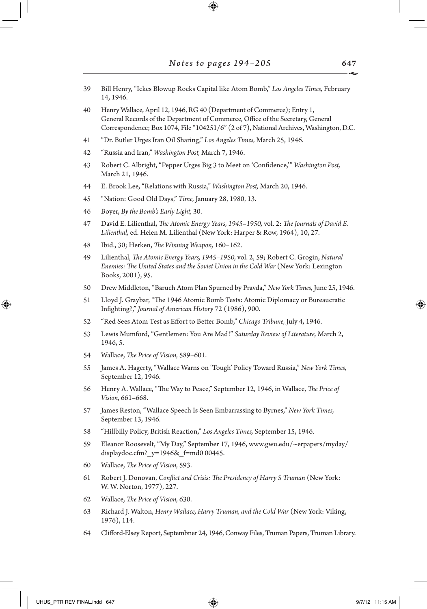$\bigoplus$ 

| 39 | Bill Henry, "Ickes Blowup Rocks Capital like Atom Bomb," Los Angeles Times, February<br>14, 1946.                                                                                                                                                     |
|----|-------------------------------------------------------------------------------------------------------------------------------------------------------------------------------------------------------------------------------------------------------|
| 40 | Henry Wallace, April 12, 1946, RG 40 (Department of Commerce); Entry 1,<br>General Records of the Department of Commerce, Office of the Secretary, General<br>Correspondence; Box 1074, File "104251/6" (2 of 7), National Archives, Washington, D.C. |
| 41 | "Dr. Butler Urges Iran Oil Sharing," Los Angeles Times, March 25, 1946.                                                                                                                                                                               |
| 42 | "Russia and Iran," Washington Post, March 7, 1946.                                                                                                                                                                                                    |
| 43 | Robert C. Albright, "Pepper Urges Big 3 to Meet on 'Confidence,'" Washington Post,<br>March 21, 1946.                                                                                                                                                 |
| 44 | E. Brook Lee, "Relations with Russia," Washington Post, March 20, 1946.                                                                                                                                                                               |
| 45 | "Nation: Good Old Days," Time, January 28, 1980, 13.                                                                                                                                                                                                  |
| 46 | Boyer, By the Bomb's Early Light, 30.                                                                                                                                                                                                                 |
| 47 | David E. Lilienthal, The Atomic Energy Years, 1945-1950, vol. 2: The Journals of David E.<br>Lilienthal, ed. Helen M. Lilienthal (New York: Harper & Row, 1964), 10, 27.                                                                              |
| 48 | Ibid., 30; Herken, The Winning Weapon, 160-162.                                                                                                                                                                                                       |
| 49 | Lilienthal, The Atomic Energy Years, 1945-1950, vol. 2, 59; Robert C. Grogin, Natural<br>Enemies: The United States and the Soviet Union in the Cold War (New York: Lexington<br>Books, 2001), 95.                                                    |
| 50 | Drew Middleton, "Baruch Atom Plan Spurned by Pravda," New York Times, June 25, 1946.                                                                                                                                                                  |
| 51 | Lloyd J. Graybar, "The 1946 Atomic Bomb Tests: Atomic Diplomacy or Bureaucratic<br>Infighting?," Journal of American History 72 (1986), 900.                                                                                                          |
| 52 | "Red Sees Atom Test as Effort to Better Bomb," Chicago Tribune, July 4, 1946.                                                                                                                                                                         |
| 53 | Lewis Mumford, "Gentlemen: You Are Mad!" Saturday Review of Literature, March 2,<br>1946, 5.                                                                                                                                                          |
| 54 | Wallace, The Price of Vision, 589-601.                                                                                                                                                                                                                |
| 55 | James A. Hagerty, "Wallace Warns on 'Tough' Policy Toward Russia," New York Times,<br>September 12, 1946.                                                                                                                                             |
| 56 | Henry A. Wallace, "The Way to Peace," September 12, 1946, in Wallace, The Price of<br>Vision, 661-668.                                                                                                                                                |
| 57 | James Reston, "Wallace Speech Is Seen Embarrassing to Byrnes," New York Times,<br>September 13, 1946.                                                                                                                                                 |
| 58 | "Hillbilly Policy, British Reaction," Los Angeles Times, September 15, 1946.                                                                                                                                                                          |
| 59 | Eleanor Roosevelt, "My Day," September 17, 1946, www.gwu.edu/~erpapers/myday/<br>displaydoc.cfm?_y=1946&_f=md0 00445.                                                                                                                                 |
| 60 | Wallace, The Price of Vision, 593.                                                                                                                                                                                                                    |
| 61 | Robert J. Donovan, Conflict and Crisis: The Presidency of Harry S Truman (New York:<br>W. W. Norton, 1977), 227.                                                                                                                                      |
| 62 | Wallace, The Price of Vision, 630.                                                                                                                                                                                                                    |
| 63 | Richard J. Walton, Henry Wallace, Harry Truman, and the Cold War (New York: Viking,<br>1976), 114.                                                                                                                                                    |
| 64 | Clifford-Elsey Report, Septembner 24, 1946, Conway Files, Truman Papers, Truman Library.                                                                                                                                                              |

 $\mathbb{I}$ 

 $\bigoplus$ 

 $\Box$ 

 $\bigoplus$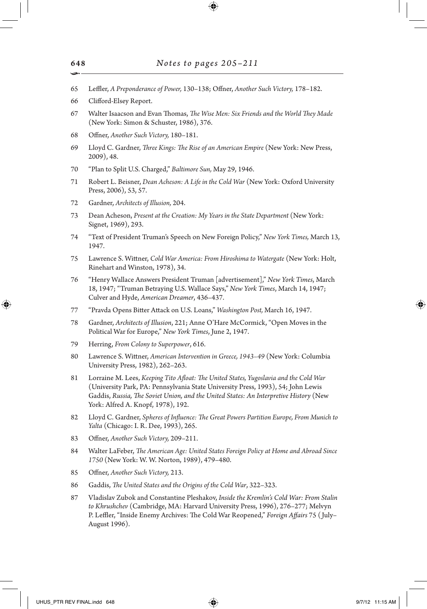- 65 Leffler, *A Preponderance of Power,* 130–138; Offner, *Another Such Victory,* 178–182.
- 66 Clifford-Elsey Report.
- 67 Walter Isaacson and Evan Thomas, *The Wise Men: Six Friends and the World They Made* (New York: Simon & Schuster, 1986), 376.
- 68 Offner, *Another Such Victory,* 180–181.
- 69 Lloyd C. Gardner, *Three Kings: The Rise of an American Empire* (New York: New Press, 2009), 48.
- 70 "Plan to Split U.S. Charged," *Baltimore Sun,* May 29, 1946.
- 71 Robert L. Beisner, *Dean Acheson: A Life in the Cold War* (New York: Oxford University Press, 2006), 53, 57.
- 72 Gardner, *Architects of Illusion,* 204.
- 73 Dean Acheson, *Present at the Creation: My Years in the State Department* (New York: Signet, 1969), 293.
- 74 "Text of President Truman's Speech on New Foreign Policy," *New York Times,* March 13, 1947.
- 75 Lawrence S. Wittner, *Cold War America: From Hiroshima to Watergate* (New York: Holt, Rinehart and Winston, 1978), 34.
- 76 "Henry Wallace Answers President Truman [advertisement]," *New York Times*, March 18, 1947; "Truman Betraying U.S. Wallace Says," *New York Times*, March 14, 1947; Culver and Hyde, *American Dreamer*, 436–437.
- 77 "Pravda Opens Bitter Attack on U.S. Loans," *Washington Post,* March 16, 1947.
- 78 Gardner, *Architects of Illusion*, 221; Anne O'Hare McCormick, "Open Moves in the Political War for Europe," *New York Times*, June 2, 1947.
- 79 Herring, *From Colony to Superpower*, 616.
- 80 Lawrence S. Wittner, *American Intervention in Greece, 1943–49* (New York: Columbia University Press, 1982), 262–263.
- 81 Lorraine M. Lees, *Keeping Tito Afloat: The United States, Yugoslavia and the Cold War* (University Park, PA: Pennsylvania State University Press, 1993), 54; John Lewis Gaddis, *Russia, The Soviet Union, and the United States: An Interpretive History* (New York: Alfred A. Knopf, 1978), 192.
- 82 Lloyd C. Gardner, *Spheres of Influence: The Great Powers Partition Europe, From Munich to Yalta* (Chicago: I. R. Dee, 1993), 265.
- 83 Offner, *Another Such Victory,* 209–211.
- 84 Walter LaFeber, *The American Age: United States Foreign Policy at Home and Abroad Since 1750* (New York: W. W. Norton, 1989), 479–480.
- 85 Offner, *Another Such Victory,* 213.
- 86 Gaddis, *The United States and the Origins of the Cold War*, 322–323.
- 87 Vladislav Zubok and Constantine Pleshakov, *Inside the Kremlin's Cold War: From Stalin to Khrushchev* (Cambridge, MA: Harvard University Press, 1996), 276–277; Melvyn P. Leffler, "Inside Enemy Archives: The Cold War Reopened," *Foreign Affairs* 75 ( July– August 1996).

648 •

⊕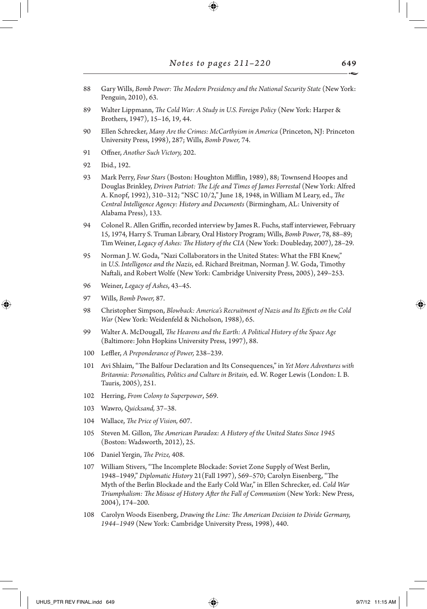- 88 Gary Wills, *Bomb Power: The Modern Presidency and the National Security State* (New York: Penguin, 2010), 63.
- 89 Walter Lippmann, *The Cold War: A Study in U.S. Foreign Policy* (New York: Harper & Brothers, 1947), 15–16, 19, 44.
- 90 Ellen Schrecker, *Many Are the Crimes: McCarthyism in America* (Princeton, NJ: Princeton University Press, 1998), 287; Wills, *Bomb Power,* 74.
- 91 Offner, *Another Such Victory,* 202.
- 92 Ibid., 192.
- 93 Mark Perry, *Four Stars* (Boston: Houghton Mifflin, 1989), 88; Townsend Hoopes and Douglas Brinkley, *Driven Patriot: The Life and Times of James Forrestal* (New York: Alfred A. Knopf, 1992), 310–312; "NSC 10/2," June 18, 1948, in William M Leary, ed., *The Central Intelligence Agency: History and Documents* (Birmingham, AL: University of Alabama Press), 133.
- 94 Colonel R. Allen Griffin, recorded interview by James R. Fuchs, staff interviewer, February 15, 1974, Harry S. Truman Library, Oral History Program; Wills, *Bomb Power*, 78, 88–89; Tim Weiner, *Legacy of Ashes: The History of the CIA* (New York: Doubleday, 2007), 28–29.
- 95 Norman J. W. Goda, "Nazi Collaborators in the United States: What the FBI Knew," in *U.S. Intelligence and the Nazis*, ed. Richard Breitman, Norman J. W. Goda, Timothy Naftali, and Robert Wolfe (New York: Cambridge University Press, 2005), 249–253.
- 96 Weiner, *Legacy of Ashes*, 43–45.
- 97 Wills, *Bomb Power,* 87.

⊕

- 98 Christopher Simpson, *Blowback: America's Recruitment of Nazis and Its Effects on the Cold War* (New York: Weidenfeld & Nicholson, 1988), 65.
- 99 Walter A. McDougall, *The Heavens and the Earth: A Political History of the Space Age* (Baltimore: John Hopkins University Press, 1997), 88.
- 100 Leffler, *A Preponderance of Power,* 238–239.
- 101 Avi Shlaim, "The Balfour Declaration and Its Consequences," in *Yet More Adventures with Britannia: Personalities, Politics and Culture in Britain,* ed. W. Roger Lewis (London: I. B. Tauris, 2005), 251.
- 102 Herring, *From Colony to Superpower*, 569.
- 103 Wawro, *Quicksand,* 37–38.
- 104 Wallace, *The Price of Vision,* 607.
- 105 Steven M. Gillon, *The American Paradox: A History of the United States Since 1945* (Boston: Wadsworth, 2012), 25.
- 106 Daniel Yergin, *The Prize,* 408.
- 107 William Stivers, "The Incomplete Blockade: Soviet Zone Supply of West Berlin, 1948–1949," *Diplomatic History* 21(Fall 1997), 569–570; Carolyn Eisenberg, "The Myth of the Berlin Blockade and the Early Cold War," in Ellen Schrecker, ed. *Cold War Triumphalism: The Misuse of History After the Fall of Communism* (New York: New Press, 2004), 174–200.
- 108 Carolyn Woods Eisenberg, *Drawing the Line: The American Decision to Divide Germany, 1944–1949* (New York: Cambridge University Press, 1998), 440.

649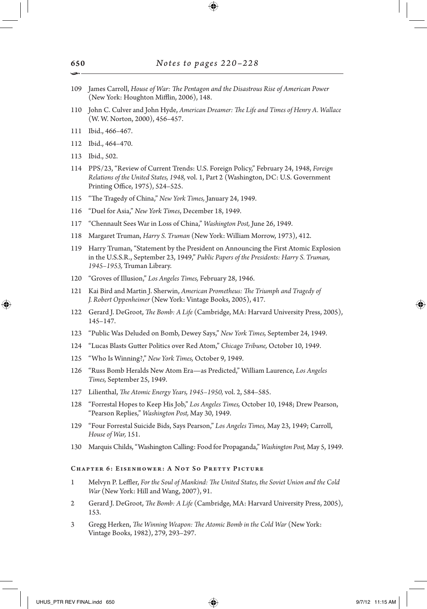- 109 James Carroll, *House of War: The Pentagon and the Disastrous Rise of American Power*  (New York: Houghton Mifflin, 2006), 148.
- 110 John C. Culver and John Hyde, *American Dreamer: The Life and Times of Henry A. Wallace* (W. W. Norton, 2000), 456–457.
- 111 Ibid., 466–467.
- 112 Ibid., 464–470.
- 113 Ibid., 502.

↔

- 114 PPS/23, "Review of Current Trends: U.S. Foreign Policy," February 24, 1948, *Foreign Relations of the United States, 1948,* vol. 1, Part 2 (Washington, DC: U.S. Government Printing Office, 1975), 524–525.
- 115 "The Tragedy of China," *New York Times,* January 24, 1949.
- 116 "Duel for Asia," *New York Times*, December 18, 1949.
- 117 "Chennault Sees War in Loss of China," *Washington Post,* June 26, 1949.
- 118 Margaret Truman, *Harry S. Truman* (New York: William Morrow, 1973), 412.
- 119 Harry Truman, "Statement by the President on Announcing the First Atomic Explosion in the U.S.S.R., September 23, 1949," *Public Papers of the Presidents: Harry S. Truman, 1945–1953,* Truman Library.
- 120 "Groves of Illusion," *Los Angeles Times,* February 28, 1946.
- 121 Kai Bird and Martin J. Sherwin, *American Prometheus: The Triumph and Tragedy of J. Robert Oppenheimer* (New York: Vintage Books, 2005), 417.
- 122 Gerard J. DeGroot, *The Bomb: A Life* (Cambridge, MA: Harvard University Press, 2005), 145–147.
- 123 "Public Was Deluded on Bomb, Dewey Says," *New York Times,* September 24, 1949.
- 124 "Lucas Blasts Gutter Politics over Red Atom," *Chicago Tribune,* October 10, 1949.
- 125 "Who Is Winning?," *New York Times,* October 9, 1949.
- 126 "Russ Bomb Heralds New Atom Era—as Predicted," William Laurence, *Los Angeles Times,* September 25, 1949.
- 127 Lilienthal, *The Atomic Energy Years, 1945–1950,* vol. 2, 584–585.
- 128 "Forrestal Hopes to Keep His Job," *Los Angeles Times,* October 10, 1948; Drew Pearson, "Pearson Replies," *Washington Post,* May 30, 1949.
- 129 "Four Forrestal Suicide Bids, Says Pearson," *Los Angeles Times,* May 23, 1949; Carroll, *House of War,* 151.
- 130 Marquis Childs, "Washington Calling: Food for Propaganda," *Washington Post,* May 5, 1949.

#### Chapter 6: Eisenhower: A Not So Pretty Picture

- 1 Melvyn P. Leffler, *For the Soul of Mankind: The United States, the Soviet Union and the Cold War* (New York: Hill and Wang, 2007), 91.
- 2 Gerard J. DeGroot, *The Bomb: A Life* (Cambridge, MA: Harvard University Press, 2005), 153.
- 3 Gregg Herken, *The Winning Weapon: The Atomic Bomb in the Cold War* (New York: Vintage Books, 1982), 279, 293–297.

650 •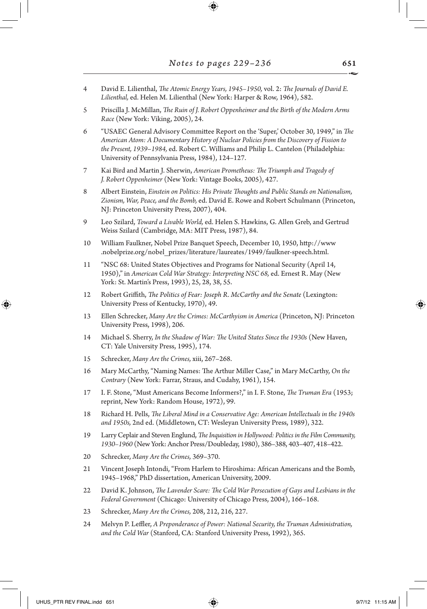4 David E. Lilienthal, *The Atomic Energy Years, 1945–1950,* vol. 2: *The Journals of David E. Lilienthal,* ed. Helen M. Lilienthal (New York: Harper & Row, 1964), 582.

⊕

- 5 Priscilla J. McMillan, *The Ruin of J. Robert Oppenheimer and the Birth of the Modern Arms Race* (New York: Viking, 2005), 24.
- 6 "USAEC General Advisory Committee Report on the 'Super,' October 30, 1949," in *The American Atom: A Documentary History of Nuclear Policies from the Discovery of Fission to the Present, 1939*–*1984,* ed. Robert C. Williams and Philip L. Cantelon (Philadelphia: University of Pennsylvania Press, 1984), 124–127.
- 7 Kai Bird and Martin J. Sherwin, *American Prometheus: The Triumph and Tragedy of J. Robert Oppenheimer* (New York: Vintage Books, 2005), 427.
- 8 Albert Einstein, *Einstein on Politics: His Private Thoughts and Public Stands on Nationalism, Zionism, War, Peace, and the Bomb,* ed. David E. Rowe and Robert Schulmann (Princeton, NJ: Princeton University Press, 2007), 404.
- 9 Leo Szilard, *Toward a Livable World,* ed. Helen S. Hawkins, G. Allen Greb, and Gertrud Weiss Szilard (Cambridge, MA: MIT Press, 1987), 84.
- 10 William Faulkner, Nobel Prize Banquet Speech, December 10, 1950, http://www .nobelprize.org/nobel\_prizes/literature/laureates/1949/faulkner-speech.html.
- 11 "NSC 68: United States Objectives and Programs for National Security (April 14, 1950)," in *American Cold War Strategy: Interpreting NSC 68,* ed. Ernest R. May (New York: St. Martin's Press, 1993), 25, 28, 38, 55.
- 12 Robert Griffith, *The Politics of Fear: Joseph R. McCarthy and the Senate* (Lexington: University Press of Kentucky, 1970), 49.
- 13 Ellen Schrecker, *Many Are the Crimes: McCarthyism in America* (Princeton, NJ: Princeton University Press, 1998), 206.
- 14 Michael S. Sherry, *In the Shadow of War: The United States Since the 1930s* (New Haven, CT: Yale University Press, 1995), 174.
- 15 Schrecker, *Many Are the Crimes,* xiii, 267–268.
- 16 Mary McCarthy, "Naming Names: The Arthur Miller Case," in Mary McCarthy, *On the Contrary* (New York: Farrar, Straus, and Cudahy, 1961), 154.
- 17 I. F. Stone, "Must Americans Become Informers?," in I. F. Stone, *The Truman Era* (1953; reprint, New York: Random House, 1972), 99.
- 18 Richard H. Pells, *The Liberal Mind in a Conservative Age: American Intellectuals in the 1940s and 1950s,* 2nd ed. (Middletown, CT: Wesleyan University Press, 1989), 322.
- 19 Larry Ceplair and Steven Englund, *The Inquisition in Hollywood: Politics in the Film Community, 1930–1960* (New York: Anchor Press/Doubleday, 1980), 386–388, 403–407, 418–422.
- 20 Schrecker, *Many Are the Crimes,* 369–370.
- 21 Vincent Joseph Intondi, "From Harlem to Hiroshima: African Americans and the Bomb, 1945–1968," PhD dissertation, American University, 2009.
- 22 David K. Johnson, *The Lavender Scare: The Cold War Persecution of Gays and Lesbians in the Federal Government* (Chicago: University of Chicago Press, 2004), 166–168.
- 23 Schrecker, *Many Are the Crimes,* 208, 212, 216, 227.
- 24 Melvyn P. Leffler, *A Preponderance of Power: National Security, the Truman Administration, and the Cold War* (Stanford, CA: Stanford University Press, 1992), 365.

⊕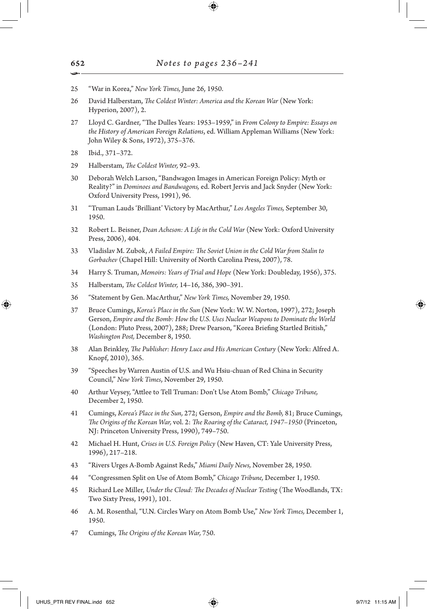- 25 "War in Korea," *New York Times,* June 26, 1950.
- 26 David Halberstam, *The Coldest Winter: America and the Korean War* (New York: Hyperion, 2007), 2.
- 27 Lloyd C. Gardner, "The Dulles Years: 1953–1959," in *From Colony to Empire: Essays on the History of American Foreign Relations*, ed. William Appleman Williams (New York: John Wiley & Sons, 1972), 375–376.
- 28 Ibid., 371–372.
- 29 Halberstam, *The Coldest Winter,* 92–93.
- 30 Deborah Welch Larson, "Bandwagon Images in American Foreign Policy: Myth or Reality?" in *Dominoes and Bandwagons,* ed. Robert Jervis and Jack Snyder (New York: Oxford University Press, 1991), 96.
- 31 "Truman Lauds 'Brilliant' Victory by MacArthur," *Los Angeles Times,* September 30, 1950.
- 32 Robert L. Beisner, *Dean Acheson: A Life in the Cold War* (New York: Oxford University Press, 2006), 404.
- 33 Vladislav M. Zubok, *A Failed Empire: The Soviet Union in the Cold War from Stalin to Gorbachev* (Chapel Hill: University of North Carolina Press, 2007), 78.
- 34 Harry S. Truman, *Memoirs: Years of Trial and Hope* (New York: Doubleday, 1956), 375.
- 35 Halberstam, *The Coldest Winter,* 14–16, 386, 390–391.
- 36 "Statement by Gen. MacArthur," *New York Times,* November 29, 1950.
- 37 Bruce Cumings, *Korea's Place in the Sun* (New York: W. W. Norton, 1997), 272; Joseph Gerson, *Empire and the Bomb: How the U.S. Uses Nuclear Weapons to Dominate the World* (London: Pluto Press, 2007), 288; Drew Pearson, "Korea Briefing Startled British," *Washington Post,* December 8, 1950.
- 38 Alan Brinkley, *The Publisher: Henry Luce and His American Century* (New York: Alfred A. Knopf, 2010), 365.
- 39 "Speeches by Warren Austin of U.S. and Wu Hsiu-chuan of Red China in Security Council," *New York Times*, November 29, 1950.
- 40 Arthur Veysey, "Attlee to Tell Truman: Don't Use Atom Bomb," *Chicago Tribune,* December 2, 1950.
- 41 Cumings, *Korea's Place in the Sun,* 272; Gerson, *Empire and the Bomb,* 81; Bruce Cumings, *The Origins of the Korean War,* vol. 2: *The Roaring of the Cataract, 1947–1950* (Princeton, NJ: Princeton University Press, 1990), 749–750.
- 42 Michael H. Hunt, *Crises in U.S. Foreign Policy* (New Haven, CT: Yale University Press, 1996), 217–218.
- 43 "Rivers Urges A-Bomb Against Reds," *Miami Daily News,* November 28, 1950.
- 44 "Congressmen Split on Use of Atom Bomb," *Chicago Tribune,* December 1, 1950.
- 45 Richard Lee Miller, *Under the Cloud: The Decades of Nuclear Testing* (The Woodlands, TX: Two Sixty Press, 1991), 101.
- 46 A. M. Rosenthal, "U.N. Circles Wary on Atom Bomb Use," *New York Times,* December 1, 1950.
- 47 Cumings, *The Origins of the Korean War,* 750.

652 •

↔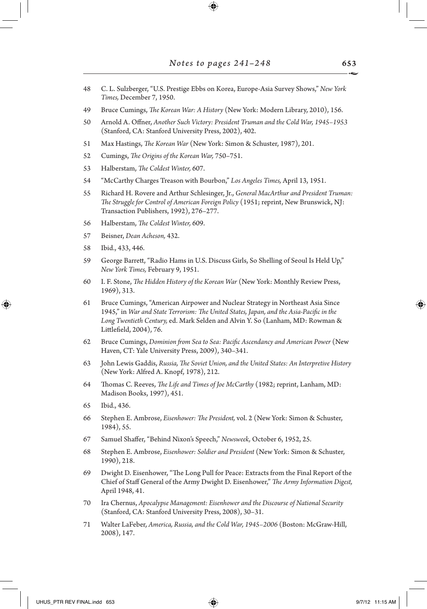48 C. L. Sulzberger, "U.S. Prestige Ebbs on Korea, Europe-Asia Survey Shows," *New York Times,* December 7, 1950.

⊕

- 49 Bruce Cumings, *The Korean War: A History* (New York: Modern Library, 2010), 156.
- 50 Arnold A. Offner, *Another Such Victory: President Truman and the Cold War, 1945–1953* (Stanford, CA: Stanford University Press, 2002), 402.
- 51 Max Hastings, *The Korean War* (New York: Simon & Schuster, 1987), 201.
- 52 Cumings, *The Origins of the Korean War,* 750–751.
- 53 Halberstam, *The Coldest Winter,* 607.
- 54 "McCarthy Charges Treason with Bourbon," *Los Angeles Times,* April 13, 1951.
- 55 Richard H. Rovere and Arthur Schlesinger, Jr., *General MacArthur and President Truman: The Struggle for Control of American Foreign Policy* (1951; reprint, New Brunswick, NJ: Transaction Publishers, 1992), 276–277.
- 56 Halberstam, *The Coldest Winter,* 609.
- 57 Beisner, *Dean Acheson,* 432.
- 58 Ibid., 433, 446.

↔

- 59 George Barrett, "Radio Hams in U.S. Discuss Girls, So Shelling of Seoul Is Held Up," *New York Times,* February 9, 1951.
- 60 I. F. Stone, *The Hidden History of the Korean War* (New York: Monthly Review Press, 1969), 313.
- 61 Bruce Cumings, "American Airpower and Nuclear Strategy in Northeast Asia Since 1945," in *War and State Terrorism: The United States, Japan, and the Asia-Pacific in the Long Twentieth Century,* ed. Mark Selden and Alvin Y. So (Lanham, MD: Rowman & Littlefield, 2004), 76.
- 62 Bruce Cumings, *Dominion from Sea to Sea: Pacific Ascendancy and American Power* (New Haven, CT: Yale University Press, 2009), 340–341.
- 63 John Lewis Gaddis, *Russia, The Soviet Union, and the United States: An Interpretive History* (New York: Alfred A. Knopf, 1978), 212.
- 64 Thomas C. Reeves, *The Life and Times of Joe McCarthy* (1982; reprint, Lanham, MD: Madison Books, 1997), 451.
- 65 Ibid., 436.
- 66 Stephen E. Ambrose, *Eisenhower: The President,* vol. 2 (New York: Simon & Schuster, 1984), 55.
- 67 Samuel Shaffer, "Behind Nixon's Speech," *Newsweek,* October 6, 1952, 25.
- 68 Stephen E. Ambrose, *Eisenhower: Soldier and President* (New York: Simon & Schuster, 1990), 218.
- 69 Dwight D. Eisenhower, "The Long Pull for Peace: Extracts from the Final Report of the Chief of Staff General of the Army Dwight D. Eisenhower," *The Army Information Digest,* April 1948, 41.
- 70 Ira Chernus, *Apocalypse Management: Eisenhower and the Discourse of National Security* (Stanford, CA: Stanford University Press, 2008), 30–31.
- 71 Walter LaFeber, *America, Russia, and the Cold War, 1945–2006* (Boston: McGraw-Hill, 2008), 147.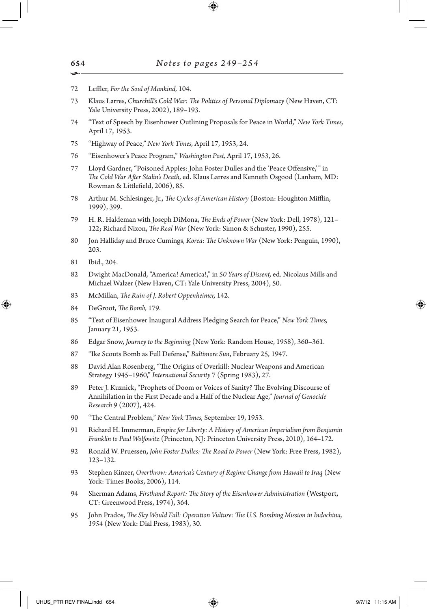- 72 Leffler, *For the Soul of Mankind,* 104.
- 73 Klaus Larres, *Churchill's Cold War: The Politics of Personal Diplomacy* (New Haven, CT: Yale University Press, 2002), 189–193.
- 74 "Text of Speech by Eisenhower Outlining Proposals for Peace in World," *New York Times,* April 17, 1953.
- 75 "Highway of Peace," *New York Times,* April 17, 1953, 24.
- 76 "Eisenhower's Peace Program," *Washington Post,* April 17, 1953, 26.
- 77 Lloyd Gardner, "Poisoned Apples: John Foster Dulles and the 'Peace Offensive,'" in *The Cold War After Stalin's Death,* ed. Klaus Larres and Kenneth Osgood (Lanham, MD: Rowman & Littlefield, 2006), 85.
- 78 Arthur M. Schlesinger, Jr., *The Cycles of American History* (Boston: Houghton Mifflin, 1999), 399.
- 79 H. R. Haldeman with Joseph DiMona, *The Ends of Power* (New York: Dell, 1978), 121– 122; Richard Nixon, *The Real War* (New York: Simon & Schuster, 1990), 255.
- 80 Jon Halliday and Bruce Cumings, *Korea: The Unknown War* (New York: Penguin, 1990), 203.
- 81 Ibid., 204.

↔

- 82 Dwight MacDonald, "America! America!," in *50 Years of Dissent,* ed. Nicolaus Mills and Michael Walzer (New Haven, CT: Yale University Press, 2004), 50.
- 83 McMillan, *The Ruin of J. Robert Oppenheimer,* 142.
- 84 DeGroot, *The Bomb,* 179.
- 85 "Text of Eisenhower Inaugural Address Pledging Search for Peace," *New York Times,* January 21, 1953.
- 86 Edgar Snow, *Journey to the Beginning* (New York: Random House, 1958), 360–361.
- 87 "Ike Scouts Bomb as Full Defense," *Baltimore Sun*, February 25, 1947.
- 88 David Alan Rosenberg, "The Origins of Overkill: Nuclear Weapons and American Strategy 1945–1960," *International Security* 7 (Spring 1983), 27.
- 89 Peter J. Kuznick, "Prophets of Doom or Voices of Sanity? The Evolving Discourse of Annihilation in the First Decade and a Half of the Nuclear Age," *Journal of Genocide Research* 9 (2007), 424.
- 90 "The Central Problem," *New York Times,* September 19, 1953.
- 91 Richard H. Immerman, *Empire for Liberty: A History of American Imperialism from Benjamin Franklin to Paul Wolfowitz* (Princeton, NJ: Princeton University Press, 2010), 164–172.
- 92 Ronald W. Pruessen, *John Foster Dulles: The Road to Power* (New York: Free Press, 1982), 123–132.
- 93 Stephen Kinzer, *Overthrow: America's Century of Regime Change from Hawaii to Iraq* (New York: Times Books, 2006), 114.
- 94 Sherman Adams, *Firsthand Report: The Story of the Eisenhower Administration* (Westport, CT: Greenwood Press, 1974), 364.
- 95 John Prados, *The Sky Would Fall: Operation Vulture: The U.S. Bombing Mission in Indochina, 1954* (New York: Dial Press, 1983), 30.

654 •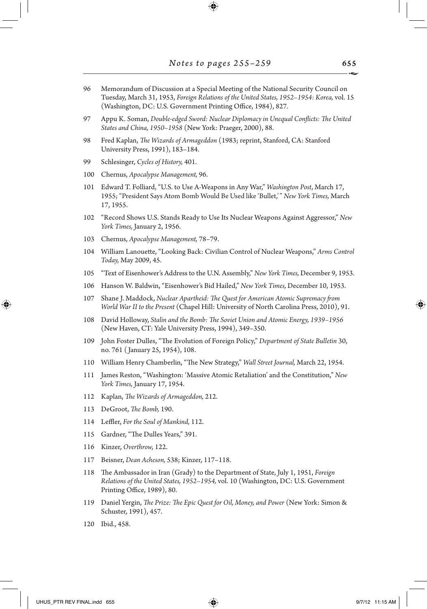- 96 Memorandum of Discussion at a Special Meeting of the National Security Council on Tuesday, March 31, 1953, *Foreign Relations of the United States, 1952–1954: Korea,* vol. 15 (Washington, DC: U.S. Government Printing Office, 1984), 827.
- 97 Appu K. Soman, *Double-edged Sword: Nuclear Diplomacy in Unequal Conflicts: The United States and China, 1950–1958* (New York: Praeger, 2000), 88.
- 98 Fred Kaplan, *The Wizards of Armageddon* (1983; reprint, Stanford, CA: Stanford University Press, 1991), 183–184.
- 99 Schlesinger, *Cycles of History,* 401.
- 100 Chernus, *Apocalypse Management,* 96.
- 101 Edward T. Folliard, "U.S. to Use A-Weapons in Any War," *Washington Post*, March 17, 1955; "President Says Atom Bomb Would Be Used like 'Bullet,'" *New York Times,* March 17, 1955.
- 102 "Record Shows U.S. Stands Ready to Use Its Nuclear Weapons Against Aggressor," *New York Times,* January 2, 1956.
- 103 Chernus, *Apocalypse Management,* 78–79.
- 104 William Lanouette, "Looking Back: Civilian Control of Nuclear Weapons," *Arms Control Today,* May 2009, 45.
- 105 "Text of Eisenhower's Address to the U.N. Assembly," *New York Times,* December 9, 1953.
- 106 Hanson W. Baldwin, "Eisenhower's Bid Hailed," *New York Times,* December 10, 1953.
- 107 Shane J. Maddock, *Nuclear Apartheid: The Quest for American Atomic Supremacy from World War II to the Present* (Chapel Hill: University of North Carolina Press, 2010), 91.
- 108 David Holloway, *Stalin and the Bomb: The Soviet Union and Atomic Energy, 1939–1956* (New Haven, CT: Yale University Press, 1994), 349–350.
- 109 John Foster Dulles, "The Evolution of Foreign Policy," *Department of State Bulletin* 30, no. 761 ( January 25, 1954), 108.
- 110 William Henry Chamberlin, "The New Strategy," *Wall Street Journal,* March 22, 1954.
- 111 James Reston, "Washington: 'Massive Atomic Retaliation' and the Constitution," *New York Times,* January 17, 1954.
- 112 Kaplan, *The Wizards of Armageddon,* 212.
- 113 DeGroot, *The Bomb,* 190.
- 114 Leffler, *For the Soul of Mankind,* 112.
- 115 Gardner, "The Dulles Years," 391.
- 116 Kinzer, *Overthrow,* 122.
- 117 Beisner, *Dean Acheson,* 538; Kinzer, 117–118.
- 118 The Ambassador in Iran (Grady) to the Department of State, July 1, 1951, *Foreign Relations of the United States, 1952–1954,* vol. 10 (Washington, DC: U.S. Government Printing Office, 1989), 80.
- 119 Daniel Yergin, *The Prize: The Epic Quest for Oil, Money, and Power* (New York: Simon & Schuster, 1991), 457.
- 120 Ibid., 458.

⊕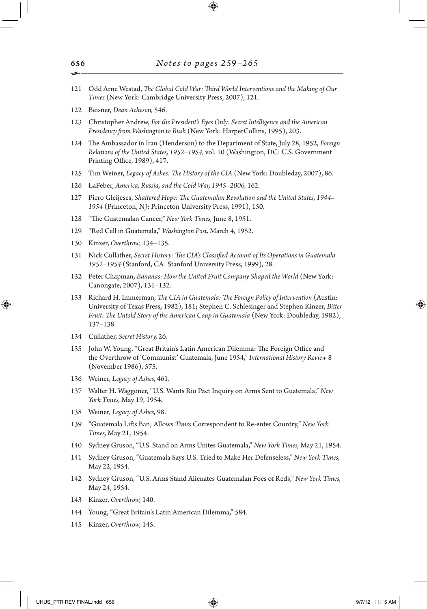- 121 Odd Arne Westad, *The Global Cold War: Third World Interventions and the Making of Our Times* (New York: Cambridge University Press, 2007), 121.
- 122 Beisner, *Dean Acheson,* 546.
- 123 Christopher Andrew, *For the President's Eyes Only: Secret Intelligence and the American Presidency from Washington to Bush* (New York: HarperCollins, 1995), 203.
- 124 The Ambassador in Iran (Henderson) to the Department of State, July 28, 1952, *Foreign Relations of the United States, 1952–1954,* vol. 10 (Washington, DC: U.S. Government Printing Office, 1989), 417.
- 125 Tim Weiner, *Legacy of Ashes: The History of the CIA* (New York: Doubleday, 2007), 86.
- 126 LaFeber, *America, Russia, and the Cold War, 1945–2006,* 162.
- 127 Piero Gleijeses, *Shattered Hope: The Guatemalan Revolution and the United States, 1944– 1954* (Princeton, NJ: Princeton University Press, 1991), 150.
- 128 "The Guatemalan Cancer," *New York Times,* June 8, 1951.
- 129 "Red Cell in Guatemala," *Washington Post,* March 4, 1952.
- 130 Kinzer, *Overthrow,* 134–135.
- 131 Nick Cullather, *Secret History: The CIA's Classified Account of Its Operations in Guatemala 1952–1954* (Stanford, CA: Stanford University Press, 1999), 28.
- 132 Peter Chapman, *Bananas: How the United Fruit Company Shaped the World* (New York: Canongate, 2007), 131–132.
- 133 Richard H. Immerman, *The CIA in Guatemala: The Foreign Policy of Intervention* (Austin: University of Texas Press, 1982), 181; Stephen C. Schlesinger and Stephen Kinzer, *Bitter Fruit: The Untold Story of the American Coup in Guatemala* (New York: Doubleday, 1982), 137–138.
- 134 Cullather, *Secret History,* 26.
- 135 John W. Young, "Great Britain's Latin American Dilemma: The Foreign Office and the Overthrow of 'Communist' Guatemala, June 1954," *International History Review* 8 (November 1986), 575.
- 136 Weiner, *Legacy of Ashes,* 461.
- 137 Walter H. Waggoner, "U.S. Wants Rio Pact Inquiry on Arms Sent to Guatemala," *New York Times,* May 19, 1954.
- 138 Weiner, *Legacy of Ashes,* 98.
- 139 "Guatemala Lifts Ban; Allows *Times* Correspondent to Re-enter Country," *New York Times,* May 21, 1954.
- 140 Sydney Gruson, "U.S. Stand on Arms Unites Guatemala," *New York Times,* May 21, 1954.
- 141 Sydney Gruson, "Guatemala Says U.S. Tried to Make Her Defenseless," *New York Times,* May 22, 1954.
- 142 Sydney Gruson, "U.S. Arms Stand Alienates Guatemalan Foes of Reds," *New York Times,* May 24, 1954.
- 143 Kinzer, *Overthrow,* 140.
- 144 Young, "Great Britain's Latin American Dilemma," 584.
- 145 Kinzer, *Overthrow,* 145.

↔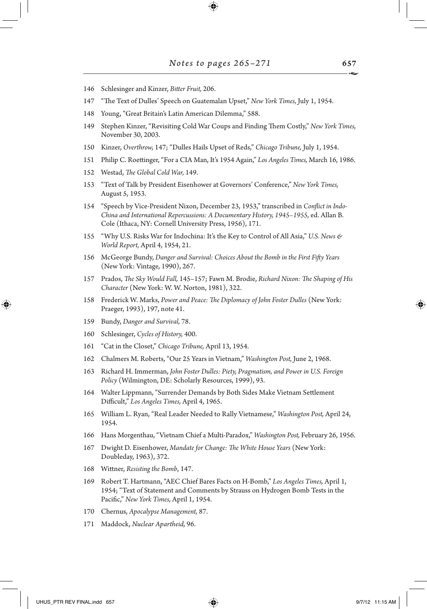- 146 Schlesinger and Kinzer, *Bitter Fruit,* 206.
- 147 "The Text of Dulles' Speech on Guatemalan Upset," *New York Times,* July 1, 1954.
- 148 Young, "Great Britain's Latin American Dilemma," 588.
- 149 Stephen Kinzer, "Revisiting Cold War Coups and Finding Them Costly," *New York Times,* November 30, 2003.
- 150 Kinzer, *Overthrow,* 147; "Dulles Hails Upset of Reds," *Chicago Tribune,* July 1, 1954.
- 151 Philip C. Roettinger, "For a CIA Man, It's 1954 Again," *Los Angeles Times,* March 16, 1986.
- 152 Westad, *The Global Cold War,* 149.
- 153 "Text of Talk by President Eisenhower at Governors' Conference," *New York Times,* August 5, 1953.
- 154 "Speech by Vice-President Nixon, December 23, 1953," transcribed in *Conflict in Indo-China and International Repercussions: A Documentary History, 1945–1955,* ed. Allan B. Cole (Ithaca, NY: Cornell University Press, 1956), 171.
- 155 "Why U.S. Risks War for Indochina: It's the Key to Control of All Asia," *U.S. News & World Report,* April 4, 1954, 21.
- 156 McGeorge Bundy, *Danger and Survival: Choices About the Bomb in the First Fifty Years* (New York: Vintage, 1990), 267.
- 157 Prados, *The Sky Would Fall,* 145–157; Fawn M. Brodie, *Richard Nixon: The Shaping of His Character* (New York: W. W. Norton, 1981), 322.
- 158 Frederick W. Marks, *Power and Peace: The Diplomacy of John Foster Dulles* (New York: Praeger, 1993), 197, note 41.
- 159 Bundy, *Danger and Survival,* 78.
- 160 Schlesinger, *Cycles of History,* 400.
- 161 "Cat in the Closet," *Chicago Tribune,* April 13, 1954.
- 162 Chalmers M. Roberts, "Our 25 Years in Vietnam," *Washington Post,* June 2, 1968.
- 163 Richard H. Immerman, *John Foster Dulles: Piety, Pragmatism, and Power in U.S. Foreign Policy* (Wilmington, DE: Scholarly Resources, 1999), 93.
- 164 Walter Lippmann, "Surrender Demands by Both Sides Make Vietnam Settlement Difficult," *Los Angeles Times,* April 4, 1965.
- 165 William L. Ryan, "Real Leader Needed to Rally Vietnamese," *Washington Post,* April 24, 1954.
- 166 Hans Morgenthau, "Vietnam Chief a Multi-Paradox," *Washington Post,* February 26, 1956.
- 167 Dwight D. Eisenhower, *Mandate for Change: The White House Years* (New York: Doubleday, 1963), 372.
- 168 Wittner, *Resisting the Bomb*, 147.
- 169 Robert T. Hartmann, "AEC Chief Bares Facts on H-Bomb," *Los Angeles Times,* April 1, 1954; "Text of Statement and Comments by Strauss on Hydrogen Bomb Tests in the Pacific," *New York Times,* April 1, 1954.
- 170 Chernus, *Apocalypse Management,* 87.
- 171 Maddock, *Nuclear Apartheid,* 96.

UHUS\_PTR REV FINAL.indd 657 9/7/12 11:15 AM

↔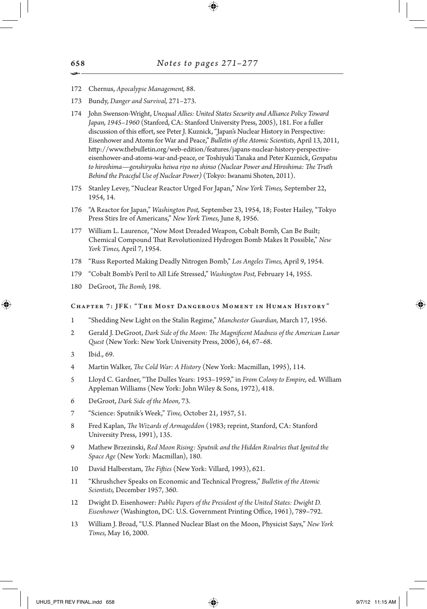- 172 Chernus, *Apocalypse Management,* 88.
- 173 Bundy, *Danger and Survival,* 271–273.
- 174 John Swenson-Wright, *Unequal Allies: United States Security and Alliance Policy Toward Japan, 1945–1960* (Stanford, CA: Stanford University Press, 2005), 181. For a fuller discussion of this effort, see Peter J. Kuznick, "Japan's Nuclear History in Perspective: Eisenhower and Atoms for War and Peace," *Bulletin of the Atomic Scientists*, April 13, 2011, http://www.thebulletin.org/web-edition/features/japans-nuclear-history-perspectiveeisenhower-and-atoms-war-and-peace, or Toshiyuki Tanaka and Peter Kuznick, *Genpatsu to hiroshima—genshiryoku heiwa riyo no shinso (Nuclear Power and Hiroshima: The Truth Behind the Peaceful Use of Nuclear Power)* (Tokyo: Iwanami Shoten, 2011).
- 175 Stanley Levey, "Nuclear Reactor Urged For Japan," *New York Times,* September 22, 1954, 14.
- 176 "A Reactor for Japan," *Washington Post,* September 23, 1954, 18; Foster Hailey, "Tokyo Press Stirs Ire of Americans," *New York Times,* June 8, 1956.
- 177 William L. Laurence, "Now Most Dreaded Weapon, Cobalt Bomb, Can Be Built; Chemical Compound That Revolutionized Hydrogen Bomb Makes It Possible," *New York Times,* April 7, 1954.
- 178 "Russ Reported Making Deadly Nitrogen Bomb," *Los Angeles Times,* April 9, 1954.
- 179 "Cobalt Bomb's Peril to All Life Stressed," *Washington Post,* February 14, 1955.
- 180 DeGroot, *The Bomb,* 198.

#### Chapter 7: JFK: "The Most Dangerous Moment in Human History"

- 1 "Shedding New Light on the Stalin Regime," *Manchester Guardian,* March 17, 1956.
- 2 Gerald J. DeGroot, *Dark Side of the Moon: The Magnificent Madness of the American Lunar Quest* (New York: New York University Press, 2006), 64, 67–68.
- 3 Ibid., 69.

⊕

- 4 Martin Walker, *The Cold War: A History* (New York: Macmillan, 1995), 114.
- 5 Lloyd C. Gardner, "The Dulles Years: 1953–1959," in *From Colony to Empire,* ed. William Appleman Williams (New York: John Wiley & Sons, 1972), 418.
- 6 DeGroot, *Dark Side of the Moon,* 73.
- 7 "Science: Sputnik's Week," *Time,* October 21, 1957, 51.
- 8 Fred Kaplan, *The Wizards of Armageddon* (1983; reprint, Stanford, CA: Stanford University Press, 1991), 135.
- 9 Mathew Brzezinski, *Red Moon Rising: Sputnik and the Hidden Rivalries that Ignited the Space Age* (New York: Macmillan), 180.
- 10 David Halberstam, *The Fifties* (New York: Villard, 1993), 621.
- 11 "Khrushchev Speaks on Economic and Technical Progress," *Bulletin of the Atomic Scientists,* December 1957, 360.
- 12 Dwight D. Eisenhower: *Public Papers of the President of the United States: Dwight D. Eisenhower* (Washington, DC: U.S. Government Printing Office, 1961), 789–792.
- 13 William J. Broad, "U.S. Planned Nuclear Blast on the Moon, Physicist Says," *New York Times,* May 16, 2000.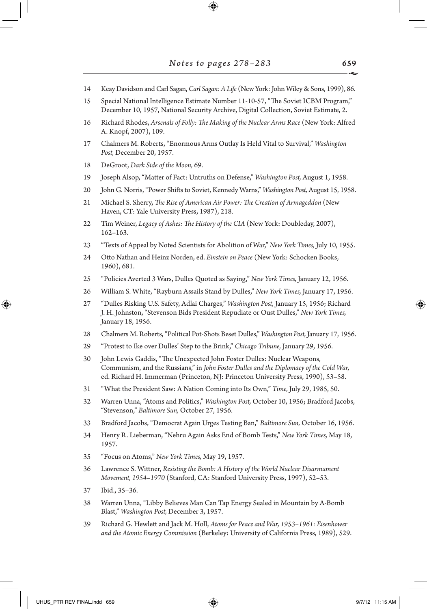- 14 Keay Davidson and Carl Sagan, *Carl Sagan: A Life* (New York: John Wiley & Sons, 1999), 86.
- 15 Special National Intelligence Estimate Number 11-10-57, "The Soviet ICBM Program," December 10, 1957, National Security Archive, Digital Collection, Soviet Estimate, 2.
- 16 Richard Rhodes, *Arsenals of Folly: The Making of the Nuclear Arms Race* (New York: Alfred A. Knopf, 2007), 109.
- 17 Chalmers M. Roberts, "Enormous Arms Outlay Is Held Vital to Survival," *Washington Post,* December 20, 1957.
- 18 DeGroot, *Dark Side of the Moon,* 69.
- 19 Joseph Alsop, "Matter of Fact: Untruths on Defense," *Washington Post,* August 1, 1958.
- 20 John G. Norris, "Power Shifts to Soviet, Kennedy Warns," *Washington Post,* August 15, 1958.
- 21 Michael S. Sherry, *The Rise of American Air Power: The Creation of Armageddon* (New Haven, CT: Yale University Press, 1987), 218.
- 22 Tim Weiner, *Legacy of Ashes: The History of the CIA* (New York: Doubleday, 2007), 162–163.
- 23 "Texts of Appeal by Noted Scientists for Abolition of War," *New York Times,* July 10, 1955.
- 24 Otto Nathan and Heinz Norden, ed. *Einstein on Peace* (New York: Schocken Books, 1960), 681.
- 25 "Policies Averted 3 Wars, Dulles Quoted as Saying," *New York Times,* January 12, 1956.
- 26 William S. White, "Rayburn Assails Stand by Dulles," *New York Times,* January 17, 1956.
- 27 "Dulles Risking U.S. Safety, Adlai Charges," *Washington Post,* January 15, 1956; Richard J. H. Johnston, "Stevenson Bids President Repudiate or Oust Dulles," *New York Times,* January 18, 1956.
- 28 Chalmers M. Roberts, "Political Pot-Shots Beset Dulles," *Washington Post,* January 17, 1956.
- 29 "Protest to Ike over Dulles' Step to the Brink," *Chicago Tribune,* January 29, 1956.
- 30 John Lewis Gaddis, "The Unexpected John Foster Dulles: Nuclear Weapons, Communism, and the Russians," in *John Foster Dulles and the Diplomacy of the Cold War,* ed. Richard H. Immerman (Princeton, NJ: Princeton University Press, 1990), 53–58.
- 31 "What the President Saw: A Nation Coming into Its Own," *Time,* July 29, 1985, 50.
- 32 Warren Unna, "Atoms and Politics," *Washington Post,* October 10, 1956; Bradford Jacobs, "Stevenson," *Baltimore Sun,* October 27, 1956.
- 33 Bradford Jacobs, "Democrat Again Urges Testing Ban," *Baltimore Sun,* October 16, 1956.
- 34 Henry R. Lieberman, "Nehru Again Asks End of Bomb Tests," *New York Times,* May 18, 1957.
- 35 "Focus on Atoms," *New York Times,* May 19, 1957.
- 36 Lawrence S. Wittner, *Resisting the Bomb: A History of the World Nuclear Disarmament Movement, 1954–1970* (Stanford, CA: Stanford University Press, 1997), 52–53.
- 37 Ibid., 35–36.
- 38 Warren Unna, "Libby Believes Man Can Tap Energy Sealed in Mountain by A-Bomb Blast," *Washington Post,* December 3, 1957.
- 39 Richard G. Hewlett and Jack M. Holl, *Atoms for Peace and War, 1953–1961: Eisenhower and the Atomic Energy Commission* (Berkeley: University of California Press, 1989), 529.

659

↔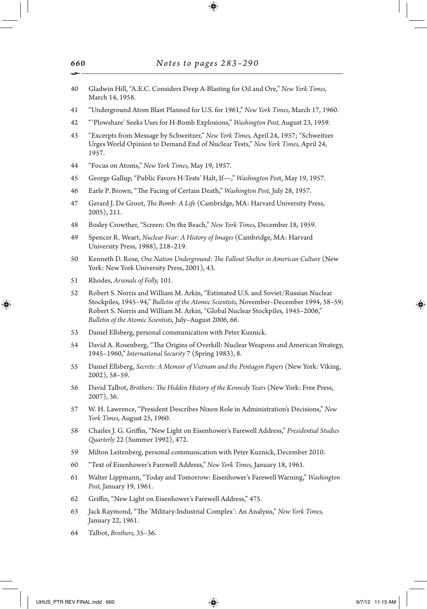- 40 Gladwin Hill, "A.E.C. Considers Deep A-Blasting for Oil and Ore," *New York Times,* March 14, 1958.
- 41 "Underground Atom Blast Planned for U.S. for 1961," *New York Times,* March 17, 1960.
- 42 "'Plowshare' Seeks Uses for H-Bomb Explosions," *Washington Post,* August 23, 1959.
- 43 "Excerpts from Message by Schweitzer," *New York Times,* April 24, 1957; "Schweitzer Urges World Opinion to Demand End of Nuclear Tests," *New York Times,* April 24, 1957.
- 44 "Focus on Atoms," *New York Times,* May 19, 1957.
- 45 George Gallup, "Public Favors H-Tests' Halt, If—," *Washington Pos*t, May 19, 1957.
- 46 Earle P. Brown, "The Facing of Certain Death," *Washington Post,* July 28, 1957.
- 47 Gerard J. De Groot, *The Bomb: A Life* (Cambridge, MA: Harvard University Press, 2005), 211.
- 48 Bosley Crowther, "Screen: On the Beach," *New York Times,* December 18, 1959.
- 49 Spencer R. Weart, *Nuclear Fear: A History of Images* (Cambridge, MA: Harvard University Press, 1988), 218–219.
- 50 Kenneth D. Rose, *One Nation Underground: The Fallout Shelter in American Culture* (New York: New York University Press, 2001), 43.
- 51 Rhodes, *Arsenals of Folly,* 101.
- 52 Robert S. Norris and William M. Arkin, "Estimated U.S. and Soviet/Russian Nuclear Stockpiles, 1945–94," *Bulletin of the Atomic Scientists,* November–December 1994, 58–59; Robert S. Norris and William M. Arkin, "Global Nuclear Stockpiles, 1945–2006," *Bulletin of the Atomic Scientists,* July–August 2006, 66.
- 53 Daniel Ellsberg, personal communication with Peter Kuznick.
- 54 David A. Rosenberg, "The Origins of Overkill: Nuclear Weapons and American Strategy, 1945–1960," *International Security* 7 (Spring 1983), 8.
- 55 Daniel Ellsberg, *Secrets: A Memoir of Vietnam and the Pentagon Papers* (New York: Viking, 2002), 58–59.
- 56 David Talbot, *Brothers: The Hidden History of the Kennedy Years* (New York: Free Press, 2007), 36.
- 57 W. H. Lawrence, "President Describes Nixon Role in Administration's Decisions," *New York Times,* August 25, 1960.
- 58 Charles J. G. Griffin, "New Light on Eisenhower's Farewell Address," *Presidential Studies Quarterly* 22 (Summer 1992), 472.
- 59 Milton Leitenberg, personal communication with Peter Kuznick, December 2010.
- 60 "Text of Eisenhower's Farewell Address," *New York Times,* January 18, 1961.
- 61 Walter Lippmann, "Today and Tomorrow: Eisenhower's Farewell Warning," *Washington Post,* January 19, 1961.
- 62 Griffin, "New Light on Eisenhower's Farewell Address," 475.
- 63 Jack Raymond, "The 'Military-Industrial Complex': An Analysis," *New York Times,* January 22, 1961.
- 64 Talbot, *Brothers,* 35–36.

↔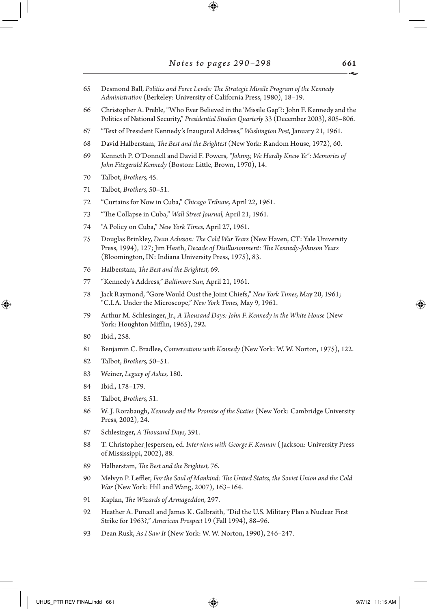- Desmond Ball, *Politics and Force Levels: The Strategic Missile Program of the Kennedy Administration* (Berkeley: University of California Press, 1980), 18–19.
- Christopher A. Preble, "Who Ever Believed in the 'Missile Gap'?: John F. Kennedy and the Politics of National Security," *Presidential Studies Quarterly* 33 (December 2003), 805–806.
- "Text of President Kennedy's Inaugural Address," *Washington Post,* January 21, 1961.
- David Halberstam, *The Best and the Brightest* (New York: Random House, 1972), 60.
- Kenneth P. O'Donnell and David F. Powers, *"Johnny, We Hardly Knew Ye": Memories of John Fitzgerald Kennedy* (Boston: Little, Brown, 1970), 14.
- Talbot, *Brothers,* 45.
- Talbot, *Brothers,* 50–51.
- "Curtains for Now in Cuba," *Chicago Tribune,* April 22, 1961.
- "The Collapse in Cuba," *Wall Street Journal,* April 21, 1961.
- "A Policy on Cuba," *New York Times,* April 27, 1961.
- Douglas Brinkley, *Dean Acheson: The Cold War Years* (New Haven, CT: Yale University Press, 1994), 127; Jim Heath, *Decade of Disillusionment: The Kennedy-Johnson Years*  (Bloomington, IN: Indiana University Press, 1975), 83.
- Halberstam, *The Best and the Brightest,* 69.
- "Kennedy's Address," *Baltimore Sun,* April 21, 1961.
- Jack Raymond, "Gore Would Oust the Joint Chiefs," *New York Times,* May 20, 1961; "C.I.A. Under the Microscope," *New York Times,* May 9, 1961.
- Arthur M. Schlesinger, Jr., *A Thousand Days: John F. Kennedy in the White House* (New York: Houghton Mifflin, 1965), 292.
- Ibid., 258.

↔

- Benjamin C. Bradlee, *Conversations with Kennedy* (New York: W. W. Norton, 1975), 122.
- Talbot, *Brothers,* 50–51.
- Weiner, *Legacy of Ashes,* 180.
- Ibid., 178–179.
- Talbot, *Brothers,* 51.
- W. J. Rorabaugh, *Kennedy and the Promise of the Sixties* (New York: Cambridge University Press, 2002), 24.
- Schlesinger, *A Thousand Days,* 391.
- T. Christopher Jespersen, ed. *Interviews with George F. Kennan* ( Jackson: University Press of Mississippi, 2002), 88.
- Halberstam, *The Best and the Brightest,* 76.
- Melvyn P. Leffler, *For the Soul of Mankind: The United States, the Soviet Union and the Cold War* (New York: Hill and Wang, 2007), 163–164.
- Kaplan, *The Wizards of Armageddon,* 297.
- Heather A. Purcell and James K. Galbraith, "Did the U.S. Military Plan a Nuclear First Strike for 1963?," *American Prospect* 19 (Fall 1994), 88–96.
- Dean Rusk, *As I Saw It* (New York: W. W. Norton, 1990), 246–247.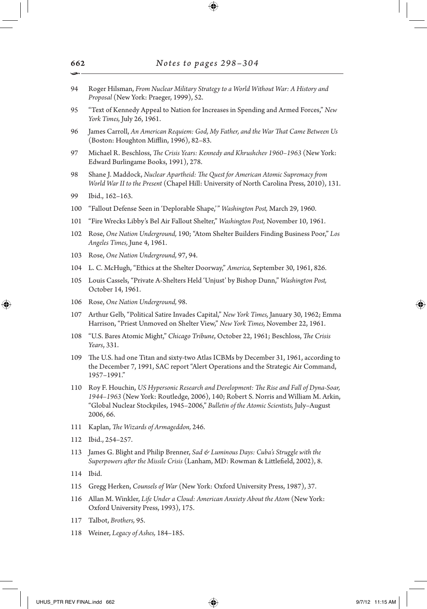- 94 Roger Hilsman, *From Nuclear Military Strategy to a World Without War: A History and Proposal* (New York: Praeger, 1999), 52.
- 95 "Text of Kennedy Appeal to Nation for Increases in Spending and Armed Forces," *New York Times,* July 26, 1961.
- 96 James Carroll, *An American Requiem: God, My Father, and the War That Came Between Us* (Boston: Houghton Mifflin, 1996), 82–83.
- 97 Michael R. Beschloss, *The Crisis Years: Kennedy and Khrushchev 1960–1963* (New York: Edward Burlingame Books, 1991), 278.
- 98 Shane J. Maddock, *Nuclear Apartheid: The Quest for American Atomic Supremacy from World War II to the Present* (Chapel Hill: University of North Carolina Press, 2010), 131.
- 99 Ibid., 162–163.
- 100 "Fallout Defense Seen in 'Deplorable Shape,'" *Washington Post,* March 29, 1960.
- 101 "Fire Wrecks Libby's Bel Air Fallout Shelter," *Washington Post,* November 10, 1961.
- 102 Rose, *One Nation Underground,* 190; "Atom Shelter Builders Finding Business Poor," *Los Angeles Times,* June 4, 1961.
- 103 Rose, *One Nation Underground,* 97, 94.
- 104 L. C. McHugh, "Ethics at the Shelter Doorway," *America,* September 30, 1961, 826.
- 105 Louis Cassels, "Private A-Shelters Held 'Unjust' by Bishop Dunn," *Washington Post,* October 14, 1961.
- 106 Rose, *One Nation Underground,* 98.
- 107 Arthur Gelb, "Political Satire Invades Capital," *New York Times,* January 30, 1962; Emma Harrison, "Priest Unmoved on Shelter View," *New York Times,* November 22, 1961.
- 108 "U.S. Bares Atomic Might," *Chicago Tribune*, October 22, 1961; Beschloss, *The Crisis Years*, 331.
- 109 The U.S. had one Titan and sixty-two Atlas ICBMs by December 31, 1961, according to the December 7, 1991, SAC report "Alert Operations and the Strategic Air Command, 1957–1991."
- 110 Roy F. Houchin, *US Hypersonic Research and Development: The Rise and Fall of Dyna-Soar, 1944–1963* (New York: Routledge, 2006), 140; Robert S. Norris and William M. Arkin, "Global Nuclear Stockpiles, 1945–2006," *Bulletin of the Atomic Scientists,* July–August 2006, 66.
- 111 Kaplan, *The Wizards of Armageddon,* 246.
- 112 Ibid., 254–257.
- 113 James G. Blight and Philip Brenner, *Sad & Luminous Days: Cuba's Struggle with the Superpowers after the Missile Crisis* (Lanham, MD: Rowman & Littlefield, 2002), 8.
- 114 Ibid.

↔

- 115 Gregg Herken, *Counsels of War* (New York: Oxford University Press, 1987), 37.
- 116 Allan M. Winkler, *Life Under a Cloud: American Anxiety About the Atom* (New York: Oxford University Press, 1993), 175.
- 117 Talbot, *Brothers,* 95.
- 118 Weiner, *Legacy of Ashes,* 184–185.

662 •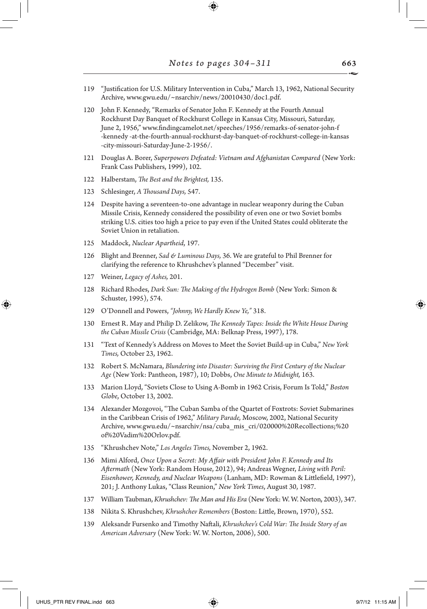- 119 "Justification for U.S. Military Intervention in Cuba," March 13, 1962, National Security Archive, www.gwu.edu/~nsarchiv/news/20010430/doc1.pdf.
- 120 John F. Kennedy, "Remarks of Senator John F. Kennedy at the Fourth Annual Rockhurst Day Banquet of Rockhurst College in Kansas City, Missouri, Saturday, June 2, 1956," www.findingcamelot.net/speeches/1956/remarks-of-senator-john-f -kennedy -at-the-fourth-annual-rockhurst-day-banquet-of-rockhurst-college-in-kansas -city-missouri-Saturday-June-2-1956/.
- 121 Douglas A. Borer, *Superpowers Defeated: Vietnam and Afghanistan Compared* (New York: Frank Cass Publishers, 1999), 102.
- 122 Halberstam, *The Best and the Brightest,* 135.
- 123 Schlesinger, *A Thousand Days,* 547.
- 124 Despite having a seventeen-to-one advantage in nuclear weaponry during the Cuban Missile Crisis, Kennedy considered the possibility of even one or two Soviet bombs striking U.S. cities too high a price to pay even if the United States could obliterate the Soviet Union in retaliation.
- 125 Maddock, *Nuclear Apartheid*, 197.
- 126 Blight and Brenner, *Sad & Luminous Days,* 36. We are grateful to Phil Brenner for clarifying the reference to Khrushchev's planned "December" visit.
- 127 Weiner, *Legacy of Ashes,* 201.
- 128 Richard Rhodes, *Dark Sun: The Making of the Hydrogen Bomb* (New York: Simon & Schuster, 1995), 574.
- 129 O'Donnell and Powers, *"Johnny, We Hardly Knew Ye,"* 318.
- 130 Ernest R. May and Philip D. Zelikow, *The Kennedy Tapes: Inside the White House During the Cuban Missile Crisis* (Cambridge, MA: Belknap Press, 1997), 178.
- 131 "Text of Kennedy's Address on Moves to Meet the Soviet Build-up in Cuba," *New York Times,* October 23, 1962.
- 132 Robert S. McNamara, *Blundering into Disaster: Surviving the First Century of the Nuclear Age* (New York: Pantheon, 1987), 10; Dobbs, *One Minute to Midnight,* 163.
- 133 Marion Lloyd, "Soviets Close to Using A-Bomb in 1962 Crisis, Forum Is Told," *Boston Globe*, October 13, 2002.
- 134 Alexander Mozgovoi, "The Cuban Samba of the Quartet of Foxtrots: Soviet Submarines in the Caribbean Crisis of 1962," *Military Parade,* Moscow, 2002, National Security Archive, www.gwu.edu/~nsarchiv/nsa/cuba\_mis\_cri/020000%20Recollections;%20 of%20Vadim%20Orlov.pdf.
- 135 "Khrushchev Note," *Los Angeles Times,* November 2, 1962.
- 136 Mimi Alford, *Once Upon a Secret: My Affair with President John F. Kennedy and Its Aftermath* (New York: Random House, 2012), 94; Andreas Wegner, *Living with Peril: Eisenhower, Kennedy, and Nuclear Weapons* (Lanham, MD: Rowman & Littlefield, 1997), 201; J. Anthony Lukas, "Class Reunion," *New York Times*, August 30, 1987.
- 137 William Taubman, *Khrushchev: The Man and His Era* (New York: W. W. Norton, 2003), 347.
- 138 Nikita S. Khrushchev, *Khrushchev Remembers* (Boston: Little, Brown, 1970), 552.
- 139 Aleksandr Fursenko and Timothy Naftali, *Khrushchev's Cold War: The Inside Story of an American Adversary* (New York: W. W. Norton, 2006), 500.

663

⊕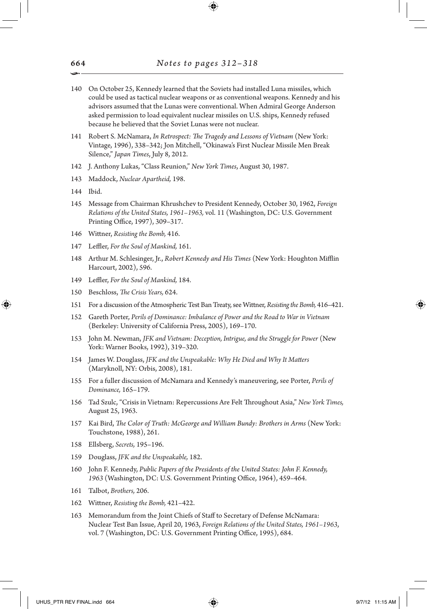- 140 On October 25, Kennedy learned that the Soviets had installed Luna missiles, which could be used as tactical nuclear weapons or as conventional weapons. Kennedy and his advisors assumed that the Lunas were conventional. When Admiral George Anderson asked permission to load equivalent nuclear missiles on U.S. ships, Kennedy refused because he believed that the Soviet Lunas were not nuclear.
- 141 Robert S. McNamara, *In Retrospect: The Tragedy and Lessons of Vietnam* (New York: Vintage, 1996), 338–342; Jon Mitchell, "Okinawa's First Nuclear Missile Men Break Silence," *Japan Times*, July 8, 2012.
- 142 J. Anthony Lukas, "Class Reunion," *New York Times*, August 30, 1987.
- 143 Maddock, *Nuclear Apartheid,* 198.
- 144 Ibid.

⊕

- 145 Message from Chairman Khrushchev to President Kennedy, October 30, 1962, *Foreign Relations of the United States, 1961–1963,* vol. 11 (Washington, DC: U.S. Government Printing Office, 1997), 309–317.
- 146 Wittner, *Resisting the Bomb,* 416.
- 147 Leffler, *For the Soul of Mankind,* 161.
- 148 Arthur M. Schlesinger, Jr., *Robert Kennedy and His Times* (New York: Houghton Mifflin Harcourt, 2002), 596.
- 149 Leffler, *For the Soul of Mankind,* 184.
- 150 Beschloss, *The Crisis Years,* 624.
- 151 For a discussion of the Atmospheric Test Ban Treaty, see Wittner, *Resisting the Bomb,* 416–421.
- 152 Gareth Porter, *Perils of Dominance: Imbalance of Power and the Road to War in Vietnam* (Berkeley: University of California Press, 2005), 169–170.
- 153 John M. Newman, *JFK and Vietnam: Deception, Intrigue, and the Struggle for Power* (New York: Warner Books, 1992), 319–320.
- 154 James W. Douglass, *JFK and the Unspeakable: Why He Died and Why It Matters* (Maryknoll, NY: Orbis, 2008), 181.
- 155 For a fuller discussion of McNamara and Kennedy's maneuvering, see Porter, *Perils of Dominance,* 165–179.
- 156 Tad Szulc, "Crisis in Vietnam: Repercussions Are Felt Throughout Asia," *New York Times,* August 25, 1963.
- 157 Kai Bird, *The Color of Truth: McGeorge and William Bundy: Brothers in Arms* (New York: Touchstone, 1988), 261.
- 158 Ellsberg, *Secrets,* 195–196.
- 159 Douglass, *JFK and the Unspeakable,* 182.
- 160 John F. Kennedy, *Public Papers of the Presidents of the United States: John F. Kennedy, 1963* (Washington, DC: U.S. Government Printing Office, 1964), 459–464.
- 161 Talbot, *Brothers,* 206.
- 162 Wittner, *Resisting the Bomb,* 421–422.
- 163 Memorandum from the Joint Chiefs of Staff to Secretary of Defense McNamara: Nuclear Test Ban Issue, April 20, 1963, *Foreign Relations of the United States, 1961–1963*, vol. 7 (Washington, DC: U.S. Government Printing Office, 1995), 684.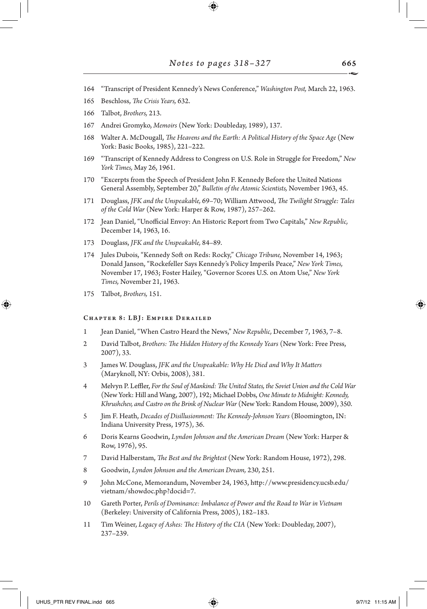- 164 "Transcript of President Kennedy's News Conference," *Washington Post,* March 22, 1963.
- 165 Beschloss, *The Crisis Years,* 632.
- 166 Talbot, *Brothers,* 213.
- 167 Andrei Gromyko, *Memoirs* (New York: Doubleday, 1989), 137.
- 168 Walter A. McDougall, *The Heavens and the Earth: A Political History of the Space Age* (New York: Basic Books, 1985), 221–222.
- 169 "Transcript of Kennedy Address to Congress on U.S. Role in Struggle for Freedom," *New York Times,* May 26, 1961.
- 170 "Excerpts from the Speech of President John F. Kennedy Before the United Nations General Assembly, September 20," *Bulletin of the Atomic Scientists,* November 1963, 45.
- 171 Douglass, *JFK and the Unspeakable,* 69–70; William Attwood, *The Twilight Struggle: Tales of the Cold War* (New York: Harper & Row, 1987), 257–262.
- 172 Jean Daniel, "Unofficial Envoy: An Historic Report from Two Capitals," *New Republic,* December 14, 1963, 16.
- 173 Douglass, *JFK and the Unspeakable,* 84–89.
- 174 Jules Dubois, "Kennedy Soft on Reds: Rocky," *Chicago Tribune,* November 14, 1963; Donald Janson, "Rockefeller Says Kennedy's Policy Imperils Peace," *New York Times,* November 17, 1963; Foster Hailey, "Governor Scores U.S. on Atom Use," *New York Times,* November 21, 1963.
- 175 Talbot, *Brothers,* 151.

↔

### Chapter 8: LBJ: Empire Derailed

- 1 Jean Daniel, "When Castro Heard the News," *New Republic,* December 7, 1963, 7–8.
- 2 David Talbot, *Brothers: The Hidden History of the Kennedy Years* (New York: Free Press, 2007), 33.
- 3 James W. Douglass, *JFK and the Unspeakable: Why He Died and Why It Matters* (Maryknoll, NY: Orbis, 2008), 381.
- 4 Melvyn P. Leffler, *For the Soul of Mankind: The United States, the Soviet Union and the Cold War* (New York: Hill and Wang, 2007), 192; Michael Dobbs, *One Minute to Midnight: Kennedy, Khrushchev, and Castro on the Brink of Nuclear War* (New York: Random House, 2009), 350.
- 5 Jim F. Heath, *Decades of Disillusionment: The Kennedy-Johnson Years* (Bloomington, IN: Indiana University Press, 1975), 36.
- 6 Doris Kearns Goodwin, *Lyndon Johnson and the American Dream* (New York: Harper & Row, 1976), 95.
- 7 David Halberstam, *The Best and the Brightest* (New York: Random House, 1972), 298.
- 8 Goodwin, *Lyndon Johnson and the American Dream,* 230, 251.
- 9 John McCone, Memorandum, November 24, 1963, http://www.presidency.ucsb.edu/ vietnam/showdoc.php?docid=7.
- 10 Gareth Porter, *Perils of Dominance: Imbalance of Power and the Road to War in Vietnam* (Berkeley: University of California Press, 2005), 182–183.
- 11 Tim Weiner, *Legacy of Ashes: The History of the CIA* (New York: Doubleday, 2007), 237–239.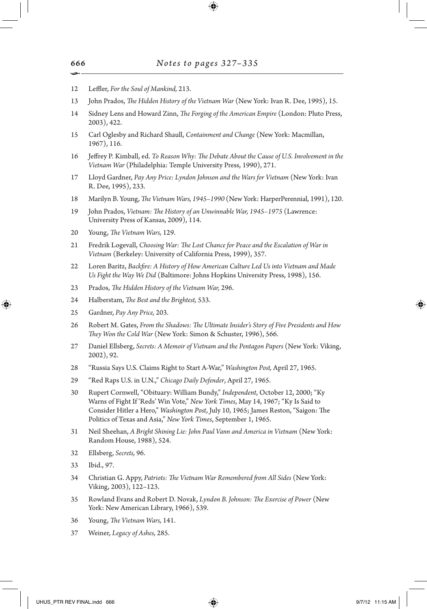- 12 Leffler, *For the Soul of Mankind,* 213.
- 13 John Prados, *The Hidden History of the Vietnam War* (New York: Ivan R. Dee, 1995), 15.
- 14 Sidney Lens and Howard Zinn, *The Forging of the American Empire* (London: Pluto Press, 2003), 422.
- 15 Carl Oglesby and Richard Shaull, *Containment and Change* (New York: Macmillan, 1967), 116.
- 16 Jeffrey P. Kimball, ed. *To Reason Why: The Debate About the Cause of U.S. Involvement in the Vietnam War* (Philadelphia: Temple University Press, 1990), 271.
- 17 Lloyd Gardner, *Pay Any Price: Lyndon Johnson and the Wars for Vietnam* (New York: Ivan R. Dee, 1995), 233.
- 18 Marilyn B. Young, *The Vietnam Wars, 1945–1990* (New York: HarperPerennial, 1991), 120.
- 19 John Prados, *Vietnam: The History of an Unwinnable War, 1945–1975* (Lawrence: University Press of Kansas, 2009), 114.
- 20 Young, *The Vietnam Wars,* 129.
- 21 Fredrik Logevall, *Choosing War: The Lost Chance for Peace and the Escalation of War in Vietnam* (Berkeley: University of California Press, 1999), 357.
- 22 Loren Baritz, *Backfire: A History of How American Culture Led Us into Vietnam and Made Us Fight the Way We Did* (Baltimore: Johns Hopkins University Press, 1998), 156.
- 23 Prados, *The Hidden History of the Vietnam War,* 296.
- 24 Halberstam, *The Best and the Brightest,* 533.
- 25 Gardner, *Pay Any Price,* 203.

↔

- 26 Robert M. Gates, *From the Shadows: The Ultimate Insider's Story of Five Presidents and How They Won the Cold War* (New York: Simon & Schuster, 1996), 566.
- 27 Daniel Ellsberg, *Secrets: A Memoir of Vietnam and the Pentagon Papers* (New York: Viking, 2002), 92.
- 28 "Russia Says U.S. Claims Right to Start A-War," *Washington Post,* April 27, 1965.
- 29 "Red Raps U.S. in U.N.," *Chicago Daily Defender*, April 27, 1965.
- 30 Rupert Cornwell, "Obituary: William Bundy," *Independent*, October 12, 2000; "Ky Warns of Fight If 'Reds' Win Vote," *New York Times*, May 14, 1967; "Ky Is Said to Consider Hitler a Hero," *Washington Post*, July 10, 1965; James Reston, "Saigon: The Politics of Texas and Asia," *New York Times*, September 1, 1965.
- 31 Neil Sheehan, *A Bright Shining Lie: John Paul Vann and America in Vietnam* (New York: Random House, 1988), 524.
- 32 Ellsberg, *Secrets,* 96.
- 33 Ibid., 97.
- 34 Christian G. Appy, *Patriots: The Vietnam War Remembered from All Sides* (New York: Viking, 2003), 122–123.
- 35 Rowland Evans and Robert D. Novak, *Lyndon B. Johnson: The Exercise of Power* (New York: New American Library, 1966), 539.
- 36 Young, *The Vietnam Wars,* 141.
- 37 Weiner, *Legacy of Ashes,* 285.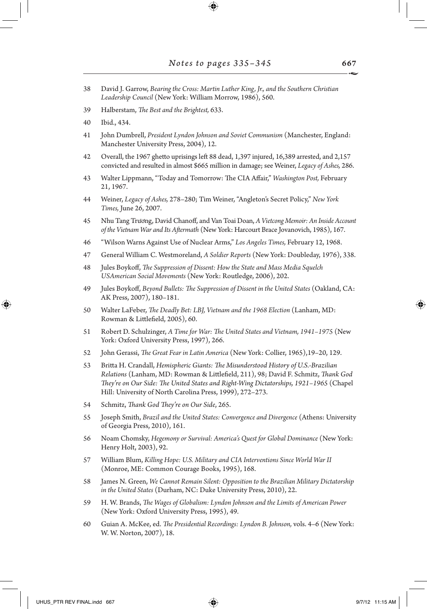- 38 David J. Garrow, *Bearing the Cross: Martin Luther King, Jr., and the Southern Christian Leadership Council* (New York: William Morrow, 1986), 560.
- 39 Halberstam, *The Best and the Brightest,* 633.
- 40 Ibid., 434.
- 41 John Dumbrell, *President Lyndon Johnson and Soviet Communism* (Manchester, England: Manchester University Press, 2004), 12.
- 42 Overall, the 1967 ghetto uprisings left 88 dead, 1,397 injured, 16,389 arrested, and 2,157 convicted and resulted in almost \$665 million in damage; see Weiner, *Legacy of Ashes,* 286.
- 43 Walter Lippmann, "Today and Tomorrow: The CIA Affair," *Washington Post,* February 21, 1967.
- 44 Weiner, *Legacy of Ashes,* 278–280; Tim Weiner, "Angleton's Secret Policy," *New York Times,* June 26, 2007.
- 45 Nhu Tang Trương, David Chanoff, and Van Toai Doan, *A Vietcong Memoir: An Inside Account of the Vietnam War and Its Aftermath* (New York: Harcourt Brace Jovanovich, 1985), 167.
- 46 "Wilson Warns Against Use of Nuclear Arms," *Los Angeles Times,* February 12, 1968.
- 47 General William C. Westmoreland, *A Soldier Reports* (New York: Doubleday, 1976), 338.
- 48 Jules Boykoff, *The Suppression of Dissent: How the State and Mass Media Squelch USAmerican Social Movements* (New York: Routledge, 2006), 202.
- 49 Jules Boykoff, *Beyond Bullets: The Suppression of Dissent in the United States* (Oakland, CA: AK Press, 2007), 180–181.
- 50 Walter LaFeber, *The Deadly Bet: LBJ, Vietnam and the 1968 Election* (Lanham, MD: Rowman & Littlefield, 2005), 60.
- 51 Robert D. Schulzinger, *A Time for War: The United States and Vietnam, 1941–1975* (New York: Oxford University Press, 1997), 266.
- 52 John Gerassi, *The Great Fear in Latin America* (New York: Collier, 1965),19–20, 129.
- 53 Britta H. Crandall, *Hemispheric Giants: The Misunderstood History of U.S.-Brazilian Relations* (Lanham, MD: Rowman & Littlefield, 211), 98; David F. Schmitz, *Thank God They're on Our Side: The United States and Right-Wing Dictatorships, 1921–1965* (Chapel Hill: University of North Carolina Press, 1999), 272–273.
- 54 Schmitz, *Thank God They're on Our Side*, 265.
- 55 Joseph Smith, *Brazil and the United States: Convergence and Divergence* (Athens: University of Georgia Press, 2010), 161.
- 56 Noam Chomsky, *Hegemony or Survival: America's Quest for Global Dominance* (New York: Henry Holt, 2003), 92.
- 57 William Blum, *Killing Hope: U.S. Military and CIA Interventions Since World War II* (Monroe, ME: Common Courage Books, 1995), 168.
- 58 James N. Green, *We Cannot Remain Silent: Opposition to the Brazilian Military Dictatorship in the United States* (Durham, NC: Duke University Press, 2010), 22.
- 59 H. W. Brands, *The Wages of Globalism: Lyndon Johnson and the Limits of American Power* (New York: Oxford University Press, 1995), 49.
- 60 Guian A. McKee, ed. *The Presidential Recordings: Lyndon B. Johnson,* vols. 4–6 (New York: W. W. Norton, 2007), 18.

↔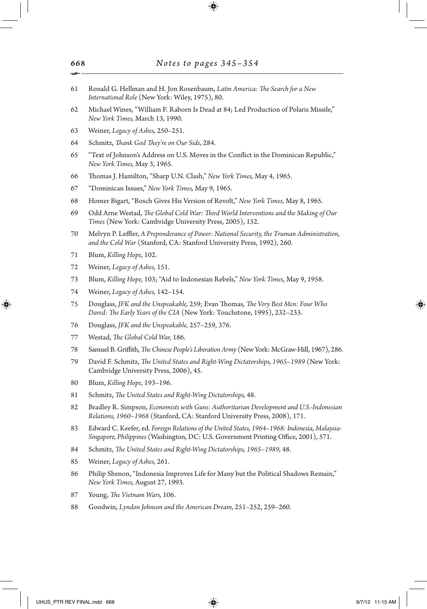- Ronald G. Hellman and H. Jon Rosenbaum, *Latin America: The Search for a New International Role* (New York: Wiley, 1975), 80.
- Michael Wines, "William F. Raborn Is Dead at 84; Led Production of Polaris Missile," *New York Times,* March 13, 1990.
- Weiner, *Legacy of Ashes,* 250–251.
- Schmitz, *Thank God They're on Our Side,* 284.
- "Text of Johnson's Address on U.S. Moves in the Conflict in the Dominican Republic," *New York Times,* May 3, 1965.
- Thomas J. Hamilton, "Sharp U.N. Clash," *New York Times,* May 4, 1965.
- "Dominican Issues," *New York Times,* May 9, 1965.
- Homer Bigart, "Bosch Gives His Version of Revolt," *New York Times,* May 8, 1965.
- Odd Arne Westad, *The Global Cold War: Third World Interventions and the Making of Our Times* (New York: Cambridge University Press, 2005), 152.
- Melvyn P. Leffler, *A Preponderance of Power: National Security, the Truman Administration, and the Cold War* (Stanford, CA: Stanford University Press, 1992), 260.
- Blum, *Killing Hope,* 102.
- Weiner, *Legacy of Ashes,* 151.
- Blum, *Killing Hope,* 103; "Aid to Indonesian Rebels," *New York Times*, May 9, 1958.
- Weiner, *Legacy of Ashes,* 142–154.
- Douglass, *JFK and the Unspeakable,* 259; Evan Thomas, *The Very Best Men: Four Who Dared: The Early Years of the CIA* (New York: Touchstone, 1995), 232–233.
- Douglass, *JFK and the Unspeakable,* 257–259, 376.
- Westad, *The Global Cold War,* 186.
- Samuel B. Griffith, *The Chinese People's Liberation Army* (New York: McGraw-Hill, 1967), 286.
- David F. Schmitz, *The United States and Right-Wing Dictatorships, 1965–1989* (New York: Cambridge University Press, 2006), 45.
- Blum, *Killing Hope,* 193–196.
- Schmitz, *The United States and Right-Wing Dictatorships,* 48.
- Bradley R. Simpson, *Economists with Guns: Authoritarian Development and U.S.-Indonesian Relations, 1960–1968* (Stanford, CA: Stanford University Press, 2008), 171.
- Edward C. Keefer, ed. *Foreign Relations of the United States, 1964–1968: Indonesia, Malaysia-Singapore, Philippines* (Washington, DC: U.S. Government Printing Office, 2001), 571.
- Schmitz, *The United States and Right-Wing Dictatorships, 1965–1989,* 48.
- Weiner, *Legacy of Ashes,* 261.
- Philip Shenon, "Indonesia Improves Life for Many but the Political Shadows Remain," *New York Times,* August 27, 1993.
- Young, *The Vietnam Wars,* 106.
- Goodwin, *Lyndon Johnson and the American Dream,* 251–252, 259–260.

↔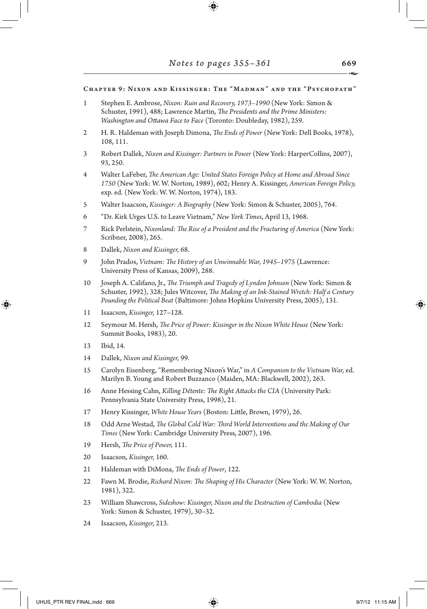## Chapter 9: Nixon and Kissinger: The "Madman" and the "Psychopath"

- 1 Stephen E. Ambrose, *Nixon: Ruin and Recovery, 1973–1990* (New York: Simon & Schuster, 1991), 488; Lawrence Martin, *The Presidents and the Prime Ministers: Washington and Ottawa Face to Face* (Toronto: Doubleday, 1982), 259.
- 2 H. R. Haldeman with Joseph Dimona, *The Ends of Power* (New York: Dell Books, 1978), 108, 111.
- 3 Robert Dallek, *Nixon and Kissinger: Partners in Power* (New York: HarperCollins, 2007), 93, 250.
- 4 Walter LaFeber, *The American Age: United States Foreign Policy at Home and Abroad Since 1750* (New York: W. W. Norton, 1989), 602; Henry A. Kissinger, *American Foreign Policy,* exp. ed. (New York: W. W. Norton, 1974), 183.
- 5 Walter Isaacson, *Kissinger: A Biography* (New York: Simon & Schuster, 2005), 764.
- 6 "Dr. Kirk Urges U.S. to Leave Vietnam," *New York Times*, April 13, 1968.
- 7 Rick Perlstein, *Nixonland: The Rise of a President and the Fracturing of America* (New York: Scribner, 2008), 265.
- 8 Dallek, *Nixon and Kissinger,* 68.
- 9 John Prados, *Vietnam: The History of an Unwinnable War, 1945–1975* (Lawrence: University Press of Kansas, 2009), 288.
- 10 Joseph A. Califano, Jr., *The Triumph and Tragedy of Lyndon Johnson* (New York: Simon & Schuster, 1992), 328; Jules Witcover, *The Making of an Ink-Stained Wretch: Half a Century Pounding the Political Beat* (Baltimore: Johns Hopkins University Press, 2005), 131.
- 11 Isaacson, *Kissinger,* 127–128.
- 12 Seymour M. Hersh, *The Price of Power: Kissinger in the Nixon White House* (New York: Summit Books, 1983), 20.
- 13 Ibid, 14.

↔

- 14 Dallek, *Nixon and Kissinger,* 99.
- 15 Carolyn Eisenberg, "Remembering Nixon's War," in *A Companion to the Vietnam War,* ed. Marilyn B. Young and Robert Buzzanco (Maiden, MA: Blackwell, 2002), 263.
- 16 Anne Hessing Cahn, *Killing Détente: The Right Attacks the CIA* (University Park: Pennsylvania State University Press, 1998), 21.
- 17 Henry Kissinger, *White House Years* (Boston: Little, Brown, 1979), 26.
- 18 Odd Arne Westad, *The Global Cold War: Third World Interventions and the Making of Our Times* (New York: Cambridge University Press, 2007), 196.
- 19 Hersh, *The Price of Power,* 111.
- 20 Isaacson, *Kissinger,* 160.
- 21 Haldeman with DiMona, *The Ends of Power*, 122.
- 22 Fawn M. Brodie, *Richard Nixon: The Shaping of His Character* (New York: W. W. Norton, 1981), 322.
- 23 William Shawcross, *Sideshow: Kissinger, Nixon and the Destruction of Cambodia* (New York: Simon & Schuster, 1979), 30–32.
- 24 Isaacson, *Kissinger,* 213.

UHUS\_PTR REV FINAL.indd 669 **97/12 11:15 AM**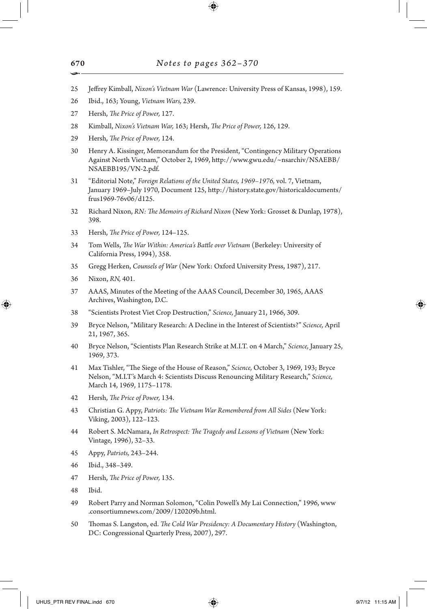- 25 Jeffrey Kimball, *Nixon's Vietnam War* (Lawrence: University Press of Kansas, 1998), 159.
- 26 Ibid., 163; Young, *Vietnam Wars,* 239.
- 27 Hersh, *The Price of Power,* 127.
- 28 Kimball, *Nixon's Vietnam War,* 163; Hersh, *The Price of Power,* 126, 129.
- 29 Hersh, *The Price of Power,* 124.
- 30 Henry A. Kissinger, Memorandum for the President, "Contingency Military Operations Against North Vietnam," October 2, 1969, http://www.gwu.edu/~nsarchiv/NSAEBB/ NSAEBB195/VN-2.pdf.
- 31 "Editorial Note," *Foreign Relations of the United States, 1969–1976,* vol. 7, Vietnam, January 1969–July 1970, Document 125, http://history.state.gov/historicaldocuments/ frus1969-76v06/d125.
- 32 Richard Nixon, *RN: The Memoirs of Richard Nixon* (New York: Grosset & Dunlap, 1978), 398.
- 33 Hersh, *The Price of Power,* 124–125.
- 34 Tom Wells, *The War Within: America's Battle over Vietnam* (Berkeley: University of California Press, 1994), 358.
- 35 Gregg Herken, *Counsels of War* (New York: Oxford University Press, 1987), 217.
- 36 Nixon, *RN,* 401.

⊕

- 37 AAAS, Minutes of the Meeting of the AAAS Council, December 30, 1965, AAAS Archives, Washington, D.C.
- 38 "Scientists Protest Viet Crop Destruction," *Science,* January 21, 1966, 309.
- 39 Bryce Nelson, "Military Research: A Decline in the Interest of Scientists?" *Science,* April 21, 1967, 365.
- 40 Bryce Nelson, "Scientists Plan Research Strike at M.I.T. on 4 March," *Science,* January 25, 1969, 373.
- 41 Max Tishler, "The Siege of the House of Reason," *Science,* October 3, 1969, 193; Bryce Nelson, "M.I.T's March 4: Scientists Discuss Renouncing Military Research," *Science,* March 14, 1969, 1175–1178.
- 42 Hersh, *The Price of Power,* 134.
- 43 Christian G. Appy, *Patriots: The Vietnam War Remembered from All Sides* (New York: Viking, 2003), 122–123.
- 44 Robert S. McNamara, *In Retrospect: The Tragedy and Lessons of Vietnam* (New York: Vintage, 1996), 32–33.
- 45 Appy, *Patriots,* 243–244.
- 46 Ibid., 348–349.
- 47 Hersh, *The Price of Power,* 135.
- 48 Ibid.
- 49 Robert Parry and Norman Solomon, "Colin Powell's My Lai Connection," 1996, www .consortiumnews.com/2009/120209b.html.
- 50 Thomas S. Langston, ed. *The Cold War Presidency: A Documentary History* (Washington, DC: Congressional Quarterly Press, 2007), 297.

670 •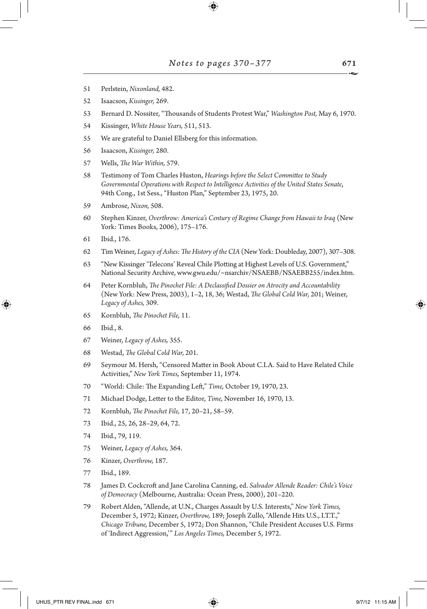- Perlstein, *Nixonland,* 482.
- Isaacson, *Kissinger,* 269.
- Bernard D. Nossiter, "Thousands of Students Protest War," *Washington Post,* May 6, 1970.
- Kissinger, *White House Years,* 511, 513.
- We are grateful to Daniel Ellsberg for this information.
- Isaacson, *Kissinger,* 280.
- Wells, *The War Within,* 579.
- Testimony of Tom Charles Huston, *Hearings before the Select Committee to Study Governmental Operations with Respect to Intelligence Activities of the United States Senate*, 94th Cong., 1st Sess., "Huston Plan," September 23, 1975, 20.
- Ambrose, *Nixon,* 508.
- Stephen Kinzer, *Overthrow: America's Century of Regime Change from Hawaii to Iraq* (New York: Times Books, 2006), 175–176.
- Ibid., 176.
- Tim Weiner, *Legacy of Ashes: The History of the CIA* (New York: Doubleday, 2007), 307–308.
- "New Kissinger 'Telecons' Reveal Chile Plotting at Highest Levels of U.S. Government," National Security Archive, www.gwu.edu/~nsarchiv/NSAEBB/NSAEBB255/index.htm.
- Peter Kornbluh, *The Pinochet File: A Declassified Dossier on Atrocity and Accountability* (New York: New Press, 2003), 1–2, 18, 36; Westad, *The Global Cold War,* 201; Weiner, *Legacy of Ashes,* 309.
- Kornbluh, *The Pinochet File,* 11.
- Ibid., 8.

↔

- Weiner, *Legacy of Ashes,* 355.
- Westad, *The Global Cold War,* 201.
- Seymour M. Hersh, "Censored Matter in Book About C.I.A. Said to Have Related Chile Activities," *New York Times,* September 11, 1974.
- "World: Chile: The Expanding Left," *Time,* October 19, 1970, 23.
- Michael Dodge, Letter to the Editor, *Time,* November 16, 1970, 13.
- Kornbluh, *The Pinochet File,* 17, 20–21, 58–59.
- Ibid., 25, 26, 28–29, 64, 72.
- Ibid., 79, 119.
- Weiner, *Legacy of Ashes,* 364.
- Kinzer, *Overthrow,* 187.
- Ibid., 189.
- James D. Cockcroft and Jane Carolina Canning, ed. *Salvador Allende Reader: Chile's Voice of Democracy* (Melbourne, Australia: Ocean Press, 2000), 201–220.
- Robert Alden, "Allende, at U.N., Charges Assault by U.S. Interests," *New York Times,* December 5, 1972; Kinzer, *Overthrow,* 189; Joseph Zullo, "Allende Hits U.S., I.T.T.," *Chicago Tribune,* December 5, 1972; Don Shannon, "Chile President Accuses U.S. Firms of 'Indirect Aggression,'" *Los Angeles Times,* December 5, 1972.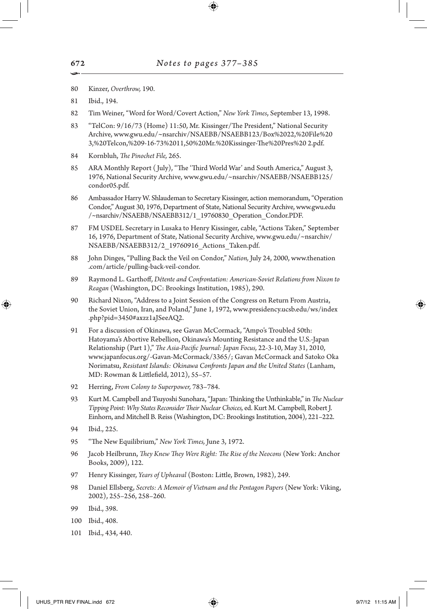- 80 Kinzer, *Overthrow,* 190.
- 81 Ibid., 194.
- 82 Tim Weiner, "Word for Word/Covert Action," *New York Times*, September 13, 1998.
- 83 "TelCon: 9/16/73 (Home) 11:50, Mr. Kissinger/The President," National Security Archive, www.gwu.edu/~nsarchiv/NSAEBB/NSAEBB123/Box%2022,%20File%20 3,%20Telcon,%209-16-73%2011,50%20Mr.%20Kissinger-The%20Pres%20 2.pdf.
- 84 Kornbluh, *The Pinochet File,* 265.
- 85 ARA Monthly Report ( July), "The 'Third World War' and South America," August 3, 1976, National Security Archive, www.gwu.edu/~nsarchiv/NSAEBB/NSAEBB125/ condor05.pdf.
- 86 Ambassador Harry W. Shlaudeman to Secretary Kissinger, action memorandum, "Operation Condor," August 30, 1976, Department of State, National Security Archive, www.gwu.edu /~nsarchiv/NSAEBB/NSAEBB312/1\_19760830\_Operation\_Condor.PDF.
- 87 FM USDEL Secretary in Lusaka to Henry Kissinger, cable, "Actions Taken," September 16, 1976, Department of State, National Security Archive, www.gwu.edu/~nsarchiv/ NSAEBB/NSAEBB312/2\_19760916\_Actions\_Taken.pdf.
- 88 John Dinges, "Pulling Back the Veil on Condor," *Nation,* July 24, 2000, www.thenation .com/article/pulling-back-veil-condor.
- 89 Raymond L. Garthoff, *Détente and Confrontation: American-Soviet Relations from Nixon to Reagan* (Washington, DC: Brookings Institution, 1985), 290.
- 90 Richard Nixon, "Address to a Joint Session of the Congress on Return From Austria, the Soviet Union, Iran, and Poland," June 1, 1972, www.presidency.ucsb.edu/ws/index .php?pid=3450#axzz1aJSeeAQ2.
- 91 For a discussion of Okinawa, see Gavan McCormack, "Ampo's Troubled 50th: Hatoyama's Abortive Rebellion, Okinawa's Mounting Resistance and the U.S.-Japan Relationship (Part 1)," *The Asia-Pacific Journal: Japan Focus,* 22-3-10, May 31, 2010, www.japanfocus.org/-Gavan-McCormack/3365/; Gavan McCormack and Satoko Oka Norimatsu, *Resistant Islands: Okinawa Confronts Japan and the United States* (Lanham, MD: Rowman & Littlefield, 2012), 55–57.
- 92 Herring, *From Colony to Superpower,* 783–784.
- 93 Kurt M. Campbell and Tsuyoshi Sunohara, "Japan: Thinking the Unthinkable," in *The Nuclear Tipping Point: Why States Reconsider Their Nuclear Choices,* ed. Kurt M. Campbell, Robert J. Einhorn, and Mitchell B. Reiss (Washington, DC: Brookings Institution, 2004), 221–222.
- 94 Ibid., 225.
- 95 "The New Equilibrium," *New York Times,* June 3, 1972.
- 96 Jacob Heilbrunn, *They Knew They Were Right: The Rise of the Neocons* (New York: Anchor Books, 2009), 122.
- 97 Henry Kissinger, *Years of Upheaval* (Boston: Little, Brown, 1982), 249.
- 98 Daniel Ellsberg, *Secrets: A Memoir of Vietnam and the Pentagon Papers* (New York: Viking, 2002), 255–256, 258–260.
- 99 Ibid., 398.
- 100 Ibid., 408.
- 101 Ibid., 434, 440.

•

↔

672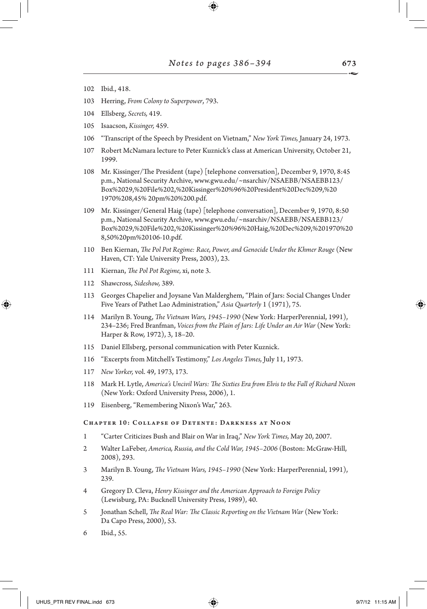- 102 Ibid., 418.
- 103 Herring, *From Colony to Superpower*, 793.
- 104 Ellsberg, *Secrets,* 419.
- 105 Isaacson, *Kissinger,* 459.
- 106 "Transcript of the Speech by President on Vietnam," *New York Times,* January 24, 1973.
- 107 Robert McNamara lecture to Peter Kuznick's class at American University, October 21, 1999.
- 108 Mr. Kissinger/The President (tape) [telephone conversation], December 9, 1970, 8:45 p.m., National Security Archive, www.gwu.edu/~nsarchiv/NSAEBB/NSAEBB123/ Box%2029,%20File%202,%20Kissinger%20%96%20President%20Dec%209,%20 1970%208,45% 20pm%20%200.pdf.
- 109 Mr. Kissinger/General Haig (tape) [telephone conversation], December 9, 1970, 8:50 p.m., National Security Archive, www.gwu.edu/~nsarchiv/NSAEBB/NSAEBB123/ Box%2029,%20File%202,%20Kissinger%20%96%20Haig,%20Dec%209,%201970%20 8,50%20pm%20106-10.pdf.
- 110 Ben Kiernan, *The Pol Pot Regime: Race, Power, and Genocide Under the Khmer Rouge* (New Haven, CT: Yale University Press, 2003), 23.
- 111 Kiernan, *The Pol Pot Regime,* xi, note 3.
- 112 Shawcross, *Sideshow,* 389.

↔

- 113 Georges Chapelier and Joysane Van Malderghem, "Plain of Jars: Social Changes Under Five Years of Pathet Lao Administration," *Asia Quarterly* 1 (1971), 75.
- 114 Marilyn B. Young, *The Vietnam Wars, 1945–1990* (New York: HarperPerennial, 1991), 234–236; Fred Branfman, *Voices from the Plain of Jars: Life Under an Air War* (New York: Harper & Row, 1972), 3, 18–20.
- 115 Daniel Ellsberg, personal communication with Peter Kuznick.
- 116 "Excerpts from Mitchell's Testimony," *Los Angeles Times,* July 11, 1973.
- 117 *New Yorker,* vol. 49, 1973, 173.
- 118 Mark H. Lytle, *America's Uncivil Wars: The Sixties Era from Elvis to the Fall of Richard Nixon* (New York: Oxford University Press, 2006), 1.
- 119 Eisenberg, "Remembering Nixon's War," 263.

#### Chapter 10: Collapse of Detente: Darkness at Noon

- 1 "Carter Criticizes Bush and Blair on War in Iraq," *New York Times,* May 20, 2007.
- 2 Walter LaFeber, *America, Russia, and the Cold War, 1945–2006* (Boston: McGraw-Hill, 2008), 293.
- 3 Marilyn B. Young, *The Vietnam Wars, 1945–1990* (New York: HarperPerennial, 1991), 239.
- 4 Gregory D. Cleva, *Henry Kissinger and the American Approach to Foreign Policy* (Lewisburg, PA: Bucknell University Press, 1989), 40.
- 5 Jonathan Schell, *The Real War: The Classic Reporting on the Vietnam War* (New York: Da Capo Press, 2000), 53.
- 6 Ibid., 55.

UHUS\_PTR REV FINAL.indd 673 9/7/12 11:15 AM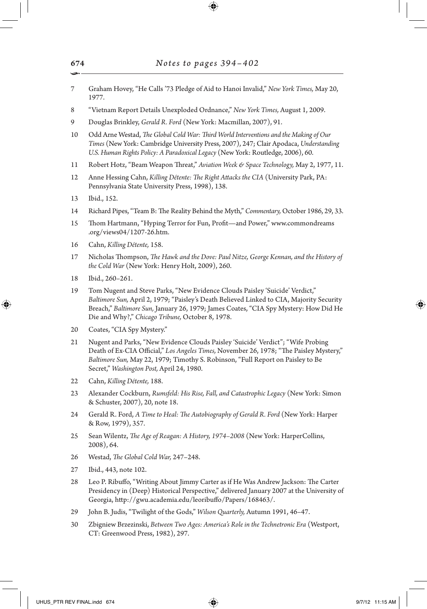- 7 Graham Hovey, "He Calls '73 Pledge of Aid to Hanoi Invalid," *New York Times,* May 20, 1977.
- 8 "Vietnam Report Details Unexploded Ordnance," *New York Times,* August 1, 2009.
- 9 Douglas Brinkley, *Gerald R. Ford* (New York: Macmillan, 2007), 91.
- 10 Odd Arne Westad, *The Global Cold War: Third World Interventions and the Making of Our Times* (New York: Cambridge University Press, 2007), 247; Clair Apodaca, *Understanding U.S. Human Rights Policy: A Paradoxical Legacy* (New York: Routledge, 2006), 60.
- 11 Robert Hotz, "Beam Weapon Threat," *Aviation Week & Space Technology,* May 2, 1977, 11.
- 12 Anne Hessing Cahn, *Killing Détente: The Right Attacks the CIA* (University Park, PA: Pennsylvania State University Press, 1998), 138.
- 13 Ibid., 152.
- 14 Richard Pipes, "Team B: The Reality Behind the Myth," *Commentary,* October 1986, 29, 33.
- 15 Thom Hartmann, "Hyping Terror for Fun, Profit—and Power," www.commondreams .org/views04/1207-26.htm.
- 16 Cahn, *Killing Détente,* 158.
- 17 Nicholas Thompson, *The Hawk and the Dove: Paul Nitze, George Kennan, and the History of the Cold War* (New York: Henry Holt, 2009), 260.
- 18 Ibid., 260–261.

↔

- 19 Tom Nugent and Steve Parks, "New Evidence Clouds Paisley 'Suicide' Verdict," *Baltimore Sun,* April 2, 1979; "Paisley's Death Believed Linked to CIA, Majority Security Breach," *Baltimore Sun,* January 26, 1979; James Coates, "CIA Spy Mystery: How Did He Die and Why?," *Chicago Tribune,* October 8, 1978.
- 20 Coates, "CIA Spy Mystery."
- 21 Nugent and Parks, "New Evidence Clouds Paisley 'Suicide' Verdict"; "Wife Probing Death of Ex-CIA Official," *Los Angeles Times,* November 26, 1978; "The Paisley Mystery," *Baltimore Sun,* May 22, 1979; Timothy S. Robinson, "Full Report on Paisley to Be Secret," *Washington Post,* April 24, 1980.
- 22 Cahn, *Killing Détente,* 188.
- 23 Alexander Cockburn, *Rumsfeld: His Rise, Fall, and Catastrophic Legacy* (New York: Simon & Schuster, 2007), 20, note 18.
- 24 Gerald R. Ford, *A Time to Heal: The Autobiography of Gerald R. Ford* (New York: Harper & Row, 1979), 357.
- 25 Sean Wilentz, *The Age of Reagan: A History, 1974–2008* (New York: HarperCollins, 2008), 64.
- 26 Westad, *The Global Cold War,* 247–248.
- 27 Ibid., 443, note 102.
- 28 Leo P. Ribuffo, "Writing About Jimmy Carter as if He Was Andrew Jackson: The Carter Presidency in (Deep) Historical Perspective," delivered January 2007 at the University of Georgia, http://gwu.academia.edu/leoribuffo/Papers/168463/.
- 29 John B. Judis, "Twilight of the Gods," *Wilson Quarterly,* Autumn 1991, 46–47.
- 30 Zbigniew Brzezinski, *Between Two Ages: America's Role in the Technetronic Era* (Westport, CT: Greenwood Press, 1982), 297.

674 •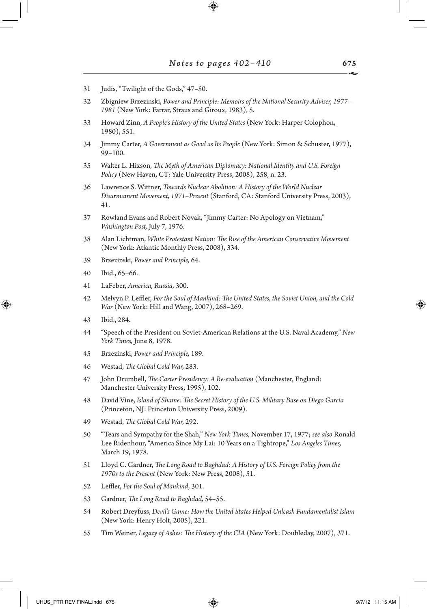- 31 Judis, "Twilight of the Gods," 47–50.
- 32 Zbigniew Brzezinski, *Power and Principle: Memoirs of the National Security Adviser, 1977– 1981* (New York: Farrar, Straus and Giroux, 1983), 5.
- 33 Howard Zinn, *A People's History of the United States* (New York: Harper Colophon, 1980), 551.
- 34 Jimmy Carter, *A Government as Good as Its People* (New York: Simon & Schuster, 1977), 99–100.
- 35 Walter L. Hixson, *The Myth of American Diplomacy: National Identity and U.S. Foreign Policy* (New Haven, CT: Yale University Press, 2008), 258, n. 23.
- 36 Lawrence S. Wittner, *Towards Nuclear Abolition: A History of the World Nuclear Disarmament Movement, 1971–Present* (Stanford, CA: Stanford University Press, 2003), 41.
- 37 Rowland Evans and Robert Novak, "Jimmy Carter: No Apology on Vietnam," *Washington Post,* July 7, 1976.
- 38 Alan Lichtman, *White Protestant Nation: The Rise of the American Conservative Movement* (New York: Atlantic Monthly Press, 2008), 334.
- 39 Brzezinski, *Power and Principle,* 64.
- 40 Ibid., 65–66.
- 41 LaFeber, *America, Russia,* 300.
- 42 Melvyn P. Leffler, *For the Soul of Mankind: The United States, the Soviet Union, and the Cold War* (New York: Hill and Wang, 2007), 268–269.
- 43 Ibid., 284.

↔

- 44 "Speech of the President on Soviet-American Relations at the U.S. Naval Academy," *New York Times,* June 8, 1978.
- 45 Brzezinski, *Power and Principle,* 189.
- 46 Westad, *The Global Cold War,* 283.
- 47 John Drumbell, *The Carter Presidency: A Re-evaluation* (Manchester, England: Manchester University Press, 1995), 102.
- 48 David Vine, *Island of Shame: The Secret History of the U.S. Military Base on Diego Garcia* (Princeton, NJ: Princeton University Press, 2009).
- 49 Westad, *The Global Cold War,* 292.
- 50 "Tears and Sympathy for the Shah," *New York Times,* November 17, 1977; *see also* Ronald Lee Ridenhour, "America Since My Lai: 10 Years on a Tightrope," *Los Angeles Times,* March 19, 1978.
- 51 Lloyd C. Gardner, *The Long Road to Baghdad: A History of U.S. Foreign Policy from the 1970s to the Present* (New York: New Press, 2008), 51.
- 52 Leffler, *For the Soul of Mankind*, 301.
- 53 Gardner, *The Long Road to Baghdad,* 54–55.
- 54 Robert Dreyfuss, *Devil's Game: How the United States Helped Unleash Fundamentalist Islam* (New York: Henry Holt, 2005), 221.
- 55 Tim Weiner, *Legacy of Ashes: The History of the CIA* (New York: Doubleday, 2007), 371.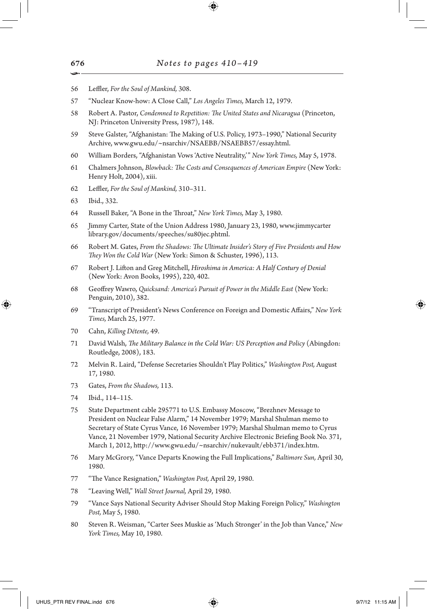- 56 Leffler, *For the Soul of Mankind,* 308.
- 57 "Nuclear Know-how: A Close Call," *Los Angeles Times,* March 12, 1979.
- 58 Robert A. Pastor, *Condemned to Repetition: The United States and Nicaragua* (Princeton, NJ: Princeton University Press, 1987), 148.
- 59 Steve Galster, "Afghanistan: The Making of U.S. Policy, 1973–1990," National Security Archive, www.gwu.edu/~nsarchiv/NSAEBB/NSAEBB57/essay.html.
- 60 William Borders, "Afghanistan Vows 'Active Neutrality,'" *New York Times,* May 5, 1978.
- 61 Chalmers Johnson, *Blowback: The Costs and Consequences of American Empire* (New York: Henry Holt, 2004), xiii.
- 62 Leffler, *For the Soul of Mankind,* 310–311.
- 63 Ibid., 332.

↔

- 64 Russell Baker, "A Bone in the Throat," *New York Times,* May 3, 1980.
- 65 Jimmy Carter, State of the Union Address 1980, January 23, 1980, www.jimmycarter library.gov/documents/speeches/su80jec.phtml.
- 66 Robert M. Gates, *From the Shadows: The Ultimate Insider's Story of Five Presidents and How They Won the Cold War* (New York: Simon & Schuster, 1996), 113.
- 67 Robert J. Lifton and Greg Mitchell, *Hiroshima in America: A Half Century of Denial*  (New York: Avon Books, 1995), 220, 402.
- 68 Geoffrey Wawro, *Quicksand: America's Pursuit of Power in the Middle East* (New York: Penguin, 2010), 382.
- 69 "Transcript of President's News Conference on Foreign and Domestic Affairs," *New York Times,* March 25, 1977.
- 70 Cahn, *Killing Détente,* 49.
- 71 David Walsh, *The Military Balance in the Cold War: US Perception and Policy* (Abingdon: Routledge, 2008), 183.
- 72 Melvin R. Laird, "Defense Secretaries Shouldn't Play Politics," *Washington Post,* August 17, 1980.
- 73 Gates, *From the Shadows,* 113.
- 74 Ibid., 114–115.
- 75 State Department cable 295771 to U.S. Embassy Moscow, "Brezhnev Message to President on Nuclear False Alarm," 14 November 1979; Marshal Shulman memo to Secretary of State Cyrus Vance, 16 November 1979; Marshal Shulman memo to Cyrus Vance, 21 November 1979, National Security Archive Electronic Briefing Book No. 371, March 1, 2012, http://www.gwu.edu/~nsarchiv/nukevault/ebb371/index.htm.
- 76 Mary McGrory, "Vance Departs Knowing the Full Implications," *Baltimore Sun,* April 30, 1980.
- 77 "The Vance Resignation," *Washington Post,* April 29, 1980.
- 78 "Leaving Well," *Wall Street Journal,* April 29, 1980.
- 79 "Vance Says National Security Adviser Should Stop Making Foreign Policy," *Washington Post,* May 5, 1980.
- 80 Steven R. Weisman, "Carter Sees Muskie as 'Much Stronger' in the Job than Vance," *New York Times,* May 10, 1980.

676 •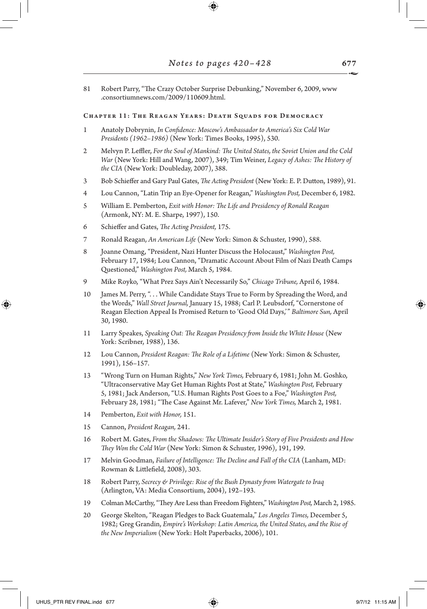81 Robert Parry, "The Crazy October Surprise Debunking," November 6, 2009, www .consortiumnews.com/2009/110609.html.

#### Chapter 11: The Reagan Years: Death Squads for Democracy

- 1 Anatoly Dobrynin, *In Confidence: Moscow's Ambassador to America's Six Cold War Presidents (1962–1986)* (New York: Times Books, 1995), 530.
- 2 Melvyn P. Leffler, *For the Soul of Mankind: The United States, the Soviet Union and the Cold War* (New York: Hill and Wang, 2007), 349; Tim Weiner, *Legacy of Ashes: The History of the CIA* (New York: Doubleday, 2007), 388.
- 3 Bob Schieffer and Gary Paul Gates, *The Acting President* (New York: E. P. Dutton, 1989), 91.
- 4 Lou Cannon, "Latin Trip an Eye-Opener for Reagan," *Washington Post,* December 6, 1982.
- 5 William E. Pemberton, *Exit with Honor: The Life and Presidency of Ronald Reagan* (Armonk, NY: M. E. Sharpe, 1997), 150.
- 6 Schieffer and Gates, *The Acting President,* 175.
- 7 Ronald Reagan, *An American Life* (New York: Simon & Schuster, 1990), 588.
- 8 Joanne Omang, "President, Nazi Hunter Discuss the Holocaust," *Washington Post,* February 17, 1984; Lou Cannon, "Dramatic Account About Film of Nazi Death Camps Questioned," *Washington Post,* March 5, 1984.
- 9 Mike Royko, "What Prez Says Ain't Necessarily So," *Chicago Tribune,* April 6, 1984.
- 10 James M. Perry, ". . . While Candidate Stays True to Form by Spreading the Word, and the Words," *Wall Street Journal,* January 15, 1988; Carl P. Leubsdorf, "Cornerstone of Reagan Election Appeal Is Promised Return to 'Good Old Days,'" *Baltimore Sun,* April 30, 1980.
- 11 Larry Speakes, *Speaking Out: The Reagan Presidency from Inside the White House* (New York: Scribner, 1988), 136.
- 12 Lou Cannon, *President Reagan: The Role of a Lifetime* (New York: Simon & Schuster, 1991), 156–157.
- 13 "Wrong Turn on Human Rights," *New York Times,* February 6, 1981; John M. Goshko, "Ultraconservative May Get Human Rights Post at State," *Washington Post,* February 5, 1981; Jack Anderson, "U.S. Human Rights Post Goes to a Foe," *Washington Post,* February 28, 1981; "The Case Against Mr. Lafever," *New York Times,* March 2, 1981.
- 14 Pemberton, *Exit with Honor,* 151.
- 15 Cannon, *President Reagan,* 241.
- 16 Robert M. Gates, *From the Shadows: The Ultimate Insider's Story of Five Presidents and How They Won the Cold War* (New York: Simon & Schuster, 1996), 191, 199.
- 17 Melvin Goodman, *Failure of Intelligence: The Decline and Fall of the CIA* (Lanham, MD: Rowman & Littlefield, 2008), 303.
- 18 Robert Parry, *Secrecy & Privilege: Rise of the Bush Dynasty from Watergate to Iraq* (Arlington, VA: Media Consortium, 2004), 192–193.
- 19 Colman McCarthy, "They Are Less than Freedom Fighters," *Washington Post,* March 2, 1985.
- 20 George Skelton, "Reagan Pledges to Back Guatemala," *Los Angeles Times,* December 5, 1982; Greg Grandin, *Empire's Workshop: Latin America, the United States, and the Rise of the New Imperialism* (New York: Holt Paperbacks, 2006), 101.

↔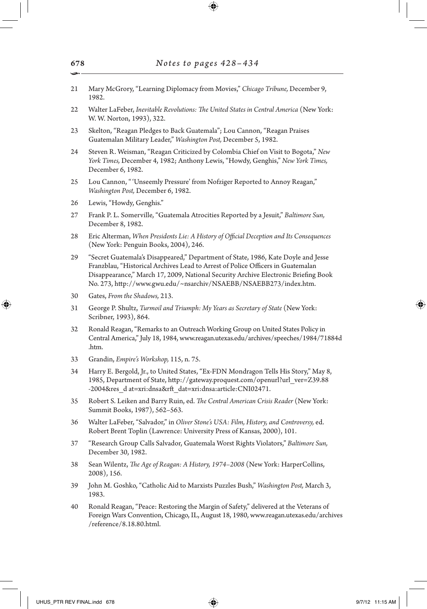- 21 Mary McGrory, "Learning Diplomacy from Movies," *Chicago Tribune,* December 9, 1982.
- 22 Walter LaFeber, *Inevitable Revolutions: The United States in Central America* (New York: W. W. Norton, 1993), 322.
- 23 Skelton, "Reagan Pledges to Back Guatemala"; Lou Cannon, "Reagan Praises Guatemalan Military Leader," *Washington Post,* December 5, 1982.
- 24 Steven R. Weisman, "Reagan Criticized by Colombia Chief on Visit to Bogota," *New York Times,* December 4, 1982; Anthony Lewis, "Howdy, Genghis," *New York Times,* December 6, 1982.
- 25 Lou Cannon, "'Unseemly Pressure' from Nofziger Reported to Annoy Reagan," *Washington Post,* December 6, 1982.
- 26 Lewis, "Howdy, Genghis."
- 27 Frank P. L. Somerville, "Guatemala Atrocities Reported by a Jesuit," *Baltimore Sun,* December 8, 1982.
- 28 Eric Alterman, *When Presidents Lie: A History of Official Deception and Its Consequences* (New York: Penguin Books, 2004), 246.
- 29 "Secret Guatemala's Disappeared," Department of State, 1986, Kate Doyle and Jesse Franzblau, "Historical Archives Lead to Arrest of Police Officers in Guatemalan Disappearance," March 17, 2009, National Security Archive Electronic Briefing Book No. 273, http://www.gwu.edu/~nsarchiv/NSAEBB/NSAEBB273/index.htm.
- 30 Gates, *From the Shadows,* 213.

↔

- 31 George P. Shultz, *Turmoil and Triumph: My Years as Secretary of State* (New York: Scribner, 1993), 864.
- 32 Ronald Reagan, "Remarks to an Outreach Working Group on United States Policy in Central America," July 18, 1984, www.reagan.utexas.edu/archives/speeches/1984/71884d .htm.
- 33 Grandin, *Empire's Workshop,* 115, n. 75.
- 34 Harry E. Bergold, Jr., to United States, "Ex-FDN Mondragon Tells His Story," May 8, 1985, Department of State, http://gateway.proquest.com/openurl?url\_ver=Z39.88 -2004&res\_d at=xri:dnsa&rft\_dat=xri:dnsa:article:CNI02471.
- 35 Robert S. Leiken and Barry Ruin, ed. *The Central American Crisis Reader* (New York: Summit Books, 1987), 562–563.
- 36 Walter LaFeber, "Salvador," in *Oliver Stone's USA: Film, History, and Controversy,* ed. Robert Brent Toplin (Lawrence: University Press of Kansas, 2000), 101.
- 37 "Research Group Calls Salvador, Guatemala Worst Rights Violators," *Baltimore Sun,* December 30, 1982.
- 38 Sean Wilentz, *The Age of Reagan: A History, 1974–2008* (New York: HarperCollins, 2008), 156.
- 39 John M. Goshko, "Catholic Aid to Marxists Puzzles Bush," *Washington Post,* March 3, 1983.
- 40 Ronald Reagan, "Peace: Restoring the Margin of Safety," delivered at the Veterans of Foreign Wars Convention, Chicago, IL, August 18, 1980, www.reagan.utexas.edu/archives /reference/8.18.80.html.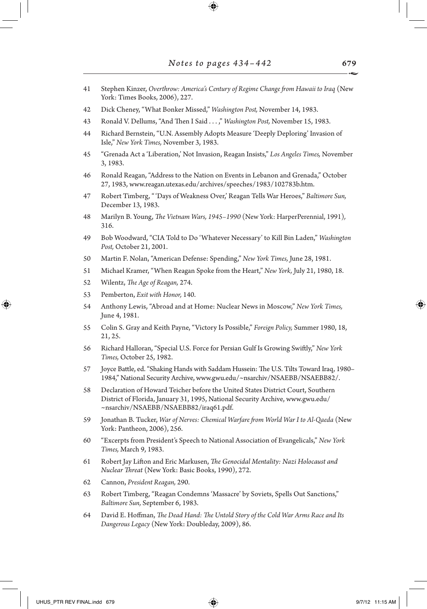- 41 Stephen Kinzer, *Overthrow: America's Century of Regime Change from Hawaii to Iraq* (New York: Times Books, 2006), 227.
- 42 Dick Cheney, "What Bonker Missed," *Washington Post,* November 14, 1983.
- 43 Ronald V. Dellums, "And Then I Said . . . ," *Washington Post,* November 15, 1983.
- 44 Richard Bernstein, "U.N. Assembly Adopts Measure 'Deeply Deploring' Invasion of Isle," *New York Times,* November 3, 1983.
- 45 "Grenada Act a 'Liberation,' Not Invasion, Reagan Insists," *Los Angeles Times,* November 3, 1983.
- 46 Ronald Reagan, "Address to the Nation on Events in Lebanon and Grenada," October 27, 1983, www.reagan.utexas.edu/archives/speeches/1983/102783b.htm.
- 47 Robert Timberg, "'Days of Weakness Over,' Reagan Tells War Heroes," *Baltimore Sun,* December 13, 1983.
- 48 Marilyn B. Young, *The Vietnam Wars, 1945–1990* (New York: HarperPerennial, 1991)*,* 316.
- 49 Bob Woodward, "CIA Told to Do 'Whatever Necessary' to Kill Bin Laden," *Washington Post,* October 21, 2001.
- 50 Martin F. Nolan, "American Defense: Spending," *New York Times,* June 28, 1981.
- 51 Michael Kramer, "When Reagan Spoke from the Heart," *New York,* July 21, 1980, 18.
- 52 Wilentz, *The Age of Reagan,* 274.
- 53 Pemberton, *Exit with Honor,* 140.
- 54 Anthony Lewis, "Abroad and at Home: Nuclear News in Moscow," *New York Times,* June 4, 1981.
- 55 Colin S. Gray and Keith Payne, "Victory Is Possible," *Foreign Policy,* Summer 1980, 18, 21, 25.
- 56 Richard Halloran, "Special U.S. Force for Persian Gulf Is Growing Swiftly," *New York Times,* October 25, 1982.
- 57 Joyce Battle, ed. "Shaking Hands with Saddam Hussein: The U.S. Tilts Toward Iraq, 1980– 1984," National Security Archive, www.gwu.edu/~nsarchiv/NSAEBB/NSAEBB82/.
- 58 Declaration of Howard Teicher before the United States District Court, Southern District of Florida, January 31, 1995, National Security Archive, www.gwu.edu/ ~nsarchiv/NSAEBB/NSAEBB82/iraq61.pdf.
- 59 Jonathan B. Tucker, *War of Nerves: Chemical Warfare from World War I to Al-Qaeda* (New York: Pantheon, 2006), 256.
- 60 "Excerpts from President's Speech to National Association of Evangelicals," *New York Times,* March 9, 1983.
- 61 Robert Jay Lifton and Eric Markusen, *The Genocidal Mentality: Nazi Holocaust and Nuclear Threat* (New York: Basic Books, 1990), 272.
- 62 Cannon, *President Reagan,* 290.
- 63 Robert Timberg, "Reagan Condemns 'Massacre' by Soviets, Spells Out Sanctions," *Baltimore Sun,* September 6, 1983.
- 64 David E. Hoffman, *The Dead Hand: The Untold Story of the Cold War Arms Race and Its Dangerous Legacy* (New York: Doubleday, 2009), 86.

↔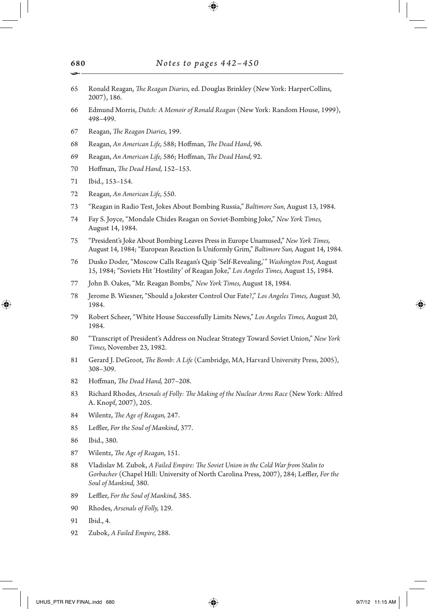- Ronald Reagan, *The Reagan Diaries,* ed. Douglas Brinkley (New York: HarperCollins, 2007), 186.
- Edmund Morris, *Dutch: A Memoir of Ronald Reagan* (New York: Random House, 1999), 498–499.
- Reagan, *The Reagan Diaries,* 199.
- Reagan, *An American Life,* 588; Hoffman, *The Dead Hand*, 96.
- Reagan, *An American Life,* 586; Hoffman, *The Dead Hand,* 92.
- Hoffman, *The Dead Hand,* 152–153.
- Ibid., 153–154.
- Reagan, *An American Life,* 550.
- "Reagan in Radio Test, Jokes About Bombing Russia," *Baltimore Sun,* August 13, 1984.
- Fay S. Joyce, "Mondale Chides Reagan on Soviet-Bombing Joke," *New York Times,* August 14, 1984.
- "President's Joke About Bombing Leaves Press in Europe Unamused," *New York Times,* August 14, 1984; "European Reaction Is Uniformly Grim," *Baltimore Sun,* August 14, 1984.
- Dusko Doder, "Moscow Calls Reagan's Quip 'Self-Revealing,'" *Washington Post,* August 15, 1984; "Soviets Hit 'Hostility' of Reagan Joke," *Los Angeles Times,* August 15, 1984.
- John B. Oakes, "Mr. Reagan Bombs," *New York Times,* August 18, 1984.
- Jerome B. Wiesner, "Should a Jokester Control Our Fate?," *Los Angeles Times,* August 30, 1984.
- Robert Scheer, "White House Successfully Limits News," *Los Angeles Times,* August 20, 1984.
- "Transcript of President's Address on Nuclear Strategy Toward Soviet Union," *New York Times,* November 23, 1982.
- Gerard J. DeGroot, *The Bomb: A Life* (Cambridge, MA, Harvard University Press, 2005), 308–309.
- Hoffman, *The Dead Hand,* 207–208.
- Richard Rhodes, *Arsenals of Folly: The Making of the Nuclear Arms Race* (New York: Alfred A. Knopf, 2007), 205.
- Wilentz, *The Age of Reagan,* 247.
- Leffler, *For the Soul of Mankind*, 377.
- Ibid., 380.

⊕

- Wilentz, *The Age of Reagan,* 151.
- Vladislav M. Zubok, *A Failed Empire: The Soviet Union in the Cold War from Stalin to Gorbachev* (Chapel Hill: University of North Carolina Press, 2007), 284; Leffler, *For the Soul of Mankind,* 380.
- Leffler, *For the Soul of Mankind,* 385.
- Rhodes, *Arsenals of Folly,* 129.
- Ibid., 4.
- Zubok, *A Failed Empire,* 288.

UHUS\_PTR REV FINAL.indd 680 97/12 11:15 AM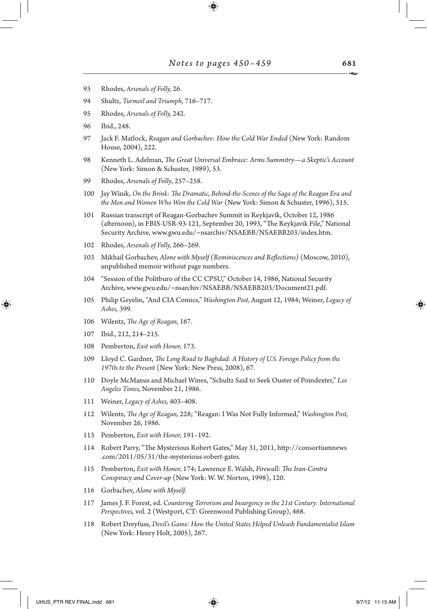- 93 Rhodes, *Arsenals of Folly,* 26.
- 94 Shultz, *Turmoil and Triumph,* 716–717.
- 95 Rhodes, *Arsenals of Folly,* 242.
- 96 Ibid., 248.
- 97 Jack F. Matlock, *Reagan and Gorbachev: How the Cold War Ended* (New York: Random House, 2004), 222.
- 98 Kenneth L. Adelman, *The Great Universal Embrace: Arms Summitry—a Skeptic's Account*  (New York: Simon & Schuster, 1989), 53.
- 99 Rhodes, *Arsenals of Folly*, 257–258.
- 100 Jay Winik, *On the Brink: The Dramatic, Behind-the-Scenes of the Saga of the Reagan Era and the Men and Women Who Won the Cold War* (New York: Simon & Schuster, 1996), 515.
- 101 Russian transcript of Reagan-Gorbachev Summit in Reykjavík, October 12, 1986 (afternoon), in FBIS-USR-93-121, September 20, 1993, "The Reykjavik File," National Security Archive, www.gwu.edu/~nsarchiv/NSAEBB/NSAEBB203/index.htm.
- 102 Rhodes, *Arsenals of Folly,* 266–269.
- 103 Mikhail Gorbachev, *Alone with Myself (Reminiscences and Reflections)* (Moscow, 2010), unpublished memoir without page numbers.
- 104 "Session of the Politburo of the CC CPSU," October 14, 1986, National Security Archive, www.gwu.edu/~nsarchiv/NSAEBB/NSAEBB203/Document21.pdf.
- 105 Philip Geyelin, "And CIA Comics," *Washington Post,* August 12, 1984; Weiner, *Legacy of Ashes,* 399.
- 106 Wilentz, *The Age of Reagan,* 167.
- 107 Ibid., 212, 214–215.

↔

- 108 Pemberton, *Exit with Honor,* 173.
- 109 Lloyd C. Gardner, *The Long Road to Baghdad: A History of U.S. Foreign Policy from the 1970s to the Present* (New York: New Press, 2008), 67.
- 110 Doyle McManus and Michael Wines, "Schultz Said to Seek Ouster of Poindexter," *Los Angeles Times,* November 21, 1986.
- 111 Weiner, *Legacy of Ashes,* 403–408.
- 112 Wilentz, *The Age of Reagan,* 228; "Reagan: I Was Not Fully Informed," *Washington Post,* November 26, 1986.
- 113 Pemberton, *Exit with Honor,* 191–192.
- 114 Robert Parry, "The Mysterious Robert Gates," May 31, 2011, http://consortiumnews .com/2011/05/31/the-mysterious-robert-gates.
- 115 Pemberton, *Exit with Honor,* 174; Lawrence E. Walsh, *Firewall: The Iran-Contra Conspiracy and Cover-up* (New York: W. W. Norton, 1998), 120.
- 116 Gorbachev, *Alone with Myself.*
- 117 James J. F. Forest, ed. *Countering Terrorism and Insurgency in the 21st Century: International Perspectives,* vol. 2 (Westport, CT: Greenwood Publishing Group), 468.
- 118 Robert Dreyfuss, *Devil's Game: How the United States Helped Unleash Fundamentalist Islam* (New York: Henry Holt, 2005), 267.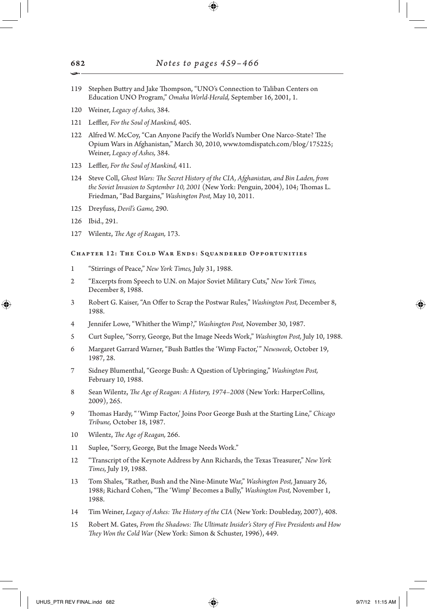- 119 Stephen Buttry and Jake Thompson, "UNO's Connection to Taliban Centers on Education UNO Program," *Omaha World-Herald,* September 16, 2001, 1.
- 120 Weiner, *Legacy of Ashes,* 384.
- 121 Leffler, *For the Soul of Mankind,* 405.
- 122 Alfred W. McCoy, "Can Anyone Pacify the World's Number One Narco-State? The Opium Wars in Afghanistan," March 30, 2010, www.tomdispatch.com/blog/175225; Weiner, *Legacy of Ashes,* 384.
- 123 Leffler, *For the Soul of Mankind,* 411.
- 124 Steve Coll, *Ghost Wars: The Secret History of the CIA, Afghanistan, and Bin Laden, from the Soviet Invasion to September 10, 2001* (New York: Penguin, 2004), 104; Thomas L. Friedman, "Bad Bargains," *Washington Post,* May 10, 2011.
- 125 Dreyfuss, *Devil's Game,* 290.
- 126 Ibid., 291.

⊕

127 Wilentz, *The Age of Reagan,* 173.

# Chapter 12: The Cold War Ends: Squandered Opportunities

- 1 "Stirrings of Peace," *New York Times,* July 31, 1988.
- 2 "Excerpts from Speech to U.N. on Major Soviet Military Cuts," *New York Times,* December 8, 1988.
- 3 Robert G. Kaiser, "An Offer to Scrap the Postwar Rules," *Washington Post,* December 8, 1988.
- 4 Jennifer Lowe, "Whither the Wimp?," *Washington Post,* November 30, 1987.
- 5 Curt Suplee, "Sorry, George, But the Image Needs Work," *Washington Post,* July 10, 1988.
- 6 Margaret Garrard Warner, "Bush Battles the 'Wimp Factor,'" *Newsweek,* October 19, 1987, 28.
- 7 Sidney Blumenthal, "George Bush: A Question of Upbringing," *Washington Post,* February 10, 1988.
- 8 Sean Wilentz, *The Age of Reagan: A History, 1974–2008* (New York: HarperCollins, 2009), 265.
- 9 Thomas Hardy, "'Wimp Factor,' Joins Poor George Bush at the Starting Line," *Chicago Tribune,* October 18, 1987.
- 10 Wilentz, *The Age of Reagan,* 266.
- 11 Suplee, "Sorry, George, But the Image Needs Work."
- 12 "Transcript of the Keynote Address by Ann Richards, the Texas Treasurer," *New York Times,* July 19, 1988.
- 13 Tom Shales, "Rather, Bush and the Nine-Minute War," *Washington Post,* January 26, 1988; Richard Cohen, "The 'Wimp' Becomes a Bully," *Washington Post,* November 1, 1988.
- 14 Tim Weiner, *Legacy of Ashes: The History of the CIA* (New York: Doubleday, 2007), 408.
- 15 Robert M. Gates, *From the Shadows: The Ultimate Insider's Story of Five Presidents and How They Won the Cold War* (New York: Simon & Schuster, 1996), 449.

682 •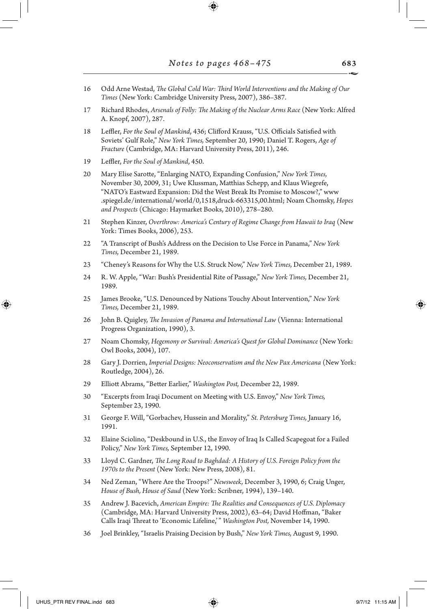- 16 Odd Arne Westad, *The Global Cold War: Third World Interventions and the Making of Our Times* (New York: Cambridge University Press, 2007), 386–387.
- 17 Richard Rhodes, *Arsenals of Folly: The Making of the Nuclear Arms Race* (New York: Alfred A. Knopf, 2007), 287.
- 18 Leffler, *For the Soul of Mankind*, 436; Clifford Krauss, "U.S. Officials Satisfied with Soviets' Gulf Role," *New York Times,* September 20, 1990; Daniel T. Rogers, *Age of Fracture* (Cambridge, MA: Harvard University Press, 2011), 246.
- 19 Leffler, *For the Soul of Mankind*, 450.
- 20 Mary Elise Sarotte, "Enlarging NATO, Expanding Confusion," *New York Times,* November 30, 2009, 31; Uwe Klussman, Matthias Schepp, and Klaus Wiegrefe, "NATO's Eastward Expansion: Did the West Break Its Promise to Moscow?," www .spiegel.de/international/world/0,1518,druck-663315,00.html; Noam Chomsky, *Hopes and Prospects* (Chicago: Haymarket Books, 2010), 278–280.
- 21 Stephen Kinzer, *Overthrow: America's Century of Regime Change from Hawaii to Iraq* (New York: Times Books, 2006), 253.
- 22 "A Transcript of Bush's Address on the Decision to Use Force in Panama," *New York Times,* December 21, 1989.
- 23 "Cheney's Reasons for Why the U.S. Struck Now," *New York Times,* December 21, 1989.
- 24 R. W. Apple, "War: Bush's Presidential Rite of Passage," *New York Times,* December 21, 1989.
- 25 James Brooke, "U.S. Denounced by Nations Touchy About Intervention," *New York Times,* December 21, 1989.
- 26 John B. Quigley, *The Invasion of Panama and International Law* (Vienna: International Progress Organization, 1990), 3.
- 27 Noam Chomsky, *Hegemony or Survival: America's Quest for Global Dominance* (New York: Owl Books, 2004), 107.
- 28 Gary J. Dorrien, *Imperial Designs: Neoconservatism and the New Pax Americana* (New York: Routledge, 2004), 26.
- 29 Elliott Abrams, "Better Earlier," *Washington Post,* December 22, 1989.
- 30 "Excerpts from Iraqi Document on Meeting with U.S. Envoy," *New York Times,* September 23, 1990.
- 31 George F. Will, "Gorbachev, Hussein and Morality," *St. Petersburg Times,* January 16, 1991.
- 32 Elaine Sciolino, "Deskbound in U.S., the Envoy of Iraq Is Called Scapegoat for a Failed Policy," *New York Times,* September 12, 1990.
- 33 Lloyd C. Gardner, *The Long Road to Baghdad: A History of U.S. Foreign Policy from the 1970s to the Present* (New York: New Press, 2008), 81.
- 34 Ned Zeman, "Where Are the Troops?" *Newsweek,* December 3, 1990, 6; Craig Unger, *House of Bush, House of Saud* (New York: Scribner, 1994), 139–140.
- 35 Andrew J. Bacevich, *American Empire: The Realities and Consequences of U.S. Diplomacy* (Cambridge, MA: Harvard University Press, 2002), 63–64; David Hoffman, "Baker Calls Iraqi Threat to 'Economic Lifeline,'" *Washington Post,* November 14, 1990.
- 36 Joel Brinkley, "Israelis Praising Decision by Bush," *New York Times,* August 9, 1990.

UHUS\_PTR REV FINAL.indd 683 **9/7/12 11:15 AM** 

↔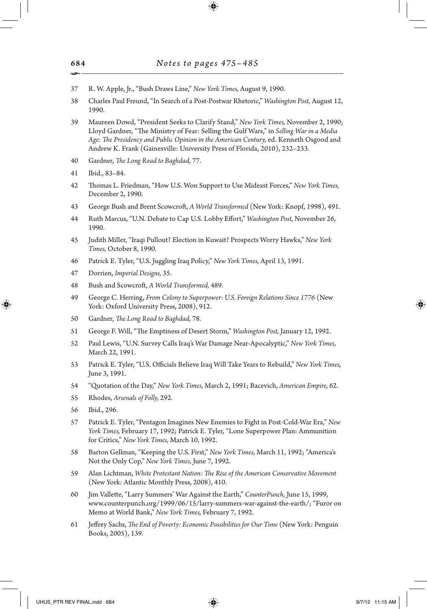- 37 R. W. Apple, Jr., "Bush Draws Line," *New York Times,* August 9, 1990.
- 38 Charles Paul Freund, "In Search of a Post-Postwar Rhetoric," *Washington Post,* August 12, 1990.
- 39 Maureen Dowd, "President Seeks to Clarify Stand," *New York Times,* November 2, 1990; Lloyd Gardner, "The Ministry of Fear: Selling the Gulf Wars," in *Selling War in a Media Age: The Presidency and Public Opinion in the American Century,* ed. Kenneth Osgood and Andrew K. Frank (Gainesville: University Press of Florida, 2010), 232–233.
- 40 Gardner, *The Long Road to Baghdad,* 77.
- 41 Ibid., 83–84.
- 42 Thomas L. Friedman, "How U.S. Won Support to Use Mideast Forces," *New York Times,* December 2, 1990.
- 43 George Bush and Brent Scowcroft, *A World Transformed* (New York: Knopf, 1998), 491.
- 44 Ruth Marcus, "U.N. Debate to Cap U.S. Lobby Effort," *Washington Post,* November 26, 1990.
- 45 Judith Miller, "Iraqi Pullout? Election in Kuwait? Prospects Worry Hawks," *New York Times,* October 8, 1990.
- 46 Patrick E. Tyler, "U.S. Juggling Iraq Policy," *New York Times,* April 13, 1991.
- 47 Dorrien, *Imperial Designs,* 35.
- 48 Bush and Scowcroft, *A World Transformed,* 489.
- 49 George C. Herring, *From Colony to Superpower: U.S. Foreign Relations Since 1776* (New York: Oxford University Press, 2008), 912.
- 50 Gardner, *The Long Road to Baghdad,* 78.
- 51 George F. Will, "The Emptiness of Desert Storm," *Washington Post,* January 12, 1992.
- 52 Paul Lewis, "U.N. Survey Calls Iraq's War Damage Near-Apocalyptic," *New York Times,* March 22, 1991.
- 53 Patrick E. Tyler, "U.S. Officials Believe Iraq Will Take Years to Rebuild," *New York Times,* June 3, 1991.
- 54 "Quotation of the Day," *New York Times,* March 2, 1991; Bacevich, *American Empire,* 62.
- 55 Rhodes, *Arsenals of Folly,* 292.
- 56 Ibid., 296.

↔

- 57 Patrick E. Tyler, "Pentagon Imagines New Enemies to Fight in Post-Cold-War Era," *New York Times,* February 17, 1992; Patrick E. Tyler, "Lone Superpower Plan: Ammunition for Critics," *New York Times,* March 10, 1992.
- 58 Barton Gellman, "Keeping the U.S. First," *New York Times,* March 11, 1992; "America's Not the Only Cop," *New York Times,* June 7, 1992.
- 59 Alan Lichtman, *White Protestant Nation: The Rise of the American Conservative Movement* (New York: Atlantic Monthly Press, 2008), 410.
- 60 Jim Vallette, "Larry Summers' War Against the Earth," *CounterPunch,* June 15, 1999, www.counterpunch.org/1999/06/15/larry-summers-war-against-the-earth/; "Furor on Memo at World Bank," *New York Times,* February 7, 1992.
- 61 Jeffrey Sachs, *The End of Poverty: Economic Possibilities for Our Time* (New York: Penguin Books, 2005), 139.

684 •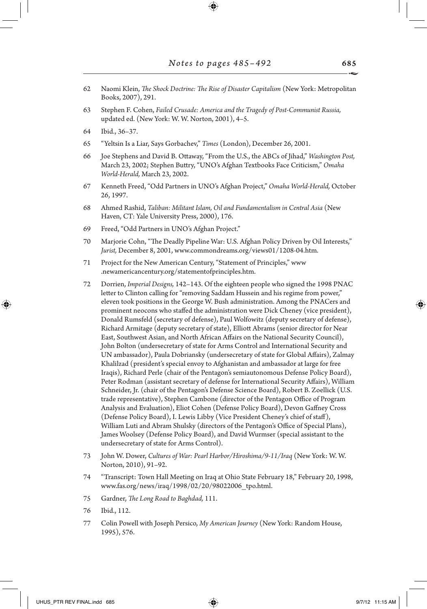- 62 Naomi Klein, *The Shock Doctrine: The Rise of Disaster Capitalism* (New York: Metropolitan Books, 2007), 291.
- 63 Stephen F. Cohen, *Failed Crusade: America and the Tragedy of Post-Communist Russia,* updated ed. (New York: W. W. Norton, 2001), 4–5.
- 64 Ibid., 36–37.

⊕

- 65 "Yeltsin Is a Liar, Says Gorbachev," *Times* (London), December 26, 2001.
- 66 Joe Stephens and David B. Ottaway, "From the U.S., the ABCs of Jihad," *Washington Post,* March 23, 2002; Stephen Buttry, "UNO's Afghan Textbooks Face Criticism," *Omaha World-Herald,* March 23, 2002.
- 67 Kenneth Freed, "Odd Partners in UNO's Afghan Project," *Omaha World-Herald,* October 26, 1997.
- 68 Ahmed Rashid, *Taliban: Militant Islam, Oil and Fundamentalism in Central Asia* (New Haven, CT: Yale University Press, 2000), 176.
- 69 Freed, "Odd Partners in UNO's Afghan Project."
- 70 Marjorie Cohn, "The Deadly Pipeline War: U.S. Afghan Policy Driven by Oil Interests," *Jurist,* December 8, 2001, www.commondreams.org/views01/1208-04.htm.
- 71 Project for the New American Century, "Statement of Principles," www .newamericancentury.org/statementofprinciples.htm.
- 72 Dorrien, *Imperial Designs,* 142–143. Of the eighteen people who signed the 1998 PNAC letter to Clinton calling for "removing Saddam Hussein and his regime from power," eleven took positions in the George W. Bush administration. Among the PNACers and prominent neocons who staffed the administration were Dick Cheney (vice president), Donald Rumsfeld (secretary of defense), Paul Wolfowitz (deputy secretary of defense), Richard Armitage (deputy secretary of state), Elliott Abrams (senior director for Near East, Southwest Asian, and North African Affairs on the National Security Council), John Bolton (undersecretary of state for Arms Control and International Security and UN ambassador), Paula Dobriansky (undersecretary of state for Global Affairs), Zalmay Khalilzad (president's special envoy to Afghanistan and ambassador at large for free Iraqis), Richard Perle (chair of the Pentagon's semiautonomous Defense Policy Board), Peter Rodman (assistant secretary of defense for International Security Affairs), William Schneider, Jr. (chair of the Pentagon's Defense Science Board), Robert B. Zoellick (U.S. trade representative), Stephen Cambone (director of the Pentagon Office of Program Analysis and Evaluation), Eliot Cohen (Defense Policy Board), Devon Gaffney Cross (Defense Policy Board), I. Lewis Libby (Vice President Cheney's chief of staff), William Luti and Abram Shulsky (directors of the Pentagon's Office of Special Plans), James Woolsey (Defense Policy Board), and David Wurmser (special assistant to the undersecretary of state for Arms Control).
- 73 John W. Dower, *Cultures of War: Pearl Harbor/Hiroshima/9-11/Iraq* (New York: W. W. Norton, 2010), 91–92.
- 74 "Transcript: Town Hall Meeting on Iraq at Ohio State February 18," February 20, 1998, www.fas.org/news/iraq/1998/02/20/98022006\_tpo.html.
- 75 Gardner, *The Long Road to Baghdad,* 111.
- 76 Ibid., 112.
- 77 Colin Powell with Joseph Persico, *My American Journey* (New York: Random House, 1995), 576.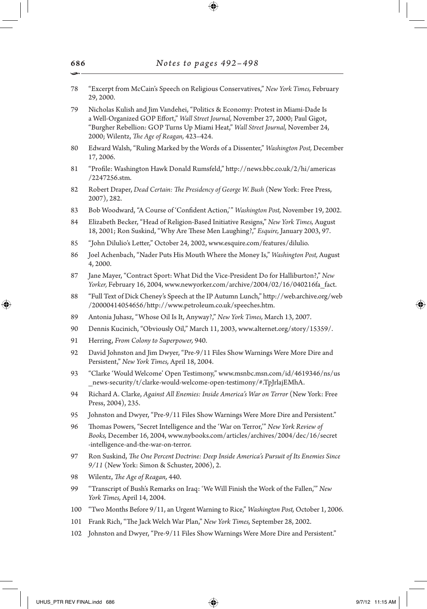78 "Excerpt from McCain's Speech on Religious Conservatives," *New York Times,* February 29, 2000. 79 Nicholas Kulish and Jim Vandehei, "Politics & Economy: Protest in Miami-Dade Is a Well-Organized GOP Effort," *Wall Street Journal,* November 27, 2000; Paul Gigot, "Burgher Rebellion: GOP Turns Up Miami Heat," *Wall Street Journal,* November 24, 2000; Wilentz, *The Age of Reagan,* 423–424. 80 Edward Walsh, "Ruling Marked by the Words of a Dissenter," *Washington Post,* December 17, 2006. 81 "Profile: Washington Hawk Donald Rumsfeld," http://news.bbc.co.uk/2/hi/americas /2247256.stm. 82 Robert Draper, *Dead Certain: The Presidency of George W. Bush* (New York: Free Press, 2007), 282. 83 Bob Woodward, "A Course of 'Confident Action,'" *Washington Post,* November 19, 2002. 84 Elizabeth Becker, "Head of Religion-Based Initiative Resigns," *New York Times,* August 18, 2001; Ron Suskind, "Why Are These Men Laughing?," *Esquire,* January 2003, 97. 85 "John Dilulio's Letter," October 24, 2002, www.esquire.com/features/dilulio. 86 Joel Achenbach, "Nader Puts His Mouth Where the Money Is," *Washington Post,* August 4, 2000. 87 Jane Mayer, "Contract Sport: What Did the Vice-President Do for Halliburton?," *New Yorker,* February 16, 2004, www.newyorker.com/archive/2004/02/16/040216fa\_fact. 88 "Full Text of Dick Cheney's Speech at the IP Autumn Lunch," http://web.archive.org/web /20000414054656/http://www.petroleum.co.uk/speeches.htm. 89 Antonia Juhasz, "Whose Oil Is It, Anyway?," *New York Times,* March 13, 2007. 90 Dennis Kucinich, "Obviously Oil," March 11, 2003, www.alternet.org/story/15359/. 91 Herring, *From Colony to Superpower,* 940. 92 David Johnston and Jim Dwyer, "Pre-9/11 Files Show Warnings Were More Dire and Persistent," *New York Times,* April 18, 2004. 93 "Clarke 'Would Welcome' Open Testimony," www.msnbc.msn.com/id/4619346/ns/us \_news-security/t/clarke-would-welcome-open-testimony/#.TpJrlajEMhA. 94 Richard A. Clarke, *Against All Enemies: Inside America's War on Terror* (New York: Free Press, 2004), 235. 95 Johnston and Dwyer, "Pre-9/11 Files Show Warnings Were More Dire and Persistent." 96 Thomas Powers, "Secret Intelligence and the 'War on Terror,'" *New York Review of Books,* December 16, 2004, www.nybooks.com/articles/archives/2004/dec/16/secret -intelligence-and-the-war-on-terror. 97 Ron Suskind, *The One Percent Doctrine: Deep Inside America's Pursuit of Its Enemies Since 9/11* (New York: Simon & Schuster, 2006), 2. 98 Wilentz, *The Age of Reagan,* 440. 99 "Transcript of Bush's Remarks on Iraq: 'We Will Finish the Work of the Fallen,'" *New York Times,* April 14, 2004. 100 "Two Months Before 9/11, an Urgent Warning to Rice," *Washington Post,* October 1, 2006. 101 Frank Rich, "The Jack Welch War Plan," *New York Times,* September 28, 2002. 102 Johnston and Dwyer, "Pre-9/11 Files Show Warnings Were More Dire and Persistent."

⊕

686 •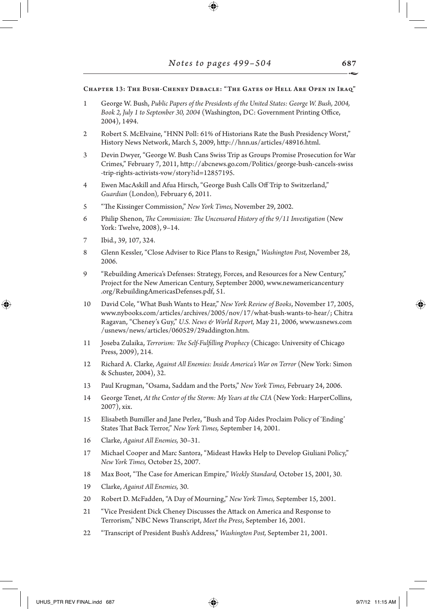#### Chapter 13: The Bush-Cheney Debacle: "The Gates of Hell Are Open in Iraq"

- 1 George W. Bush, *Public Papers of the Presidents of the United States: George W. Bush, 2004, Book 2, July 1 to September 30, 2004* (Washington, DC: Government Printing Office, 2004), 1494.
- 2 Robert S. McElvaine, "HNN Poll: 61% of Historians Rate the Bush Presidency Worst," History News Network, March 5, 2009, http://hnn.us/articles/48916.html.
- 3 Devin Dwyer, "George W. Bush Cans Swiss Trip as Groups Promise Prosecution for War Crimes," February 7, 2011, http://abcnews.go.com/Politics/george-bush-cancels-swiss -trip-rights -activists-vow/story?id=12857195.
- 4 Ewen MacAskill and Afua Hirsch, "George Bush Calls Off Trip to Switzerland," *Guardian* (London)*,* February 6, 2011.
- 5 "The Kissinger Commission," *New York Times,* November 29, 2002.
- 6 Philip Shenon, *The Commission: The Uncensored History of the 9/11 Investigation* (New York: Twelve, 2008), 9–14.
- 7 Ibid., 39, 107, 324.

↔

- 8 Glenn Kessler, "Close Adviser to Rice Plans to Resign," *Washington Post,* November 28, 2006.
- 9 "Rebuilding America's Defenses: Strategy, Forces, and Resources for a New Century," Project for the New American Century, September 2000, www.newamericancentury .org/RebuildingAmericasDefenses.pdf, 51.
- 10 David Cole, "What Bush Wants to Hear," *New York Review of Books*, November 17, 2005, www.nybooks.com/articles/archives/2005/nov/17/what-bush-wants-to-hear/; Chitra Ragavan, "Cheney's Guy," *U.S. News & World Report,* May 21, 2006, www.usnews.com /usnews/news/articles/060529/29addington.htm.
- 11 Joseba Zulaika, *Terrorism: The Self-Fulfilling Prophecy* (Chicago: University of Chicago Press, 2009), 214.
- 12 Richard A. Clarke, *Against All Enemies: Inside America's War on Terror* (New York: Simon & Schuster, 2004), 32.
- 13 Paul Krugman, "Osama, Saddam and the Ports," *New York Times,* February 24, 2006.
- 14 George Tenet, *At the Center of the Storm: My Years at the CIA* (New York: HarperCollins, 2007), xix.
- 15 Elisabeth Bumiller and Jane Perlez, "Bush and Top Aides Proclaim Policy of 'Ending' States That Back Terror," *New York Times,* September 14, 2001.
- 16 Clarke, *Against All Enemies,* 30–31.
- 17 Michael Cooper and Marc Santora, "Mideast Hawks Help to Develop Giuliani Policy," *New York Times,* October 25, 2007.
- 18 Max Boot, "The Case for American Empire," *Weekly Standard,* October 15, 2001, 30.
- 19 Clarke, *Against All Enemies,* 30.
- 20 Robert D. McFadden, "A Day of Mourning," *New York Times,* September 15, 2001.
- 21 "Vice President Dick Cheney Discusses the Attack on America and Response to Terrorism," NBC News Transcript, *Meet the Press*, September 16, 2001.
- 22 "Transcript of President Bush's Address," *Washington Post,* September 21, 2001.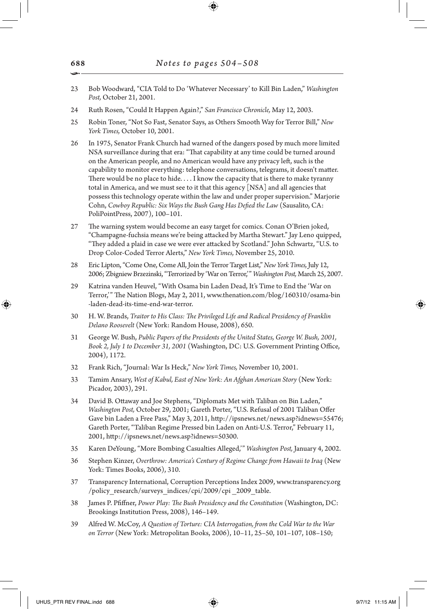- 23 Bob Woodward, "CIA Told to Do 'Whatever Necessary' to Kill Bin Laden," *Washington Post,* October 21, 2001.
- 24 Ruth Rosen, "Could It Happen Again?," *San Francisco Chronicle,* May 12, 2003.
- 25 Robin Toner, "Not So Fast, Senator Says, as Others Smooth Way for Terror Bill," *New York Times,* October 10, 2001.
- 26 In 1975, Senator Frank Church had warned of the dangers posed by much more limited NSA surveillance during that era: "That capability at any time could be turned around on the American people, and no American would have any privacy left, such is the capability to monitor everything: telephone conversations, telegrams, it doesn't matter. There would be no place to hide. . . . I know the capacity that is there to make tyranny total in America, and we must see to it that this agency [NSA] and all agencies that possess this technology operate within the law and under proper supervision." Marjorie Cohn, *Cowboy Republic: Six Ways the Bush Gang Has Defied the Law* (Sausalito, CA: PoliPointPress, 2007), 100–101.
- 27 The warning system would become an easy target for comics. Conan O'Brien joked, "Champagne-fuchsia means we're being attacked by Martha Stewart." Jay Leno quipped, "They added a plaid in case we were ever attacked by Scotland." John Schwartz, "U.S. to Drop Color-Coded Terror Alerts," *New York Times,* November 25, 2010.
- 28 Eric Lipton, "Come One, Come All, Join the Terror Target List," *New York Times,* July 12, 2006; Zbigniew Brzezinski, "Terrorized by 'War on Terror,'" *Washington Post,* March 25, 2007.
- 29 Katrina vanden Heuvel, "With Osama bin Laden Dead, It's Time to End the 'War on Terror,'" The Nation Blogs, May 2, 2011, www.thenation.com/blog/160310/osama-bin -laden-dead-its-time-end-war-terror.
- 30 H. W. Brands, *Traitor to His Class: The Privileged Life and Radical Presidency of Franklin Delano Roosevelt* (New York: Random House, 2008), 650.
- 31 George W. Bush, *Public Papers of the Presidents of the United States, George W. Bush, 2001, Book 2, July 1 to December 31, 2001* (Washington, DC: U.S. Government Printing Office, 2004), 1172.
- 32 Frank Rich, "Journal: War Is Heck," *New York Times,* November 10, 2001.
- 33 Tamim Ansary, *West of Kabul, East of New York: An Afghan American Story* (New York: Picador, 2003), 291.
- 34 David B. Ottaway and Joe Stephens, "Diplomats Met with Taliban on Bin Laden," *Washington Post,* October 29, 2001; Gareth Porter, "U.S. Refusal of 2001 Taliban Offer Gave bin Laden a Free Pass," May 3, 2011, http://ipsnews.net/news.asp?idnews=55476; Gareth Porter, "Taliban Regime Pressed bin Laden on Anti-U.S. Terror," February 11, 2001, http://ipsnews.net/news.asp?idnews=50300.
- 35 Karen DeYoung, "More Bombing Casualties Alleged,'" *Washington Post,* January 4, 2002.
- 36 Stephen Kinzer, *Overthrow: America's Century of Regime Change from Hawaii to Iraq* (New York: Times Books, 2006), 310.
- 37 Transparency International, Corruption Perceptions Index 2009, www.transparency.org /policy\_research/surveys\_indices/cpi/2009/cpi \_2009\_table.
- 38 James P. Pfiffner, *Power Play: The Bush Presidency and the Constitution* (Washington, DC: Brookings Institution Press, 2008), 146–149.
- 39 Alfred W. McCoy, *A Question of Torture: CIA Interrogation, from the Cold War to the War on Terror* (New York: Metropolitan Books, 2006), 10–11, 25–50, 101–107, 108–150;

688 •

↔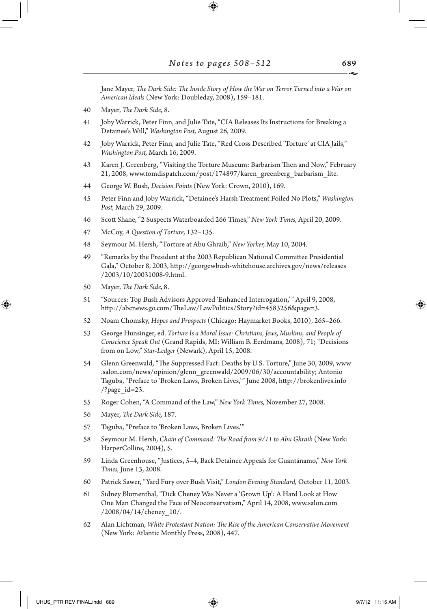Jane Mayer, *The Dark Side: The Inside Story of How the War on Terror Turned into a War on American Ideals* (New York: Doubleday, 2008), 159–181.

- 40 Mayer, *The Dark Side*, 8.
- 41 Joby Warrick, Peter Finn, and Julie Tate, "CIA Releases Its Instructions for Breaking a Detainee's Will," *Washington Post,* August 26, 2009.
- 42 Joby Warrick, Peter Finn, and Julie Tate, "Red Cross Described 'Torture' at CIA Jails," *Washington Post,* March 16, 2009.
- 43 Karen J. Greenberg, "Visiting the Torture Museum: Barbarism Then and Now," February 21, 2008, www.tomdispatch.com/post/174897/karen\_greenberg\_barbarism\_lite.
- 44 George W. Bush, *Decision Points* (New York: Crown, 2010), 169.
- 45 Peter Finn and Joby Warrick, "Detainee's Harsh Treatment Foiled No Plots," *Washington Post,* March 29, 2009.
- 46 Scott Shane, "2 Suspects Waterboarded 266 Times," *New York Times,* April 20, 2009.
- 47 McCoy, *A Question of Torture,* 132–135.
- 48 Seymour M. Hersh, "Torture at Abu Ghraib," *New Yorker,* May 10, 2004.
- 49 "Remarks by the President at the 2003 Republican National Committee Presidential Gala," October 8, 2003, http://georgewbush-whitehouse.archives.gov/news/releases /2003/10/20031008-9.html.
- 50 Mayer, *The Dark Side,* 8.

↔

- 51 "Sources: Top Bush Advisors Approved 'Enhanced Interrogation,'" April 9, 2008, http://abcnews.go.com/TheLaw/LawPolitics/Story?id=4583256&page=3.
- 52 Noam Chomsky, *Hopes and Prospects* (Chicago: Haymarket Books, 2010), 265–266.
- 53 George Hunsinger, ed. *Torture Is a Moral Issue: Christians, Jews, Muslims, and People of Conscience Speak Out* (Grand Rapids, MI: William B. Eerdmans, 2008), 71; "Decisions from on Low," *Star-Ledger* (Newark), April 15, 2008.
- 54 Glenn Greenwald, "The Suppressed Fact: Deaths by U.S. Torture," June 30, 2009, www .salon.com/news/opinion/glenn\_greenwald/2009/06/30/accountability; Antonio Taguba, "Preface to 'Broken Laws, Broken Lives,'" June 2008, http://brokenlives.info /?page\_id=23.
- 55 Roger Cohen, "A Command of the Law," *New York Times,* November 27, 2008.
- 56 Mayer, *The Dark Side,* 187.
- 57 Taguba, "Preface to 'Broken Laws, Broken Lives.'"
- 58 Seymour M. Hersh, *Chain of Command: The Road from 9/11 to Abu Ghraib* (New York: HarperCollins, 2004), 5.
- 59 Linda Greenhouse, "Justices, 5–4, Back Detainee Appeals for Guantánamo," *New York Times,* June 13, 2008.
- 60 Patrick Sawer, "Yard Fury over Bush Visit," *London Evening Standard,* October 11, 2003.
- 61 Sidney Blumenthal, "Dick Cheney Was Never a 'Grown Up': A Hard Look at How One Man Changed the Face of Neoconservatism," April 14, 2008, www.salon.com /2008/04/14/cheney\_10/.
- 62 Alan Lichtman, *White Protestant Nation: The Rise of the American Conservative Movement* (New York: Atlantic Monthly Press, 2008), 447.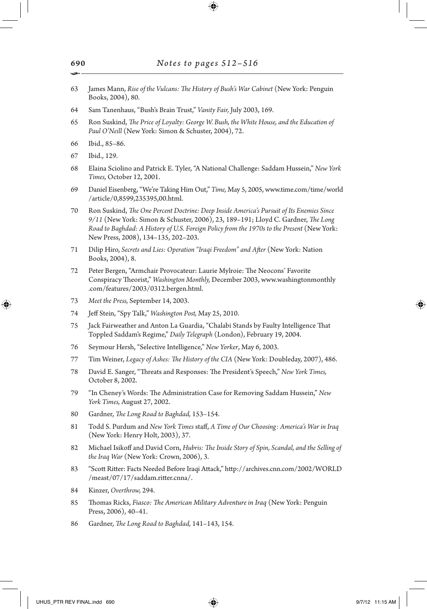- 63 James Mann, *Rise of the Vulcans: The History of Bush's War Cabinet* (New York: Penguin Books, 2004), 80.
- 64 Sam Tanenhaus, "Bush's Brain Trust," *Vanity Fair,* July 2003, 169.
- 65 Ron Suskind, *The Price of Loyalty: George W. Bush, the White House, and the Education of Paul O'Neill* (New York: Simon & Schuster, 2004), 72.
- 66 Ibid., 85–86.
- 67 Ibid., 129.

↔

- 68 Elaina Sciolino and Patrick E. Tyler, "A National Challenge: Saddam Hussein," *New York Times,* October 12, 2001.
- 69 Daniel Eisenberg, "We're Taking Him Out," *Time,* May 5, 2005, www.time.com/time/world /article/0,8599,235395,00.html.
- 70 Ron Suskind, *The One Percent Doctrine: Deep Inside America's Pursuit of Its Enemies Since 9/11* (New York: Simon & Schuster, 2006), 23, 189–191; Lloyd C. Gardner, *The Long Road to Baghdad: A History of U.S. Foreign Policy from the 1970s to the Present* (New York: New Press, 2008), 134–135, 202–203.
- 71 Dilip Hiro, *Secrets and Lies: Operation "Iraqi Freedom" and After* (New York: Nation Books, 2004), 8.
- 72 Peter Bergen, "Armchair Provocateur: Laurie Mylroie: The Neocons' Favorite Conspiracy Theorist," *Washington Monthly,* December 2003, www.washingtonmonthly .com/features/2003/0312.bergen.html.
- 73 *Meet the Press,* September 14, 2003.
- 74 Jeff Stein, "Spy Talk," *Washington Post,* May 25, 2010.
- 75 Jack Fairweather and Anton La Guardia, "Chalabi Stands by Faulty Intelligence That Toppled Saddam's Regime," *Daily Telegraph* (London), February 19, 2004.
- 76 Seymour Hersh, "Selective Intelligence," *New Yorker*, May 6, 2003.
- 77 Tim Weiner, *Legacy of Ashes: The History of the CIA* (New York: Doubleday, 2007), 486.
- 78 David E. Sanger, "Threats and Responses: The President's Speech," *New York Times,* October 8, 2002.
- 79 "In Cheney's Words: The Administration Case for Removing Saddam Hussein," *New York Times,* August 27, 2002.
- 80 Gardner, *The Long Road to Baghdad,* 153–154.
- 81 Todd S. Purdum and *New York Times* staff, *A Time of Our Choosing: America's War in Iraq* (New York: Henry Holt, 2003), 37.
- 82 Michael Isikoff and David Corn, *Hubris: The Inside Story of Spin, Scandal, and the Selling of the Iraq War* (New York: Crown, 2006), 3.
- 83 "Scott Ritter: Facts Needed Before Iraqi Attack," http://archives.cnn.com/2002/WORLD /meast/07/17/saddam.ritter.cnna/.
- 84 Kinzer, *Overthrow,* 294.
- 85 Thomas Ricks, *Fiasco: The American Military Adventure in Iraq* (New York: Penguin Press, 2006), 40–41.
- 86 Gardner, *The Long Road to Baghdad,* 141–143, 154.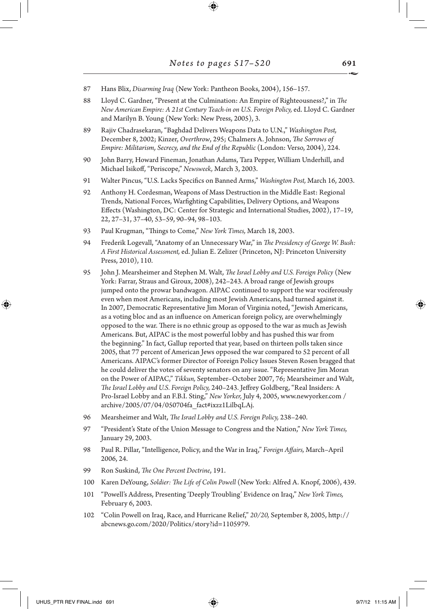- 87 Hans Blix, *Disarming Iraq* (New York: Pantheon Books, 2004), 156–157.
- 88 Lloyd C. Gardner, "Present at the Culmination: An Empire of Righteousness?," in *The New American Empire: A 21st Century Teach-in on U.S. Foreign Policy,* ed. Lloyd C. Gardner and Marilyn B. Young (New York: New Press, 2005), 3.
- 89 Rajiv Chadrasekaran, "Baghdad Delivers Weapons Data to U.N.," *Washington Post,* December 8, 2002; Kinzer, *Overthrow*, 295; Chalmers A. Johnson, *The Sorrows of Empire: Militarism, Secrecy, and the End of the Republic* (London: Verso, 2004), 224.
- 90 John Barry, Howard Fineman, Jonathan Adams, Tara Pepper, William Underhill, and Michael Isikoff, "Periscope," *Newsweek,* March 3, 2003.
- 91 Walter Pincus, "U.S. Lacks Specifics on Banned Arms," *Washington Post,* March 16, 2003.
- 92 Anthony H. Cordesman, Weapons of Mass Destruction in the Middle East: Regional Trends, National Forces, Warfighting Capabilities, Delivery Options, and Weapons Effects (Washington, DC: Center for Strategic and International Studies, 2002), 17–19, 22, 27–31, 37–40, 53–59, 90–94, 98–103.
- 93 Paul Krugman, "Things to Come," *New York Times,* March 18, 2003.
- 94 Frederik Logevall, "Anatomy of an Unnecessary War," in *The Presidency of George W. Bush: A First Historical Assessment,* ed. Julian E. Zelizer (Princeton, NJ: Princeton University Press, 2010), 110.
- 95 John J. Mearsheimer and Stephen M. Walt, *The Israel Lobby and U.S. Foreign Policy* (New York: Farrar, Straus and Giroux, 2008), 242–243. A broad range of Jewish groups jumped onto the prowar bandwagon. AIPAC continued to support the war vociferously even when most Americans, including most Jewish Americans, had turned against it. In 2007, Democratic Representative Jim Moran of Virginia noted, "Jewish Americans, as a voting bloc and as an influence on American foreign policy, are overwhelmingly opposed to the war. There is no ethnic group as opposed to the war as much as Jewish Americans. But, AIPAC is the most powerful lobby and has pushed this war from the beginning." In fact, Gallup reported that year, based on thirteen polls taken since 2005, that 77 percent of American Jews opposed the war compared to 52 percent of all Americans. AIPAC's former Director of Foreign Policy Issues Steven Rosen bragged that he could deliver the votes of seventy senators on any issue. "Representative Jim Moran on the Power of AIPAC," *Tikkun,* September–October 2007, 76; Mearsheimer and Walt, *The Israel Lobby and U.S. Foreign Policy,* 240–243. Jeffrey Goldberg, "Real Insiders: A Pro-Israel Lobby and an F.B.I. Sting," *New Yorker,* July 4, 2005, www.newyorker.com / archive/2005/07/04/050704fa\_fact#ixzz1LilbqLAj.
- 96 Mearsheimer and Walt, *The Israel Lobby and U.S. Foreign Policy,* 238–240.
- 97 "President's State of the Union Message to Congress and the Nation," *New York Times,* January 29, 2003.
- 98 Paul R. Pillar, "Intelligence, Policy, and the War in Iraq," *Foreign Affairs,* March–April 2006, 24.
- 99 Ron Suskind, *The One Percent Doctrine*, 191.
- 100 Karen DeYoung, *Soldier: The Life of Colin Powell* (New York: Alfred A. Knopf, 2006), 439.
- 101 "Powell's Address, Presenting 'Deeply Troubling' Evidence on Iraq," *New York Times,* February 6, 2003.
- 102 "Colin Powell on Iraq, Race, and Hurricane Relief," *20/20,* September 8, 2005, http:// abcnews.go.com/2020/Politics/story?id=1105979.

↔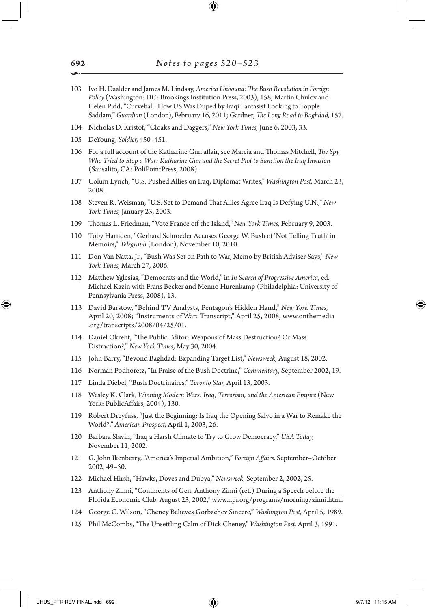- 103 Ivo H. Daalder and James M. Lindsay, *America Unbound: The Bush Revolution in Foreign Policy* (Washington: DC: Brookings Institution Press, 2003), 158; Martin Chulov and Helen Pidd, "Curveball: How US Was Duped by Iraqi Fantasist Looking to Topple Saddam," *Guardian* (London), February 16, 2011; Gardner, *The Long Road to Baghdad,* 157.
- 104 Nicholas D. Kristof, "Cloaks and Daggers," *New York Times,* June 6, 2003, 33.
- 105 DeYoung, *Soldier,* 450–451.
- 106 For a full account of the Katharine Gun affair, see Marcia and Thomas Mitchell, *The Spy Who Tried to Stop a War: Katharine Gun and the Secret Plot to Sanction the Iraq Invasion* (Sausalito, CA: PoliPointPress, 2008).
- 107 Colum Lynch, "U.S. Pushed Allies on Iraq, Diplomat Writes," *Washington Post,* March 23, 2008.
- 108 Steven R. Weisman, "U.S. Set to Demand That Allies Agree Iraq Is Defying U.N.," *New York Times,* January 23, 2003.
- 109 Thomas L. Friedman, "Vote France off the Island," *New York Times,* February 9, 2003.
- 110 Toby Harnden, "Gerhard Schroeder Accuses George W. Bush of 'Not Telling Truth' in Memoirs," *Telegraph* (London), November 10, 2010.
- 111 Don Van Natta, Jr., "Bush Was Set on Path to War, Memo by British Adviser Says," *New York Times,* March 27, 2006.
- 112 Matthew Yglesias, "Democrats and the World," in *In Search of Progressive America,* ed. Michael Kazin with Frans Becker and Menno Hurenkamp (Philadelphia: University of Pennsylvania Press, 2008), 13.
- 113 David Barstow, "Behind TV Analysts, Pentagon's Hidden Hand," *New York Times,* April 20, 2008; "Instruments of War: Transcript," April 25, 2008, www.onthemedia .org/transcripts/2008/04/25/01.
- 114 Daniel Okrent, "The Public Editor: Weapons of Mass Destruction? Or Mass Distraction?," *New York Times*, May 30, 2004.
- 115 John Barry, "Beyond Baghdad: Expanding Target List," *Newsweek,* August 18, 2002.
- 116 Norman Podhoretz, "In Praise of the Bush Doctrine," *Commentary,* September 2002, 19.
- 117 Linda Diebel, "Bush Doctrinaires," *Toronto Star,* April 13, 2003.
- 118 Wesley K. Clark, *Winning Modern Wars: Iraq, Terrorism, and the American Empire* (New York: PublicAffairs, 2004), 130.
- 119 Robert Dreyfuss, "Just the Beginning: Is Iraq the Opening Salvo in a War to Remake the World?," *American Prospect,* April 1, 2003, 26.
- 120 Barbara Slavin, "Iraq a Harsh Climate to Try to Grow Democracy," *USA Today,* November 11, 2002.
- 121 G. John Ikenberry, "America's Imperial Ambition," *Foreign Affairs,* September–October 2002, 49–50.
- 122 Michael Hirsh, "Hawks, Doves and Dubya," *Newsweek,* September 2, 2002, 25.
- 123 Anthony Zinni, "Comments of Gen. Anthony Zinni (ret.) During a Speech before the Florida Economic Club, August 23, 2002," www.npr.org/programs/morning/zinni.html.
- 124 George C. Wilson, "Cheney Believes Gorbachev Sincere," *Washington Post,* April 5, 1989.
- 125 Phil McCombs, "The Unsettling Calm of Dick Cheney," *Washington Post,* April 3, 1991.

692 •

⊕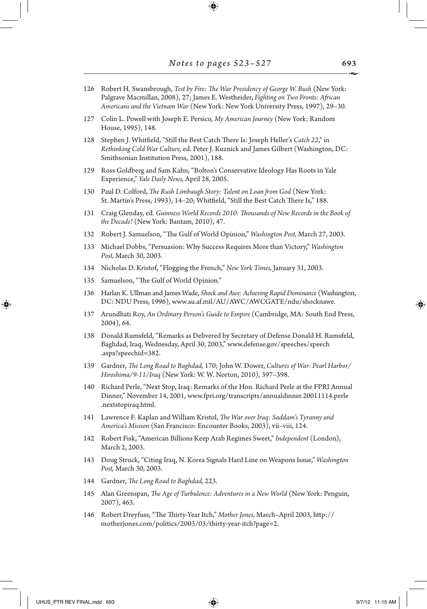$\bigoplus$ 

| 126 | Robert H. Swansbrough, Test by Fire: The War Presidency of George W. Bush (New York:<br>Palgrave Macmillan, 2008), 27; James E. Westheider, Fighting on Two Fronts: African<br>Americans and the Vietnam War (New York: New York University Press, 1997), 29-30. |
|-----|------------------------------------------------------------------------------------------------------------------------------------------------------------------------------------------------------------------------------------------------------------------|
| 127 | Colin L. Powell with Joseph E. Persico, My American Journey (New York: Random<br>House, 1995), 148.                                                                                                                                                              |
| 128 | Stephen J. Whitfield, "Still the Best Catch There Is: Joseph Heller's Catch 22," in<br>Rethinking Cold War Culture, ed. Peter J. Kuznick and James Gilbert (Washington, DC:<br>Smithsonian Institution Press, 2001), 188.                                        |
| 129 | Ross Goldberg and Sam Kahn, "Bolton's Conservative Ideology Has Roots in Yale<br>Experience," Yale Daily News, April 28, 2005.                                                                                                                                   |
| 130 | Paul D. Colford, The Rush Limbaugh Story: Talent on Loan from God (New York:<br>St. Martin's Press, 1993), 14-20; Whitfield, "Still the Best Catch There Is," 188.                                                                                               |
| 131 | Craig Glenday, ed. Guinness World Records 2010: Thousands of New Records in the Book of<br>the Decade! (New York: Bantam, 2010), 47.                                                                                                                             |
| 132 | Robert J. Samuelson, "The Gulf of World Opinion," Washington Post, March 27, 2003.                                                                                                                                                                               |
| 133 | Michael Dobbs, "Persuasion: Why Success Requires More than Victory," Washington<br>Post, March 30, 2003.                                                                                                                                                         |
| 134 | Nicholas D. Kristof, "Flogging the French," New York Times, January 31, 2003.                                                                                                                                                                                    |
| 135 | Samuelson, "The Gulf of World Opinion."                                                                                                                                                                                                                          |
| 136 | Harlan K. Ullman and James Wade, Shock and Awe: Achieving Rapid Dominance (Washington,<br>DC: NDU Press, 1996), www.au.af.mil/AU/AWC/AWCGATE/ndu/shocknawe.                                                                                                      |
| 137 | Arundhati Roy, An Ordinary Person's Guide to Empire (Cambridge, MA: South End Press,<br>$2004$ , 64.                                                                                                                                                             |
| 138 | Donald Rumsfeld, "Remarks as Delivered by Secretary of Defense Donald H. Rumsfeld,<br>Baghdad, Iraq, Wednesday, April 30, 2003," www.defense.gov/speeches/speech<br>.aspx?speechid=382.                                                                          |
| 139 | Gardner, The Long Road to Baghdad, 170; John W. Dower, Cultures of War: Pearl Harbor/<br>Hiroshima/9-11/Iraq (New York: W. W. Norton, 2010), 397-398.                                                                                                            |
| 140 | Richard Perle, "Next Stop, Iraq: Remarks of the Hon. Richard Perle at the FPRI Annual<br>Dinner," November 14, 2001, www.fpri.org/transcripts/annualdinner.20011114.perle<br>.nextstopiraq.html.                                                                 |
| 141 | Lawrence F. Kaplan and William Kristol, The War over Iraq: Saddam's Tyranny and<br>America's Mission (San Francisco: Encounter Books, 2003), vii-viii, 124.                                                                                                      |
| 142 | Robert Fisk, "American Billions Keep Arab Regimes Sweet," Independent (London),<br>March 2, 2003.                                                                                                                                                                |
| 143 | Doug Struck, "Citing Iraq, N. Korea Signals Hard Line on Weapons Issue," Washington<br>Post, March 30, 2003.                                                                                                                                                     |
| 144 | Gardner, The Long Road to Baghdad, 223.                                                                                                                                                                                                                          |
| 145 | Alan Greenspan, The Age of Turbulence: Adventures in a New World (New York: Penguin,<br>2007), 463.                                                                                                                                                              |
| 146 | Robert Dreyfuss, "The Thirty-Year Itch," Mother Jones, March-April 2003, http://<br>motherjones.com/politics/2003/03/thirty-year-itch?page=2.                                                                                                                    |
|     |                                                                                                                                                                                                                                                                  |

 $\begin{array}{c} \hline \end{array}$ 

 $\bigoplus$ 

 $\Box$ 

 $\bigoplus$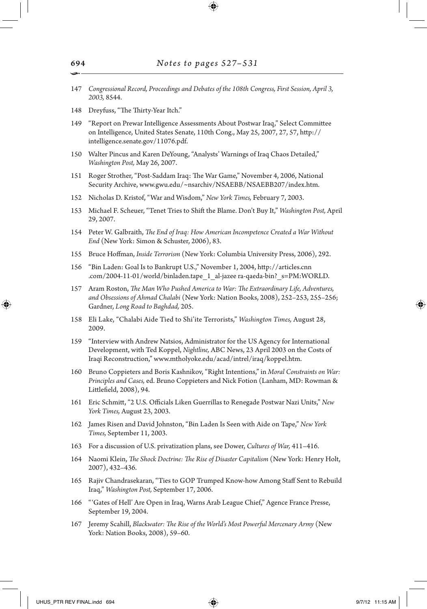- 147 *Congressional Record, Proceedings and Debates of the 108th Congress, First Session, April 3, 2003,* 8544.
- 148 Dreyfuss, "The Thirty-Year Itch."
- 149 "Report on Prewar Intelligence Assessments About Postwar Iraq," Select Committee on Intelligence, United States Senate, 110th Cong., May 25, 2007, 27, 57, http:// intelligence.senate.gov/11076.pdf.
- 150 Walter Pincus and Karen DeYoung, "Analysts' Warnings of Iraq Chaos Detailed," *Washington Post,* May 26, 2007.
- 151 Roger Strother, "Post-Saddam Iraq: The War Game," November 4, 2006, National Security Archive, www.gwu.edu/~nsarchiv/NSAEBB/NSAEBB207/index.htm.
- 152 Nicholas D. Kristof, "War and Wisdom," *New York Times,* February 7, 2003.
- 153 Michael F. Scheuer, "Tenet Tries to Shift the Blame. Don't Buy It," *Washington Post,* April 29, 2007.
- 154 Peter W. Galbraith, *The End of Iraq: How American Incompetence Created a War Without End* (New York: Simon & Schuster, 2006), 83.
- 155 Bruce Hoffman, *Inside Terrorism* (New York: Columbia University Press, 2006), 292.
- 156 "Bin Laden: Goal Is to Bankrupt U.S.," November 1, 2004, http://articles.cnn .com/2004-11-01/world/binladen.tape\_1\_al-jazee ra-qaeda-bin?\_s=PM:WORLD.
- 157 Aram Roston, *The Man Who Pushed America to War: The Extraordinary Life, Adventures, and Obsessions of Ahmad Chalabi* (New York: Nation Books, 2008), 252–253, 255–256; Gardner, *Long Road to Baghdad,* 205.
- 158 Eli Lake, "Chalabi Aide Tied to Shi'ite Terrorists," *Washington Times,* August 28, 2009.
- 159 "Interview with Andrew Natsios, Administrator for the US Agency for International Development, with Ted Koppel, *Nightline,* ABC News, 23 April 2003 on the Costs of Iraqi Reconstruction," www.mtholyoke.edu/acad/intrel/iraq/koppel.htm.
- 160 Bruno Coppieters and Boris Kashnikov, "Right Intentions," in *Moral Constraints on War: Principles and Cases,* ed. Bruno Coppieters and Nick Fotion (Lanham, MD: Rowman & Littlefield, 2008), 94.
- 161 Eric Schmitt, "2 U.S. Officials Liken Guerrillas to Renegade Postwar Nazi Units," *New York Times,* August 23, 2003.
- 162 James Risen and David Johnston, "Bin Laden Is Seen with Aide on Tape," *New York Times,* September 11, 2003.
- 163 For a discussion of U.S. privatization plans, see Dower, *Cultures of War,* 411–416.
- 164 Naomi Klein, *The Shock Doctrine: The Rise of Disaster Capitalism* (New York: Henry Holt, 2007), 432–436.
- 165 Rajiv Chandrasekaran, "Ties to GOP Trumped Know-how Among Staff Sent to Rebuild Iraq," *Washington Post,* September 17, 2006.
- 166 "'Gates of Hell' Are Open in Iraq, Warns Arab League Chief," Agence France Presse, September 19, 2004.
- 167 Jeremy Scahill, *Blackwater: The Rise of the World's Most Powerful Mercenary Army* (New York: Nation Books, 2008), 59–60.

694 •

⊕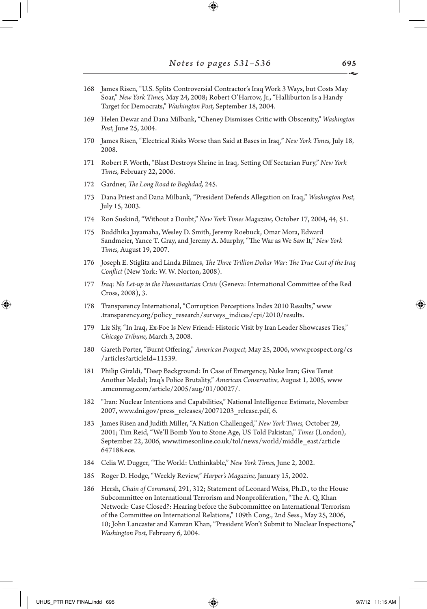- 168 James Risen, "U.S. Splits Controversial Contractor's Iraq Work 3 Ways, but Costs May Soar," *New York Times,* May 24, 2008; Robert O'Harrow, Jr., "Halliburton Is a Handy Target for Democrats," *Washington Post,* September 18, 2004.
- 169 Helen Dewar and Dana Milbank, "Cheney Dismisses Critic with Obscenity," *Washington Post,* June 25, 2004.
- 170 James Risen, "Electrical Risks Worse than Said at Bases in Iraq," *New York Times,* July 18, 2008.
- 171 Robert F. Worth, "Blast Destroys Shrine in Iraq, Setting Off Sectarian Fury," *New York Times,* February 22, 2006.
- 172 Gardner, *The Long Road to Baghdad,* 245.
- 173 Dana Priest and Dana Milbank, "President Defends Allegation on Iraq," *Washington Post,* July 15, 2003.
- 174 Ron Suskind, "Without a Doubt," *New York Times Magazine,* October 17, 2004, 44, 51.
- 175 Buddhika Jayamaha, Wesley D. Smith, Jeremy Roebuck, Omar Mora, Edward Sandmeier, Yance T. Gray, and Jeremy A. Murphy, "The War as We Saw It," *New York Times,* August 19, 2007.
- 176 Joseph E. Stiglitz and Linda Bilmes, *The Three Trillion Dollar War: The True Cost of the Iraq Conflict* (New York: W. W. Norton, 2008).
- 177 *Iraq: No Let-up in the Humanitarian Crisis* (Geneva: International Committee of the Red Cross, 2008), 3.
- 178 Transparency International, "Corruption Perceptions Index 2010 Results," www .transparency.org/policy\_research/surveys\_indices/cpi/2010/results.
- 179 Liz Sly, "In Iraq, Ex-Foe Is New Friend: Historic Visit by Iran Leader Showcases Ties," *Chicago Tribune,* March 3, 2008.
- 180 Gareth Porter, "Burnt Offering," *American Prospect,* May 25, 2006, www.prospect.org/cs /articles?articleId=11539.
- 181 Philip Giraldi, "Deep Background: In Case of Emergency, Nuke Iran; Give Tenet Another Medal; Iraq's Police Brutality," *American Conservative,* August 1, 2005, www .amconmag.com/article/2005/aug/01/00027/.
- 182 "Iran: Nuclear Intentions and Capabilities," National Intelligence Estimate, November 2007, www.dni.gov/press\_releases/20071203\_release.pdf, 6.
- 183 James Risen and Judith Miller, "A Nation Challenged," *New York Times,* October 29, 2001; Tim Reid, "We'll Bomb You to Stone Age, US Told Pakistan," *Times* (London), September 22, 2006, www.timesonline.co.uk/tol/news/world/middle\_east/article 647188.ece.
- 184 Celia W. Dugger, "The World: Unthinkable," *New York Times,* June 2, 2002.
- 185 Roger D. Hodge, "Weekly Review," *Harper's Magazine,* January 15, 2002.
- 186 Hersh, *Chain of Command,* 291, 312; Statement of Leonard Weiss, Ph.D., to the House Subcommittee on International Terrorism and Nonproliferation, "The A. Q. Khan Network: Case Closed?: Hearing before the Subcommittee on International Terrorism of the Committee on International Relations," 109th Cong., 2nd Sess., May 25, 2006, 10; John Lancaster and Kamran Khan, "President Won't Submit to Nuclear Inspections," *Washington Post,* February 6, 2004.

⊕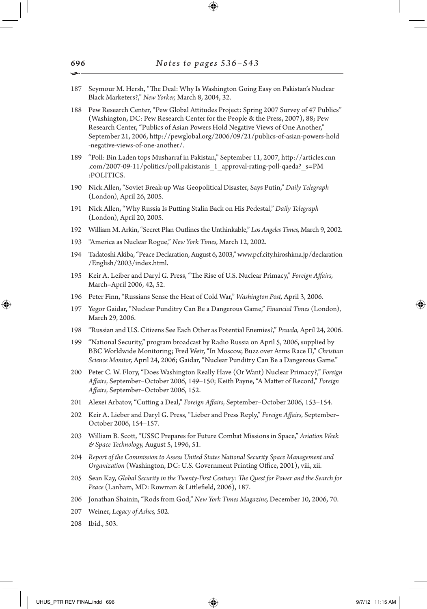•187 Seymour M. Hersh, "The Deal: Why Is Washington Going Easy on Pakistan's Nuclear Black Marketers?," *New Yorker,* March 8, 2004, 32. 188 Pew Research Center, "Pew Global Attitudes Project: Spring 2007 Survey of 47 Publics" (Washington, DC: Pew Research Center for the People & the Press, 2007), 88; Pew Research Center, "Publics of Asian Powers Hold Negative Views of One Another," September 21, 2006, http://pewglobal.org/2006/09/21/publics-of-asian-powers-hold -negative-views-of-one-another/. 189 "Poll: Bin Laden tops Musharraf in Pakistan," September 11, 2007, http://articles.cnn .com/2007-09-11/politics/poll.pakistanis\_1\_approval-rating-poll-qaeda?\_s=PM :POLITICS. 190 Nick Allen, "Soviet Break-up Was Geopolitical Disaster, Says Putin," *Daily Telegraph*  (London), April 26, 2005. 191 Nick Allen, "Why Russia Is Putting Stalin Back on His Pedestal," *Daily Telegraph*  (London), April 20, 2005. 192 William M. Arkin, "Secret Plan Outlines the Unthinkable," *Los Angeles Times,* March 9, 2002. 193 "America as Nuclear Rogue," *New York Times,* March 12, 2002. 194 Tadatoshi Akiba, "Peace Declaration, August 6, 2003," www.pcf.city.hiroshima.jp/declaration /English/2003/index.html. 195 Keir A. Leiber and Daryl G. Press, "The Rise of U.S. Nuclear Primacy," *Foreign Affairs,* March–April 2006, 42, 52. 196 Peter Finn, "Russians Sense the Heat of Cold War," *Washington Post,* April 3, 2006. 197 Yegor Gaidar, "Nuclear Punditry Can Be a Dangerous Game," *Financial Times* (London), March 29, 2006. 198 "Russian and U.S. Citizens See Each Other as Potential Enemies?," *Pravda,* April 24, 2006. 199 "National Security," program broadcast by Radio Russia on April 5, 2006, supplied by BBC Worldwide Monitoring; Fred Weir, "In Moscow, Buzz over Arms Race II," *Christian Science Monitor,* April 24, 2006; Gaidar, "Nuclear Punditry Can Be a Dangerous Game." 200 Peter C. W. Flory, "Does Washington Really Have (Or Want) Nuclear Primacy?," *Foreign Affairs,* September–October 2006, 149–150; Keith Payne, "A Matter of Record," *Foreign Affairs,* September–October 2006, 152. 201 Alexei Arbatov, "Cutting a Deal," *Foreign Affairs,* September–October 2006, 153–154. 202 Keir A. Lieber and Daryl G. Press, "Lieber and Press Reply," *Foreign Affairs,* September– October 2006, 154–157. 203 William B. Scott, "USSC Prepares for Future Combat Missions in Space," *Aviation Week & Space Technology,* August 5, 1996, 51. 204 *Report of the Commission to Assess United States National Security Space Management and Organization* (Washington, DC: U.S. Government Printing Office, 2001), viii, xii. 205 Sean Kay, *Global Security in the Twenty-First Century: The Quest for Power and the Search for Peace* (Lanham, MD: Rowman & Littlefield, 2006), 187. 206 Jonathan Shainin, "Rods from God," *New York Times Magazine,* December 10, 2006, 70. 207 Weiner, *Legacy of Ashes,* 502. 208 Ibid., 503.

↔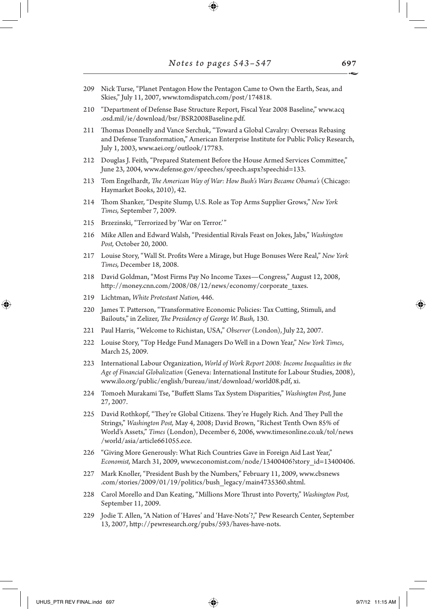209 Nick Turse, "Planet Pentagon How the Pentagon Came to Own the Earth, Seas, and Skies," July 11, 2007, www.tomdispatch.com/post/174818.

⊕

- 210 "Department of Defense Base Structure Report, Fiscal Year 2008 Baseline," www.acq .osd.mil/ie/download/bsr/BSR2008Baseline.pdf.
- 211 Thomas Donnelly and Vance Serchuk, "Toward a Global Cavalry: Overseas Rebasing and Defense Transformation," American Enterprise Institute for Public Policy Research, July 1, 2003, www.aei.org/outlook/17783.
- 212 Douglas J. Feith, "Prepared Statement Before the House Armed Services Committee," June 23, 2004, www.defense.gov/speeches/speech.aspx?speechid=133.
- 213 Tom Engelhardt, *The American Way of War: How Bush's Wars Became Obama's* (Chicago: Haymarket Books, 2010), 42.
- 214 Thom Shanker, "Despite Slump, U.S. Role as Top Arms Supplier Grows," *New York Times,* September 7, 2009.
- 215 Brzezinski, "Terrorized by 'War on Terror.'"
- 216 Mike Allen and Edward Walsh, "Presidential Rivals Feast on Jokes, Jabs," *Washington Post,* October 20, 2000.
- 217 Louise Story, "Wall St. Profits Were a Mirage, but Huge Bonuses Were Real," *New York Times,* December 18, 2008.
- 218 David Goldman, "Most Firms Pay No Income Taxes—Congress," August 12, 2008, http://money.cnn.com/2008/08/12/news/economy/corporate\_taxes.
- 219 Lichtman, *White Protestant Nation,* 446.

⊕

- 220 James T. Patterson, "Transformative Economic Policies: Tax Cutting, Stimuli, and Bailouts," in Zelizer, *The Presidency of George W. Bush,* 130.
- 221 Paul Harris, "Welcome to Richistan, USA," *Observer* (London), July 22, 2007.
- 222 Louise Story, "Top Hedge Fund Managers Do Well in a Down Year," *New York Times*, March 25, 2009.
- 223 International Labour Organization, *World of Work Report 2008: Income Inequalities in the Age of Financial Globalization* (Geneva: International Institute for Labour Studies, 2008), www.ilo.org/public/english/bureau/inst/download/world08.pdf, xi.
- 224 Tomoeh Murakami Tse, "Buffett Slams Tax System Disparities," *Washington Post,* June 27, 2007.
- 225 David Rothkopf, "They're Global Citizens. They're Hugely Rich. And They Pull the Strings," *Washington Post,* May 4, 2008; David Brown, "Richest Tenth Own 85% of World's Assets," *Times* (London), December 6, 2006, www.timesonline.co.uk/tol/news /world/asia/article661055.ece.
- 226 "Giving More Generously: What Rich Countries Gave in Foreign Aid Last Year," *Economist,* March 31, 2009, www.economist.com/node/13400406?story\_id=13400406.
- 227 Mark Knoller, "President Bush by the Numbers," February 11, 2009, www.cbsnews .com/stories/2009/01/19/politics/bush\_legacy/main4735360.shtml.
- 228 Carol Morello and Dan Keating, "Millions More Thrust into Poverty," *Washington Post,* September 11, 2009.
- 229 Jodie T. Allen, "A Nation of 'Haves' and 'Have-Nots'?," Pew Research Center, September 13, 2007, http://pewresearch.org/pubs/593/haves-have-nots.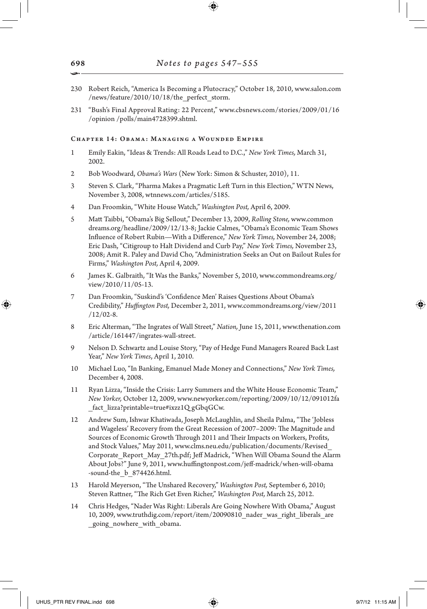- 230 Robert Reich, "America Is Becoming a Plutocracy," October 18, 2010, www.salon.com /news/feature/2010/10/18/the\_perfect\_storm.
- 231 "Bush's Final Approval Rating: 22 Percent," www.cbsnews.com/stories/2009/01/16 /opinion /polls/main4728399.shtml.

## Chapter 14: Obama: Managing a Wounded Empire

- 1 Emily Eakin, "Ideas & Trends: All Roads Lead to D.C.," *New York Times,* March 31, 2002.
- 2 Bob Woodward, *Obama's Wars* (New York: Simon & Schuster, 2010), 11.
- 3 Steven S. Clark, "Pharma Makes a Pragmatic Left Turn in this Election," WTN News, November 3, 2008, wtnnews.com/articles/5185.
- 4 Dan Froomkin, "White House Watch," *Washington Post,* April 6, 2009.
- 5 Matt Taibbi, "Obama's Big Sellout," December 13, 2009, *Rolling Stone,* www.common dreams.org/headline/2009/12/13-8; Jackie Calmes, "Obama's Economic Team Shows Influence of Robert Rubin—With a Difference," *New York Times,* November 24, 2008; Eric Dash, "Citigroup to Halt Dividend and Curb Pay," *New York Times,* November 23, 2008; Amit R. Paley and David Cho, "Administration Seeks an Out on Bailout Rules for Firms," *Washington Post,* April 4, 2009.
- 6 James K. Galbraith, "It Was the Banks," November 5, 2010, www.commondreams.org/ view/2010/11/05-13.
- 7 Dan Froomkin, "Suskind's 'Confidence Men' Raises Questions About Obama's Credibility," *Huffington Post,* December 2, 2011, www.commondreams.org/view/2011 /12/02-8.
- 8 Eric Alterman, "The Ingrates of Wall Street," *Nation,* June 15, 2011, www.thenation.com /article/161447/ingrates-wall-street.
- 9 Nelson D. Schwartz and Louise Story, "Pay of Hedge Fund Managers Roared Back Last Year," *New York Times*, April 1, 2010.
- 10 Michael Luo, "In Banking, Emanuel Made Money and Connections," *New York Times,* December 4, 2008.
- 11 Ryan Lizza, "Inside the Crisis: Larry Summers and the White House Economic Team," *New Yorker,* October 12, 2009, www.newyorker.com/reporting/2009/10/12/091012fa \_fact\_lizza?printable=true#ixzz1Q gGbqGCw.
- 12 Andrew Sum, Ishwar Khatiwada, Joseph McLaughlin, and Sheila Palma, "The 'Jobless and Wageless' Recovery from the Great Recession of 2007–2009: The Magnitude and Sources of Economic Growth Through 2011 and Their Impacts on Workers, Profits, and Stock Values," May 2011, www.clms.neu.edu/publication/documents/Revised\_ Corporate\_Report\_May\_27th.pdf; Jeff Madrick, "When Will Obama Sound the Alarm About Jobs?" June 9, 2011, www.huffingtonpost.com/jeff-madrick/when-will-obama -sound-the\_b\_874426.html.
- 13 Harold Meyerson, "The Unshared Recovery," *Washington Post,* September 6, 2010; Steven Rattner, "The Rich Get Even Richer," *Washington Post,* March 25, 2012.
- 14 Chris Hedges, "Nader Was Right: Liberals Are Going Nowhere With Obama," August 10, 2009, www.truthdig.com/report/item/20090810\_nader\_was\_right\_liberals\_are \_going\_nowhere\_with\_obama.

698 •

↔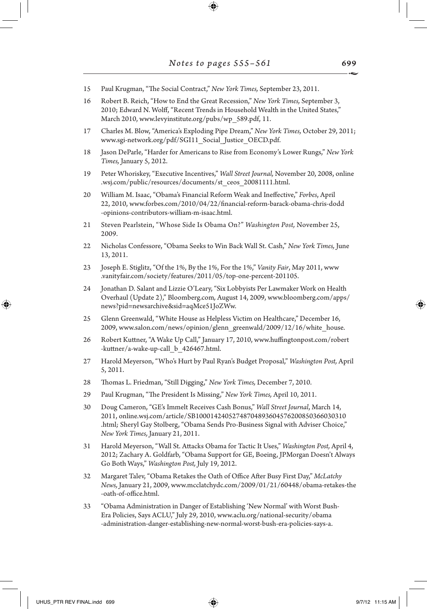$\textcircled{\scriptsize{+}}$ 

- 15 Paul Krugman, "The Social Contract," *New York Times,* September 23, 2011.
- 16 Robert B. Reich, "How to End the Great Recession," *New York Times,* September 3, 2010; Edward N. Wolff, "Recent Trends in Household Wealth in the United States," March 2010, www.levyinstitute.org/pubs/wp\_589.pdf, 11.
- 17 Charles M. Blow, "America's Exploding Pipe Dream," *New York Times,* October 29, 2011; www.sgi-network.org/pdf/SGI11\_Social\_Justice\_OECD.pdf.
- 18 Jason DeParle, "Harder for Americans to Rise from Economy's Lower Rungs," *New York Times,* January 5, 2012.
- 19 Peter Whoriskey, "Executive Incentives," *Wall Street Journal,* November 20, 2008, online .wsj.com/public/resources/documents/st\_ceos\_20081111.html.
- 20 William M. Isaac, "Obama's Financial Reform Weak and Ineffective," *Forbes*, April 22, 2010, www.forbes.com/2010/04/22/financial-reform-barack-obama-chris-dodd -opinions-contributors-william-m-isaac.html.
- 21 Steven Pearlstein, "Whose Side Is Obama On?" *Washington Post,* November 25, 2009.
- 22 Nicholas Confessore, "Obama Seeks to Win Back Wall St. Cash," *New York Times,* June 13, 2011.
- 23 Joseph E. Stiglitz, "Of the 1%, By the 1%, For the 1%," *Vanity Fair*, May 2011, www .vanityfair.com/society/features/2011/05/top-one-percent-201105.
- 24 Jonathan D. Salant and Lizzie O'Leary, "Six Lobbyists Per Lawmaker Work on Health Overhaul (Update 2)," Bloomberg.com*,* August 14, 2009, www.bloomberg.com/apps/ news?pid=newsarchive&sid=aqMce51JoZWw.
- 25 Glenn Greenwald, "White House as Helpless Victim on Healthcare," December 16, 2009, www.salon.com/news/opinion/glenn\_greenwald/2009/12/16/white\_house.
- 26 Robert Kuttner, "A Wake Up Call," January 17, 2010, www.huffingtonpost.com/robert -kuttner/a-wake-up-call\_b\_426467.html.
- 27 Harold Meyerson, "Who's Hurt by Paul Ryan's Budget Proposal," *Washington Post,* April 5, 2011.
- 28 Thomas L. Friedman, "Still Digging," *New York Times,* December 7, 2010.
- 29 Paul Krugman, "The President Is Missing," *New York Times,* April 10, 2011.
- 30 Doug Cameron, "GE's Immelt Receives Cash Bonus," *Wall Street Journal*, March 14, 2011, online.wsj.com/article/SB10001424052748704893604576200850366030310 .html*;* Sheryl Gay Stolberg, "Obama Sends Pro-Business Signal with Adviser Choice," *New York Times,* January 21, 2011.
- 31 Harold Meyerson, "Wall St. Attacks Obama for Tactic It Uses," *Washington Post,* April 4, 2012; Zachary A. Goldfarb, "Obama Support for GE, Boeing, JPMorgan Doesn't Always Go Both Ways," *Washington Post,* July 19, 2012.
- 32 Margaret Talev, "Obama Retakes the Oath of Office After Busy First Day," *McLatchy News,* January 21, 2009, www.mcclatchydc.com/2009/01/21/60448/obama-retakes-the -oath-of-office.html.
- 33 "Obama Administration in Danger of Establishing 'New Normal' with Worst Bush-Era Policies, Says ACLU," July 29, 2010, www.aclu.org/national-security/obama -administration-danger-establishing-new-normal-worst-bush-era-policies-says-a.

↔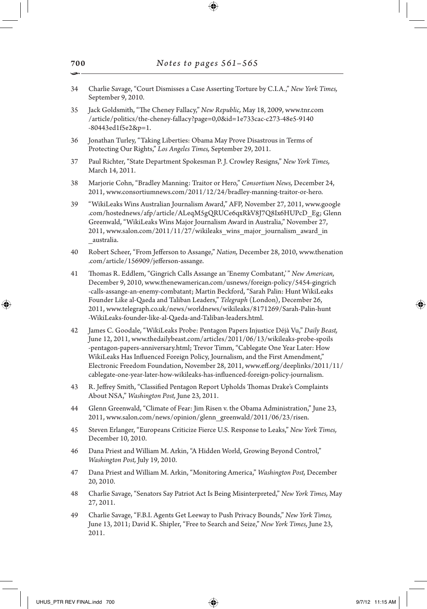- 34 Charlie Savage, "Court Dismisses a Case Asserting Torture by C.I.A.," *New York Times,* September 9, 2010.
- 35 Jack Goldsmith, "The Cheney Fallacy," *New Republic,* May 18, 2009, www.tnr.com /article/politics/the-cheney-fallacy?page=0,0&id=1e733cac-c273-48e5-9140 -80443ed1f5e2&p=1.
- 36 Jonathan Turley, "Taking Liberties: Obama May Prove Disastrous in Terms of Protecting Our Rights," *Los Angeles Times,* September 29, 2011.
- 37 Paul Richter, "State Department Spokesman P. J. Crowley Resigns," *New York Times,* March 14, 2011.
- 38 Marjorie Cohn, "Bradley Manning: Traitor or Hero," *Consortium News,* December 24, 2011, www.consortiumnews.com/2011/12/24/bradley-manning-traitor-or-hero.
- 39 "WikiLeaks Wins Australian Journalism Award," AFP, November 27, 2011, www.google .com/hostednews/afp/article/ALeqM5gQRUCe6qxRkV8J7Q8Ix6HUPcD\_Eg; Glenn Greenwald, "WikiLeaks Wins Major Journalism Award in Australia," November 27, 2011, www.salon.com/2011/11/27/wikileaks\_wins\_major\_journalism\_award\_in \_australia.
- 40 Robert Scheer, "From Jefferson to Assange," *Nation,* December 28, 2010, www.thenation .com/article/156909/jefferson-assange.
- 41 Thomas R. Eddlem, "Gingrich Calls Assange an 'Enemy Combatant,'" *New American,* December 9, 2010, www.thenewamerican.com/usnews/foreign-policy/5454-gingrich -calls-assange-an-enemy-combatant; Martin Beckford, "Sarah Palin: Hunt WikiLeaks Founder Like al-Qaeda and Taliban Leaders," *Telegraph* (London), December 26, 2011, www.telegraph.co.uk/news/worldnews/wikileaks/8171269/Sarah-Palin-hunt -WikiLeaks-founder-like-al-Qaeda-and-Taliban-leaders.html.
- 42 James C. Goodale, "WikiLeaks Probe: Pentagon Papers Injustice Déjà Vu," *Daily Beast,* June 12, 2011, www.thedailybeast.com/articles/2011/06/13/wikileaks-probe-spoils -pentagon-papers-anniversary.html; Trevor Timm, "Cablegate One Year Later: How WikiLeaks Has Influenced Foreign Policy, Journalism, and the First Amendment," Electronic Freedom Foundation, November 28, 2011, www.eff.org/deeplinks/2011/11/ cablegate-one-year-later-how-wikileaks-has-influenced-foreign-policy-journalism.
- 43 R. Jeffrey Smith, "Classified Pentagon Report Upholds Thomas Drake's Complaints About NSA," *Washington Post,* June 23, 2011.
- 44 Glenn Greenwald, "Climate of Fear: Jim Risen v. the Obama Administration," June 23, 2011, www.salon.com/news/opinion/glenn\_greenwald/2011/06/23/risen.
- 45 Steven Erlanger, "Europeans Criticize Fierce U.S. Response to Leaks," *New York Times,* December 10, 2010.
- 46 Dana Priest and William M. Arkin, "A Hidden World, Growing Beyond Control," *Washington Post,* July 19, 2010.
- 47 Dana Priest and William M. Arkin, "Monitoring America," *Washington Post,* December 20, 2010.
- 48 Charlie Savage, "Senators Say Patriot Act Is Being Misinterpreted," *New York Times,* May 27, 2011.
- 49 Charlie Savage, "F.B.I. Agents Get Leeway to Push Privacy Bounds," *New York Times,*  June 13, 2011; David K. Shipler, "Free to Search and Seize," *New York Times,* June 23, 2011.

⊕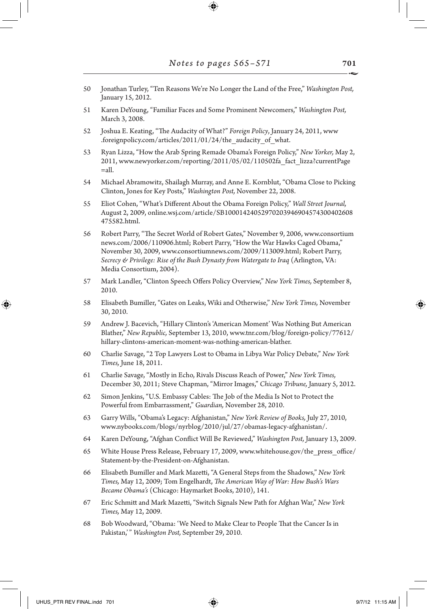- 50 Jonathan Turley, "Ten Reasons We're No Longer the Land of the Free," *Washington Post,* January 15, 2012.
- 51 Karen DeYoung, "Familiar Faces and Some Prominent Newcomers," *Washington Post,* March 3, 2008.
- 52 Joshua E. Keating, "The Audacity of What?" *Foreign Policy*, January 24, 2011, www .foreignpolicy.com/articles/2011/01/24/the\_audacity\_of\_what.
- 53 Ryan Lizza, "How the Arab Spring Remade Obama's Foreign Policy," *New Yorker,* May 2, 2011, www.newyorker.com/reporting/2011/05/02/110502fa\_fact\_lizza?currentPage  $=$ all.
- 54 Michael Abramowitz, Shailagh Murray, and Anne E. Kornblut, "Obama Close to Picking Clinton, Jones for Key Posts," *Washington Post,* November 22, 2008.
- 55 Eliot Cohen, "What's Different About the Obama Foreign Policy," *Wall Street Journal,* August 2, 2009, online.wsj.com/article/SB10001424052970203946904574300402608 475582.html.
- 56 Robert Parry, "The Secret World of Robert Gates," November 9, 2006, www.consortium news.com/2006/110906.html; Robert Parry, "How the War Hawks Caged Obama," November 30, 2009, www.consortiumnews.com/2009/113009.html; Robert Parry, *Secrecy & Privilege: Rise of the Bush Dynasty from Watergate to Iraq* (Arlington, VA: Media Consortium, 2004).
- 57 Mark Landler, "Clinton Speech Offers Policy Overview," *New York Times,* September 8, 2010.
- 58 Elisabeth Bumiller, "Gates on Leaks, Wiki and Otherwise," *New York Times,* November 30, 2010.
- 59 Andrew J. Bacevich, "Hillary Clinton's 'American Moment' Was Nothing But American Blather," *New Republic,* September 13, 2010, www.tnr.com/blog/foreign-policy/77612/ hillary-clintons-american-moment-was-nothing-american-blather.
- 60 Charlie Savage, "2 Top Lawyers Lost to Obama in Libya War Policy Debate," *New York Times,* June 18, 2011.
- 61 Charlie Savage, "Mostly in Echo, Rivals Discuss Reach of Power," *New York Times,* December 30, 2011; Steve Chapman, "Mirror Images," *Chicago Tribune,* January 5, 2012.
- 62 Simon Jenkins, "U.S. Embassy Cables: The Job of the Media Is Not to Protect the Powerful from Embarrassment," *Guardian,* November 28, 2010.
- 63 Garry Wills, "Obama's Legacy: Afghanistan," *New York Review of Books,* July 27, 2010, www.nybooks.com/blogs/nyrblog/2010/jul/27/obamas-legacy-afghanistan/.
- 64 Karen DeYoung, "Afghan Conflict Will Be Reviewed," *Washington Post,* January 13, 2009.
- 65 White House Press Release, February 17, 2009, www.whitehouse.gov/the\_press\_office/ Statement-by-the-President-on-Afghanistan.
- 66 Elisabeth Bumiller and Mark Mazetti, "A General Steps from the Shadows," *New York Times,* May 12, 2009; Tom Engelhardt, *The American Way of War: How Bush's Wars Became Obama's* (Chicago: Haymarket Books, 2010), 141.
- 67 Eric Schmitt and Mark Mazetti, "Switch Signals New Path for Afghan War," *New York Times,* May 12, 2009.
- 68 Bob Woodward, "Obama: 'We Need to Make Clear to People That the Cancer Is in Pakistan,'" *Washington Post,* September 29, 2010.

701

↔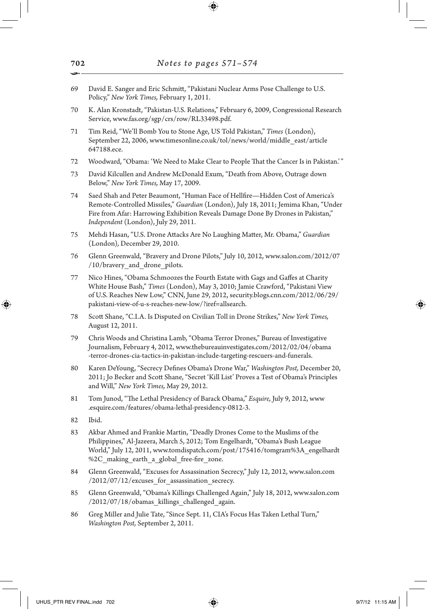- 69 David E. Sanger and Eric Schmitt, "Pakistani Nuclear Arms Pose Challenge to U.S. Policy," *New York Times,* February 1, 2011.
- 70 K. Alan Kronstadt, "Pakistan-U.S. Relations," February 6, 2009, Congressional Research Service, www.fas.org/sgp/crs/row/RL33498.pdf.
- 71 Tim Reid, "We'll Bomb You to Stone Age, US Told Pakistan," *Times* (London), September 22, 2006, www.timesonline.co.uk/tol/news/world/middle\_east/article 647188.ece.
- 72 Woodward, "Obama: 'We Need to Make Clear to People That the Cancer Is in Pakistan.'"
- 73 David Kilcullen and Andrew McDonald Exum, "Death from Above, Outrage down Below," *New York Times,* May 17, 2009.
- 74 Saed Shah and Peter Beaumont, "Human Face of Hellfire—Hidden Cost of America's Remote-Controlled Missiles," *Guardian* (London), July 18, 2011; Jemima Khan, "Under Fire from Afar: Harrowing Exhibition Reveals Damage Done By Drones in Pakistan," *Independent* (London), July 29, 2011.
- 75 Mehdi Hasan, "U.S. Drone Attacks Are No Laughing Matter, Mr. Obama," *Guardian*  (London)*,* December 29, 2010.
- 76 Glenn Greenwald, "Bravery and Drone Pilots," July 10, 2012, www.salon.com/2012/07 /10/bravery and drone pilots.
- 77 Nico Hines, "Obama Schmoozes the Fourth Estate with Gags and Gaffes at Charity White House Bash," *Times* (London), May 3, 2010; Jamie Crawford, "Pakistani View of U.S. Reaches New Low," CNN, June 29, 2012, security.blogs.cnn.com/2012/06/29/ pakistani-view-of-u-s-reaches-new-low/?iref=allsearch.
- 78 Scott Shane, "C.I.A. Is Disputed on Civilian Toll in Drone Strikes," *New York Times,* August 12, 2011.
- 79 Chris Woods and Christina Lamb, "Obama Terror Drones," Bureau of Investigative Journalism, February 4, 2012, www.thebureauinvestigates.com/2012/02/04/obama -terror-drones-cia-tactics-in-pakistan-include-targeting-rescuers-and-funerals.
- 80 Karen DeYoung, "Secrecy Defines Obama's Drone War," *Washington Post,* December 20, 2011; Jo Becker and Scott Shane, "Secret 'Kill List' Proves a Test of Obama's Principles and Will," *New York Times,* May 29, 2012.
- 81 Tom Junod, "The Lethal Presidency of Barack Obama," *Esquire,* July 9, 2012, www .esquire.com/features/obama-lethal-presidency-0812-3.
- 82 Ibid.

⊕

- 83 Akbar Ahmed and Frankie Martin, "Deadly Drones Come to the Muslims of the Philippines," Al-Jazeera, March 5, 2012; Tom Engelhardt, "Obama's Bush League World," July 12, 2011, www.tomdispatch.com/post/175416/tomgram%3A\_engelhardt %2C\_making\_earth\_a\_global\_free-fire\_zone.
- 84 Glenn Greenwald, "Excuses for Assassination Secrecy," July 12, 2012, www.salon.com  $/2012/07/12$ /excuses for assassination secrecy.
- 85 Glenn Greenwald, "Obama's Killings Challenged Again," July 18, 2012, www.salon.com /2012/07/18/obamas\_killings\_challenged\_again.
- 86 Greg Miller and Julie Tate, "Since Sept. 11, CIA's Focus Has Taken Lethal Turn," *Washington Post,* September 2, 2011.

702 •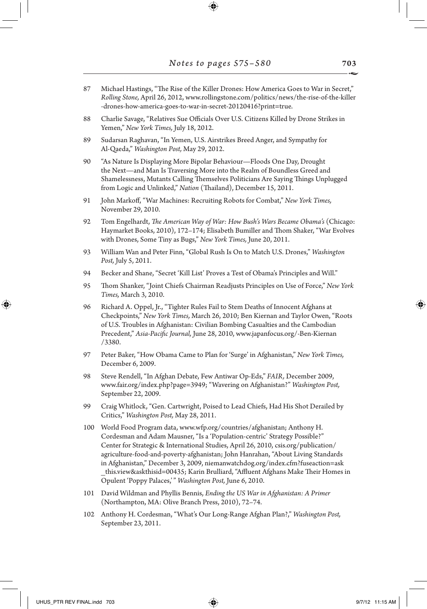- 87 Michael Hastings, "The Rise of the Killer Drones: How America Goes to War in Secret," *Rolling Stone,* April 26, 2012, www.rollingstone.com/politics/news/the-rise-of-the-killer -drones-how-america-goes-to-war-in-secret-20120416?print=true.
- 88 Charlie Savage, "Relatives Sue Officials Over U.S. Citizens Killed by Drone Strikes in Yemen," *New York Times,* July 18, 2012.
- 89 Sudarsan Raghavan, "In Yemen, U.S. Airstrikes Breed Anger, and Sympathy for Al-Qaeda," *Washington Post,* May 29, 2012.
- 90 "As Nature Is Displaying More Bipolar Behaviour—Floods One Day, Drought the Next—and Man Is Traversing More into the Realm of Boundless Greed and Shamelessness, Mutants Calling Themselves Politicians Are Saying Things Unplugged from Logic and Unlinked," *Nation* (Thailand), December 15, 2011.
- 91 John Markoff, "War Machines: Recruiting Robots for Combat," *New York Times,* November 29, 2010.
- 92 Tom Engelhardt, *The American Way of War: How Bush's Wars Became Obama's* (Chicago: Haymarket Books, 2010), 172–174; Elisabeth Bumiller and Thom Shaker, "War Evolves with Drones, Some Tiny as Bugs," *New York Times,* June 20, 2011.
- 93 William Wan and Peter Finn, "Global Rush Is On to Match U.S. Drones," *Washington Post,* July 5, 2011.
- 94 Becker and Shane, "Secret 'Kill List' Proves a Test of Obama's Principles and Will."
- 95 Thom Shanker, "Joint Chiefs Chairman Readjusts Principles on Use of Force," *New York Times,* March 3, 2010.
- 96 Richard A. Oppel, Jr., "Tighter Rules Fail to Stem Deaths of Innocent Afghans at Checkpoints," *New York Times,* March 26, 2010; Ben Kiernan and Taylor Owen, "Roots of U.S. Troubles in Afghanistan: Civilian Bombing Casualties and the Cambodian Precedent," *Asia-Pacific Journal,* June 28, 2010, www.japanfocus.org/-Ben-Kiernan /3380.
- 97 Peter Baker, "How Obama Came to Plan for 'Surge' in Afghanistan," *New York Times,* December 6, 2009.
- 98 Steve Rendell, "In Afghan Debate, Few Antiwar Op-Eds," *FAIR,* December 2009, www.fair.org/index.php?page=3949; "Wavering on Afghanistan?" *Washington Post,* September 22, 2009.
- 99 Craig Whitlock, "Gen. Cartwright, Poised to Lead Chiefs, Had His Shot Derailed by Critics," *Washington Post,* May 28, 2011.
- 100 World Food Program data, www.wfp.org/countries/afghanistan; Anthony H. Cordesman and Adam Mausner, "Is a 'Population-centric' Strategy Possible?" Center for Strategic & International Studies, April 26, 2010, csis.org/publication/ agriculture-food-and-poverty-afghanistan; John Hanrahan, "About Living Standards in Afghanistan," December 3, 2009, niemanwatchdog.org/index.cfm?fuseaction=ask \_this.view&askthisid=00435; Karin Brulliard, "Affluent Afghans Make Their Homes in Opulent 'Poppy Palaces,'" *Washington Post,* June 6, 2010.
- 101 David Wildman and Phyllis Bennis, *Ending the US War in Afghanistan: A Primer* (Northampton, MA: Olive Branch Press, 2010), 72–74.
- 102 Anthony H. Cordesman, "What's Our Long-Range Afghan Plan?," *Washington Post,* September 23, 2011.

↔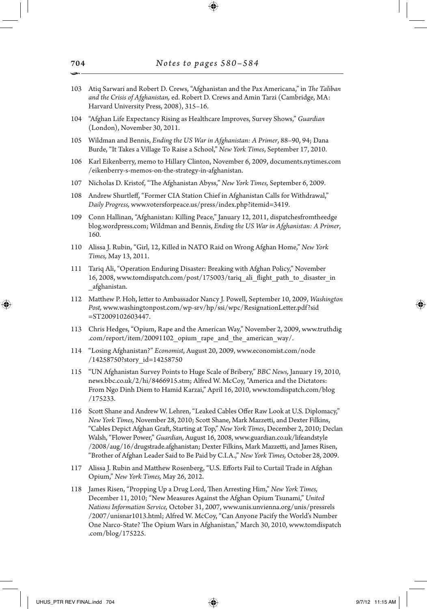- 103 Atiq Sarwari and Robert D. Crews, "Afghanistan and the Pax Americana," in *The Taliban and the Crisis of Afghanistan,* ed. Robert D. Crews and Amin Tarzi (Cambridge, MA: Harvard University Press, 2008), 315–16.
- 104 "Afghan Life Expectancy Rising as Healthcare Improves, Survey Shows," *Guardian*  (London), November 30, 2011.
- 105 Wildman and Bennis, *Ending the US War in Afghanistan: A Primer*, 88–90, 94; Dana Burde, "It Takes a Village To Raise a School," *New York Times*, September 17, 2010.
- 106 Karl Eikenberry, memo to Hillary Clinton, November 6, 2009, documents.nytimes.com /eikenberry-s-memos-on-the-strategy-in-afghanistan.
- 107 Nicholas D. Kristof, "The Afghanistan Abyss," *New York Times,* September 6, 2009.
- 108 Andrew Shurtleff, "Former CIA Station Chief in Afghanistan Calls for Withdrawal," *Daily Progress,* www.votersforpeace.us/press/index.php?itemid=3419.
- 109 Conn Hallinan, "Afghanistan: Killing Peace," January 12, 2011, dispatchesfromtheedge blog.wordpress.com; Wildman and Bennis, *Ending the US War in Afghanistan: A Primer*, 160.
- 110 Alissa J. Rubin, "Girl, 12, Killed in NATO Raid on Wrong Afghan Home," *New York Times,* May 13, 2011.
- 111 Tariq Ali, "Operation Enduring Disaster: Breaking with Afghan Policy," November 16, 2008, www.tomdispatch.com/post/175003/tariq\_ali\_flight\_path\_to\_disaster\_in \_afghanistan.
- 112 Matthew P. Hoh, letter to Ambassador Nancy J. Powell, September 10, 2009, *Washington Post,* www.washingtonpost.com/wp-srv/hp/ssi/wpc/ResignationLetter.pdf?sid =ST2009102603447.
- 113 Chris Hedges, "Opium, Rape and the American Way," November 2, 2009, www.truthdig .com/report/item/20091102\_opium\_rape\_and\_the\_american\_way/.
- 114 "Losing Afghanistan?" *Economist*, August 20, 2009, www.economist.com/node /14258750?story\_id=14258750
- 115 "UN Afghanistan Survey Points to Huge Scale of Bribery," *BBC News,* January 19, 2010, news.bbc.co.uk/2/hi/8466915.stm; Alfred W. McCoy, "America and the Dictators: From Ngo Dinh Diem to Hamid Karzai," April 16, 2010, www.tomdispatch.com/blog /175233.
- 116 Scott Shane and Andrew W. Lehren, "Leaked Cables Offer Raw Look at U.S. Diplomacy," *New York Times,* November 28, 2010; Scott Shane, Mark Mazzetti, and Dexter Filkins, "Cables Depict Afghan Graft, Starting at Top," *New York Times*, December 2, 2010; Declan Walsh, "Flower Power," *Guardian,* August 16, 2008, www.guardian.co.uk/lifeandstyle /2008/aug/16/drugstrade.afghanistan; Dexter Filkins, Mark Mazzetti, and James Risen, "Brother of Afghan Leader Said to Be Paid by C.I.A.," *New York Times,* October 28, 2009.
- 117 Alissa J. Rubin and Matthew Rosenberg, "U.S. Efforts Fail to Curtail Trade in Afghan Opium," *New York Times,* May 26, 2012.
- 118 James Risen, "Propping Up a Drug Lord, Then Arresting Him," *New York Times,*  December 11, 2010; "New Measures Against the Afghan Opium Tsunami," *United Nations Information Service,* October 31, 2007, www.unis.unvienna.org/unis/pressrels /2007/unisnar1013.html; Alfred W. McCoy, "Can Anyone Pacify the World's Number One Narco-State? The Opium Wars in Afghanistan," March 30, 2010, www.tomdispatch .com/blog/175225.

↔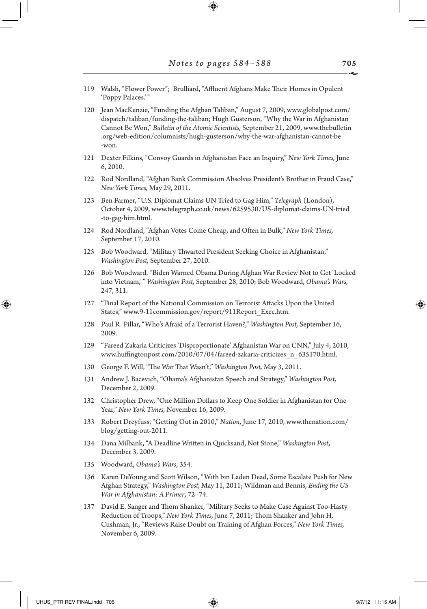| 119 Walsh, "Flower Power"; Brulliard, "Affluent Afghans Make Their Homes in Opulent |  |  |  |
|-------------------------------------------------------------------------------------|--|--|--|
| 'Poppy Palaces.'"                                                                   |  |  |  |

120 Jean MacKenzie, "Funding the Afghan Taliban," August 7, 2009, www.globalpost.com/ dispatch/taliban/funding-the-taliban; Hugh Gusterson, "Why the War in Afghanistan Cannot Be Won," *Bulletin of the Atomic Scientists,* September 21, 2009, www.thebulletin .org/web-edition/columnists/hugh-gusterson/why-the-war-afghanistan-cannot-be -won.

- 121 Dexter Filkins, "Convoy Guards in Afghanistan Face an Inquiry," *New York Times,* June 6, 2010.
- 122 Rod Nordland, "Afghan Bank Commission Absolves President's Brother in Fraud Case," *New York Times,* May 29, 2011.
- 123 Ben Farmer, "U.S. Diplomat Claims UN Tried to Gag Him," *Telegraph* (London), October 4, 2009, www.telegraph.co.uk/news/6259530/US-diplomat-claims-UN-tried -to-gag-him.html.
- 124 Rod Nordland, "Afghan Votes Come Cheap, and Often in Bulk," *New York Times,* September 17, 2010.
- 125 Bob Woodward, "Military Thwarted President Seeking Choice in Afghanistan," *Washington Post,* September 27, 2010.
- 126 Bob Woodward, "Biden Warned Obama During Afghan War Review Not to Get 'Locked into Vietnam,'" *Washington Post,* September 28, 2010; Bob Woodward, *Obama's Wars,*  247, 311.
- 127 "Final Report of the National Commission on Terrorist Attacks Upon the United States," www.9-11commission.gov/report/911Report\_Exec.htm.
- 128 Paul R. Pillar, "Who's Afraid of a Terrorist Haven?," *Washington Post,* September 16, 2009.
- 129 "Fareed Zakaria Criticizes 'Disproportionate' Afghanistan War on CNN," July 4, 2010, www.huffingtonpost.com/2010/07/04/fareed-zakaria-criticizes\_n\_635170.html.
- 130 George F. Will, "The War That Wasn't," *Washington Post,* May 3, 2011.
- 131 Andrew J. Bacevich, "Obama's Afghanistan Speech and Strategy," *Washington Post,* December 2, 2009.
- 132 Christopher Drew, "One Million Dollars to Keep One Soldier in Afghanistan for One Year," *New York Times,* November 16, 2009.
- 133 Robert Dreyfuss, "Getting Out in 2010," *Nation,* June 17, 2010, www.thenation.com/ blog/getting-out-2011.
- 134 Dana Milbank, "A Deadline Written in Quicksand, Not Stone," *Washington Post*, December 3, 2009.
- 135 Woodward, *Obama's Wars*, 354.
- 136 Karen DeYoung and Scott Wilson, "With bin Laden Dead, Some Escalate Push for New Afghan Strategy," *Washington Post,* May 11, 2011; Wildman and Bennis, *Ending the US War in Afghanistan: A Primer*, 72–74.
- David E. Sanger and Thom Shanker, "Military Seeks to Make Case Against Too-Hasty Reduction of Troops," *New York Times,* June 7, 2011; Thom Shanker and John H. Cushman, Jr., "Reviews Raise Doubt on Training of Afghan Forces," *New York Times,* November 6, 2009.

↔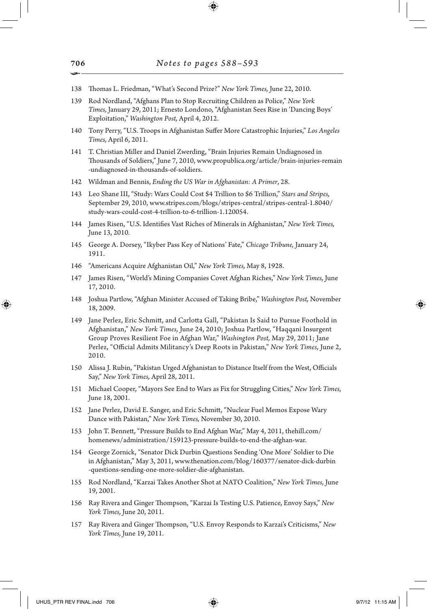- 138 Thomas L. Friedman, "What's Second Prize?" *New York Times,* June 22, 2010.
- 139 Rod Nordland, "Afghans Plan to Stop Recruiting Children as Police," *New York Times,* January 29, 2011; Ernesto Londono, "Afghanistan Sees Rise in 'Dancing Boys' Exploitation," *Washington Post,* April 4, 2012.
- 140 Tony Perry, "U.S. Troops in Afghanistan Suffer More Catastrophic Injuries," *Los Angeles Times,* April 6, 2011.
- 141 T. Christian Miller and Daniel Zwerding, "Brain Injuries Remain Undiagnosed in Thousands of Soldiers," June 7, 2010, www.propublica.org/article/brain-injuries-remain -undiagnosed-in-thousands-of-soldiers.
- 142 Wildman and Bennis, *Ending the US War in Afghanistan: A Primer*, 28.
- 143 Leo Shane III, "Study: Wars Could Cost \$4 Trillion to \$6 Trillion," *Stars and Stripes,* September 29, 2010, www.stripes.com/blogs/stripes-central/stripes-central-1.8040/ study-wars-could-cost-4-trillion-to-6-trillion-1.120054.
- 144 James Risen, "U.S. Identifies Vast Riches of Minerals in Afghanistan," *New York Times,* June 13, 2010.
- 145 George A. Dorsey, "Ikyber Pass Key of Nations' Fate," *Chicago Tribune,* January 24, 1911.
- 146 "Americans Acquire Afghanistan Oil," *New York Times,* May 8, 1928.
- 147 James Risen, "World's Mining Companies Covet Afghan Riches," *New York Times,* June 17, 2010.
- 148 Joshua Partlow, "Afghan Minister Accused of Taking Bribe," *Washington Post,* November 18, 2009.
- 149 Jane Perlez, Eric Schmitt, and Carlotta Gall, "Pakistan Is Said to Pursue Foothold in Afghanistan," *New York Times,* June 24, 2010; Joshua Partlow, "Haqqani Insurgent Group Proves Resilient Foe in Afghan War," *Washington Post,* May 29, 2011; Jane Perlez, "Official Admits Militancy's Deep Roots in Pakistan," *New York Times,* June 2, 2010.
- 150 Alissa J. Rubin, "Pakistan Urged Afghanistan to Distance Itself from the West, Officials Say," *New York Times,* April 28, 2011.
- 151 Michael Cooper, "Mayors See End to Wars as Fix for Struggling Cities," *New York Times,* June 18, 2001.
- 152 Jane Perlez, David E. Sanger, and Eric Schmitt, "Nuclear Fuel Memos Expose Wary Dance with Pakistan," *New York Times,* November 30, 2010.
- 153 John T. Bennett, "Pressure Builds to End Afghan War," May 4, 2011, thehill.com/ homenews/administration/159123-pressure-builds-to-end-the-afghan-war.
- 154 George Zornick, "Senator Dick Durbin Questions Sending 'One More' Soldier to Die in Afghanistan," May 3, 2011, www.thenation.com/blog/160377/senator-dick-durbin -questions-sending-one-more-soldier-die-afghanistan.
- 155 Rod Nordland, "Karzai Takes Another Shot at NATO Coalition," *New York Times,* June 19, 2001.
- 156 Ray Rivera and Ginger Thompson, "Karzai Is Testing U.S. Patience, Envoy Says," *New York Times,* June 20, 2011.
- 157 Ray Rivera and Ginger Thompson, "U.S. Envoy Responds to Karzai's Criticisms," *New York Times,* June 19, 2011.

⊕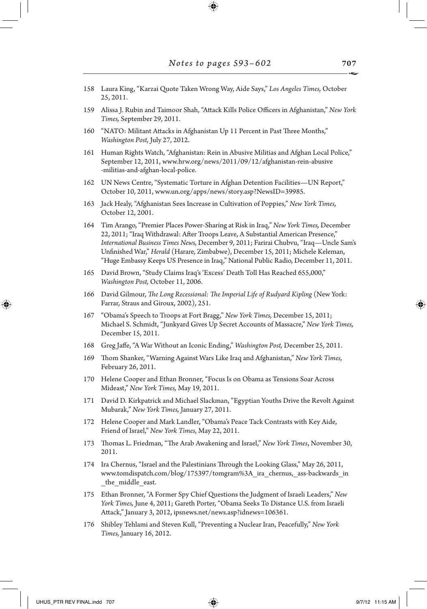158 Laura King, "Karzai Quote Taken Wrong Way, Aide Says," *Los Angeles Times,* October 25, 2011.

⊕

- 159 Alissa J. Rubin and Taimoor Shah, "Attack Kills Police Officers in Afghanistan," *New York Times,* September 29, 2011.
- 160 "NATO: Militant Attacks in Afghanistan Up 11 Percent in Past Three Months," *Washington Post,* July 27, 2012.
- 161 Human Rights Watch, "Afghanistan: Rein in Abusive Militias and Afghan Local Police," September 12, 2011, www.hrw.org/news/2011/09/12/afghanistan-rein-abusive -militias-and-afghan-local-police.
- 162 UN News Centre, "Systematic Torture in Afghan Detention Facilities—UN Report," October 10, 2011, www.un.org/apps/news/story.asp?NewsID=39985.
- 163 Jack Healy, "Afghanistan Sees Increase in Cultivation of Poppies," *New York Times,* October 12, 2001.
- 164 Tim Arango, "Premier Places Power-Sharing at Risk in Iraq," *New York Times,* December 22, 2011; "Iraq Withdrawal: After Troops Leave, A Substantial American Presence," *International Business Times News,* December 9, 2011; Farirai Chubvu, "Iraq—Uncle Sam's Unfinished War," *Herald* (Harare, Zimbabwe), December 15, 2011; Michele Keleman, "Huge Embassy Keeps US Presence in Iraq," National Public Radio, December 11, 2011.
- 165 David Brown, "Study Claims Iraq's 'Excess' Death Toll Has Reached 655,000," *Washington Post,* October 11, 2006.
- 166 David Gilmour, *The Long Recessional: The Imperial Life of Rudyard Kipling* (New York: Farrar, Straus and Giroux, 2002), 251.
- 167 "Obama's Speech to Troops at Fort Bragg," *New York Times,* December 15, 2011; Michael S. Schmidt, "Junkyard Gives Up Secret Accounts of Massacre," *New York Times,* December 15, 2011.
- 168 Greg Jaffe, "A War Without an Iconic Ending," *Washington Post,* December 25, 2011.
- 169 Thom Shanker, "Warning Against Wars Like Iraq and Afghanistan," *New York Times,* February 26, 2011.
- 170 Helene Cooper and Ethan Bronner, "Focus Is on Obama as Tensions Soar Across Mideast," *New York Times,* May 19, 2011.
- 171 David D. Kirkpatrick and Michael Slackman, "Egyptian Youths Drive the Revolt Against Mubarak," *New York Times,* January 27, 2011.
- 172 Helene Cooper and Mark Landler, "Obama's Peace Tack Contrasts with Key Aide, Friend of Israel," *New York Times,* May 22, 2011.
- 173 Thomas L. Friedman, "The Arab Awakening and Israel," *New York Times*, November 30, 2011.
- 174 Ira Chernus, "Israel and the Palestinians Through the Looking Glass," May 26, 2011, www.tomdispatch.com/blog/175397/tomgram%3A\_ira\_chernus,\_ass-backwards\_in the middle east.
- 175 Ethan Bronner, "A Former Spy Chief Questions the Judgment of Israeli Leaders," *New York Times,* June 4, 2011; Gareth Porter, "Obama Seeks To Distance U.S. from Israeli Attack," January 3, 2012, ipsnews.net/news.asp?idnews=106361.
- 176 Shibley Tehlami and Steven Kull, "Preventing a Nuclear Iran, Peacefully," *New York Times,* January 16, 2012.

↔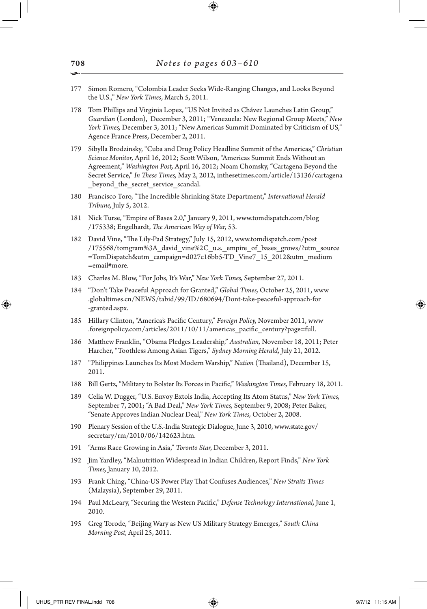- 177 Simon Romero, "Colombia Leader Seeks Wide-Ranging Changes, and Looks Beyond the U.S.," *New York Times*, March 5, 2011.
- 178 Tom Phillips and Virginia Lopez, "US Not Invited as Chávez Launches Latin Group," *Guardian* (London), December 3, 2011; "Venezuela: New Regional Group Meets," *New York Times,* December 3, 2011; "New Americas Summit Dominated by Criticism of US," Agence France Press, December 2, 2011.
- 179 Sibylla Brodzinsky, "Cuba and Drug Policy Headline Summit of the Americas," *Christian Science Monitor,* April 16, 2012; Scott Wilson, "Americas Summit Ends Without an Agreement," *Washington Post,* April 16, 2012; Noam Chomsky, "Cartagena Beyond the Secret Service," *In These Times,* May 2, 2012, inthesetimes.com/article/13136/cartagena beyond the secret service scandal.
- 180 Francisco Toro, "The Incredible Shrinking State Department," *International Herald Tribune,* July 5, 2012.
- 181 Nick Turse, "Empire of Bases 2.0," January 9, 2011, www.tomdispatch.com/blog /175338; Engelhardt, *The American Way of War,* 53.
- 182 David Vine, "The Lily-Pad Strategy," July 15, 2012, www.tomdispatch.com/post /175568/tomgram%3A\_david\_vine%2C\_u.s.\_empire\_of\_bases\_grows/?utm\_source =TomDispatch&utm\_campaign=d027c16bb5-TD\_Vine7\_15\_2012&utm\_medium =email#more.
- 183 Charles M. Blow, "For Jobs, It's War," *New York Times,* September 27, 2011.
- 184 "Don't Take Peaceful Approach for Granted," *Global Times,* October 25, 2011, www .globaltimes.cn/NEWS/tabid/99/ID/680694/Dont-take-peaceful-approach-for -granted.aspx.
- 185 Hillary Clinton, "America's Pacific Century," *Foreign Policy,* November 2011, www .foreignpolicy.com/articles/2011/10/11/americas\_pacific\_century?page=full.
- 186 Matthew Franklin, "Obama Pledges Leadership," *Australian,* November 18, 2011; Peter Harcher, "Toothless Among Asian Tigers," *Sydney Morning Herald,* July 21, 2012.
- 187 "Philippines Launches Its Most Modern Warship," *Nation* (Thailand), December 15, 2011.
- 188 Bill Gertz, "Military to Bolster Its Forces in Pacific," *Washington Times,* February 18, 2011.
- 189 Celia W. Dugger, "U.S. Envoy Extols India, Accepting Its Atom Status," *New York Times,* September 7, 2001; "A Bad Deal," *New York Times,* September 9, 2008; Peter Baker, "Senate Approves Indian Nuclear Deal," *New York Times,* October 2, 2008.
- 190 Plenary Session of the U.S.-India Strategic Dialogue, June 3, 2010, www.state.gov/ secretary/rm/2010/06/142623.htm.
- 191 "Arms Race Growing in Asia," *Toronto Star,* December 3, 2011.
- 192 Jim Yardley, "Malnutrition Widespread in Indian Children, Report Finds," *New York Times,* January 10, 2012.
- 193 Frank Ching, "China-US Power Play That Confuses Audiences," *New Straits Times* (Malaysia), September 29, 2011.
- 194 Paul McLeary, "Securing the Western Pacific," *Defense Technology International,* June 1, 2010.
- 195 Greg Torode, "Beijing Wary as New US Military Strategy Emerges," *South China Morning Post,* April 25, 2011.

708 •

↔